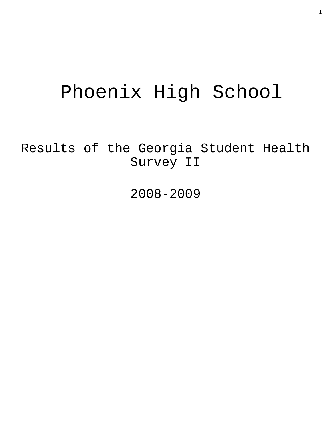# Phoenix High School

Results of the Georgia Student Health Survey II

2008-2009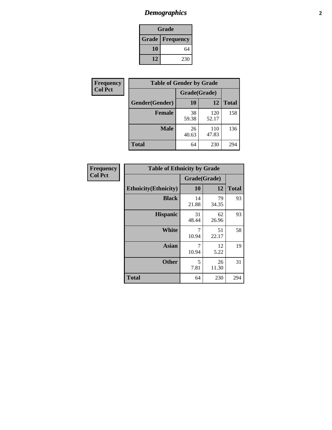# *Demographics* **2**

| Grade                    |     |  |  |
|--------------------------|-----|--|--|
| <b>Grade   Frequency</b> |     |  |  |
| 10                       | 64  |  |  |
| 12                       | 230 |  |  |

| Frequency      | <b>Table of Gender by Grade</b> |              |              |              |  |
|----------------|---------------------------------|--------------|--------------|--------------|--|
| <b>Col Pct</b> |                                 | Grade(Grade) |              |              |  |
|                | Gender(Gender)                  | 10           | 12           | <b>Total</b> |  |
|                | <b>Female</b>                   | 38<br>59.38  | 120<br>52.17 | 158          |  |
|                | <b>Male</b>                     | 26<br>40.63  | 110<br>47.83 | 136          |  |
|                | <b>Total</b>                    | 64           | 230          | 294          |  |

| Frequency<br>Col Pct |
|----------------------|
|                      |

| <b>Table of Ethnicity by Grade</b> |              |             |              |  |  |  |
|------------------------------------|--------------|-------------|--------------|--|--|--|
|                                    | Grade(Grade) |             |              |  |  |  |
| <b>Ethnicity</b> (Ethnicity)       | 10           | 12          | <b>Total</b> |  |  |  |
| <b>Black</b>                       | 14<br>21.88  | 79<br>34.35 | 93           |  |  |  |
| <b>Hispanic</b>                    | 31<br>48.44  | 62<br>26.96 | 93           |  |  |  |
| White                              | 7<br>10.94   | 51<br>22.17 | 58           |  |  |  |
| <b>Asian</b>                       | 7<br>10.94   | 12<br>5.22  | 19           |  |  |  |
| <b>Other</b>                       | 5<br>7.81    | 26<br>11.30 | 31           |  |  |  |
| <b>Total</b>                       | 64           | 230         | 294          |  |  |  |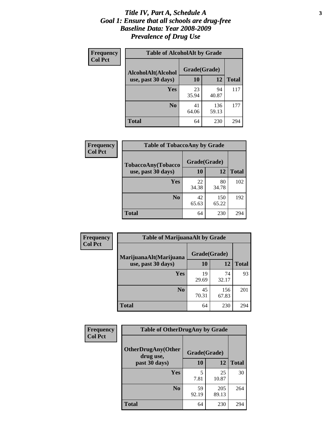#### *Title IV, Part A, Schedule A* **3** *Goal 1: Ensure that all schools are drug-free Baseline Data: Year 2008-2009 Prevalence of Drug Use*

| Frequency<br><b>Col Pct</b> | <b>Table of AlcoholAlt by Grade</b> |              |              |              |  |  |
|-----------------------------|-------------------------------------|--------------|--------------|--------------|--|--|
|                             | AlcoholAlt(Alcohol                  | Grade(Grade) |              |              |  |  |
|                             | use, past 30 days)                  | 10           | 12           | <b>Total</b> |  |  |
|                             | Yes                                 | 23<br>35.94  | 94<br>40.87  | 117          |  |  |
|                             | N <sub>0</sub>                      | 41<br>64.06  | 136<br>59.13 | 177          |  |  |
|                             | <b>Total</b>                        | 64           | 230          | 294          |  |  |

| Frequency      | <b>Table of TobaccoAny by Grade</b> |              |              |              |  |  |
|----------------|-------------------------------------|--------------|--------------|--------------|--|--|
| <b>Col Pct</b> | <b>TobaccoAny(Tobacco</b>           | Grade(Grade) |              |              |  |  |
|                | use, past 30 days)                  | 10           | 12           | <b>Total</b> |  |  |
|                | Yes                                 | 22<br>34.38  | 80<br>34.78  | 102          |  |  |
|                | N <sub>0</sub>                      | 42<br>65.63  | 150<br>65.22 | 192          |  |  |
|                | Total                               | 64           | 230          | 294          |  |  |

| Frequency<br><b>Col Pct</b> | <b>Table of MarijuanaAlt by Grade</b> |              |              |              |  |
|-----------------------------|---------------------------------------|--------------|--------------|--------------|--|
|                             | MarijuanaAlt(Marijuana                | Grade(Grade) |              |              |  |
|                             | use, past 30 days)                    | <b>10</b>    | 12           | <b>Total</b> |  |
|                             | <b>Yes</b>                            | 19<br>29.69  | 74<br>32.17  | 93           |  |
|                             | N <sub>0</sub>                        | 45<br>70.31  | 156<br>67.83 | 201          |  |
|                             | <b>Total</b>                          | 64           | 230          | 294          |  |

| Frequency<br><b>Col Pct</b> | <b>Table of OtherDrugAny by Grade</b>  |              |              |              |  |
|-----------------------------|----------------------------------------|--------------|--------------|--------------|--|
|                             | <b>OtherDrugAny(Other</b><br>drug use, | Grade(Grade) |              |              |  |
|                             | past 30 days)                          | 10           | 12           | <b>Total</b> |  |
|                             | Yes                                    | 5<br>7.81    | 25<br>10.87  | 30           |  |
|                             | N <sub>0</sub>                         | 59<br>92.19  | 205<br>89.13 | 264          |  |
|                             | <b>Total</b>                           | 64           | 230          | 294          |  |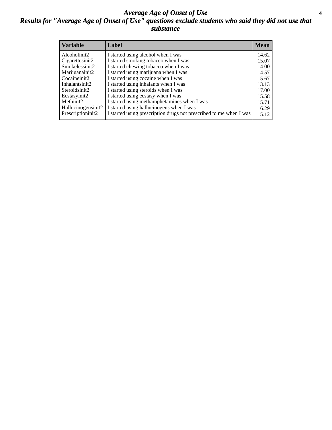#### *Average Age of Onset of Use* **4** *Results for "Average Age of Onset of Use" questions exclude students who said they did not use that substance*

| <b>Variable</b>       | Label                                                              | <b>Mean</b> |
|-----------------------|--------------------------------------------------------------------|-------------|
| Alcoholinit2          | I started using alcohol when I was                                 | 14.62       |
| Cigarettesinit2       | I started smoking tobacco when I was                               | 15.07       |
| Smokelessinit2        | I started chewing tobacco when I was                               | 14.00       |
| Marijuanainit2        | I started using marijuana when I was                               | 14.57       |
| Cocaineinit2          | I started using cocaine when I was                                 | 15.67       |
| Inhalantsinit2        | I started using inhalants when I was                               | 13.13       |
| Steroidsinit2         | I started using steroids when I was                                | 17.00       |
| Ecstasyinit2          | I started using ecstasy when I was                                 | 15.58       |
| Methinit <sub>2</sub> | I started using methamphetamines when I was                        | 15.71       |
| Hallucinogensinit2    | I started using hallucinogens when I was                           | 16.29       |
| Prescriptioninit2     | I started using prescription drugs not prescribed to me when I was | 15.12       |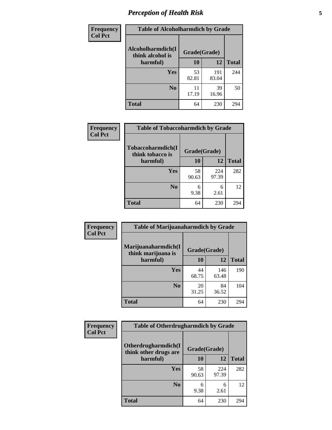# *Perception of Health Risk* **5**

| Frequency      | <b>Table of Alcoholharmdich by Grade</b> |              |              |              |  |
|----------------|------------------------------------------|--------------|--------------|--------------|--|
| <b>Col Pct</b> | Alcoholharmdich(I<br>think alcohol is    | Grade(Grade) |              |              |  |
|                | harmful)                                 | 10           | 12           | <b>Total</b> |  |
|                | <b>Yes</b>                               | 53<br>82.81  | 191<br>83.04 | 244          |  |
|                | N <sub>0</sub>                           | 11<br>17.19  | 39<br>16.96  | 50           |  |
|                | <b>Total</b>                             | 64           | 230          | 294          |  |

| Frequency      | <b>Table of Tobaccoharmdich by Grade</b>          |              |              |              |  |
|----------------|---------------------------------------------------|--------------|--------------|--------------|--|
| <b>Col Pct</b> | Tobaccoharmdich(I<br>think tobacco is<br>harmful) | Grade(Grade) |              |              |  |
|                |                                                   | 10           | 12           | <b>Total</b> |  |
|                | Yes                                               | 58<br>90.63  | 224<br>97.39 | 282          |  |
|                | N <sub>0</sub>                                    | 6<br>9.38    | 6<br>2.61    | 12           |  |
|                | <b>Total</b>                                      | 64           | 230          | 294          |  |

| <b>Frequency</b> | <b>Table of Marijuanaharmdich by Grade</b> |              |              |              |  |  |
|------------------|--------------------------------------------|--------------|--------------|--------------|--|--|
| <b>Col Pct</b>   | Marijuanaharmdich(I<br>think marijuana is  | Grade(Grade) |              |              |  |  |
|                  | harmful)                                   | 10           | 12           | <b>Total</b> |  |  |
|                  | Yes                                        | 44<br>68.75  | 146<br>63.48 | 190          |  |  |
|                  | N <sub>0</sub>                             | 20<br>31.25  | 84<br>36.52  | 104          |  |  |
|                  | <b>Total</b>                               | 64           | 230          | 294          |  |  |

| <b>Frequency</b> | <b>Table of Otherdrugharmdich by Grade</b>   |              |              |              |  |  |  |
|------------------|----------------------------------------------|--------------|--------------|--------------|--|--|--|
| <b>Col Pct</b>   | Otherdrugharmdich(I<br>think other drugs are | Grade(Grade) |              |              |  |  |  |
|                  | harmful)                                     | 10           | 12           | <b>Total</b> |  |  |  |
|                  | <b>Yes</b>                                   | 58<br>90.63  | 224<br>97.39 | 282          |  |  |  |
|                  | N <sub>0</sub>                               | 6<br>9.38    | 6<br>2.61    | 12           |  |  |  |
|                  | <b>Total</b>                                 | 64           | 230          | 294          |  |  |  |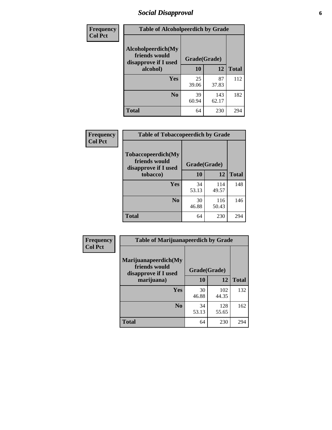# *Social Disapproval* **6**

| Frequency      | <b>Table of Alcoholpeerdich by Grade</b>                    |              |              |              |
|----------------|-------------------------------------------------------------|--------------|--------------|--------------|
| <b>Col Pct</b> | Alcoholpeerdich(My<br>friends would<br>disapprove if I used | Grade(Grade) |              |              |
|                | alcohol)                                                    | 10           | 12           | <b>Total</b> |
|                | <b>Yes</b>                                                  | 25<br>39.06  | 87<br>37.83  | 112          |
|                | N <sub>0</sub>                                              | 39<br>60.94  | 143<br>62.17 | 182          |
|                | <b>Total</b>                                                | 64           | 230          | 294          |

| <b>Frequency</b> |
|------------------|
| <b>Col Pct</b>   |

| <b>Table of Tobaccopeerdich by Grade</b>                            |              |              |              |  |  |  |
|---------------------------------------------------------------------|--------------|--------------|--------------|--|--|--|
| <b>Tobaccopeerdich</b> (My<br>friends would<br>disapprove if I used | Grade(Grade) |              |              |  |  |  |
| tobacco)                                                            | 10           | 12           | <b>Total</b> |  |  |  |
| Yes                                                                 | 34<br>53.13  | 114<br>49.57 | 148          |  |  |  |
| N <sub>0</sub>                                                      | 30<br>46.88  | 116<br>50.43 | 146          |  |  |  |
| <b>Total</b>                                                        | 64           | 230          | 294          |  |  |  |

| <b>Frequency</b> | <b>Table of Marijuanapeerdich by Grade</b>                    |              |              |              |  |  |  |  |
|------------------|---------------------------------------------------------------|--------------|--------------|--------------|--|--|--|--|
| <b>Col Pct</b>   | Marijuanapeerdich(My<br>friends would<br>disapprove if I used | Grade(Grade) |              |              |  |  |  |  |
|                  | marijuana)                                                    | 10           | 12           | <b>Total</b> |  |  |  |  |
|                  | <b>Yes</b>                                                    | 30<br>46.88  | 102<br>44.35 | 132          |  |  |  |  |
|                  | N <sub>0</sub>                                                | 34<br>53.13  | 128<br>55.65 | 162          |  |  |  |  |
|                  | <b>Total</b>                                                  | 64           | 230          | 294          |  |  |  |  |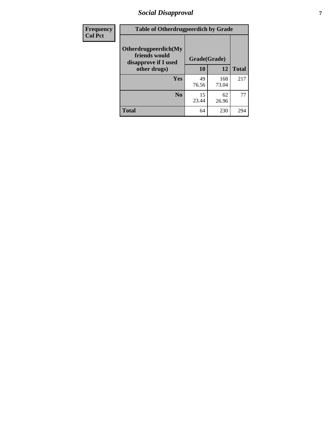# *Social Disapproval* **7**

| Frequency      | <b>Table of Otherdrugpeerdich by Grade</b>                    |              |              |              |  |  |  |  |
|----------------|---------------------------------------------------------------|--------------|--------------|--------------|--|--|--|--|
| <b>Col Pct</b> | Otherdrugpeerdich(My<br>friends would<br>disapprove if I used | Grade(Grade) |              |              |  |  |  |  |
|                | other drugs)                                                  | 10           | 12           | <b>Total</b> |  |  |  |  |
|                | Yes                                                           | 49<br>76.56  | 168<br>73.04 | 217          |  |  |  |  |
|                | N <sub>0</sub>                                                | 15<br>23.44  | 62<br>26.96  | 77           |  |  |  |  |
|                | <b>Total</b>                                                  | 64           | 230          | 294          |  |  |  |  |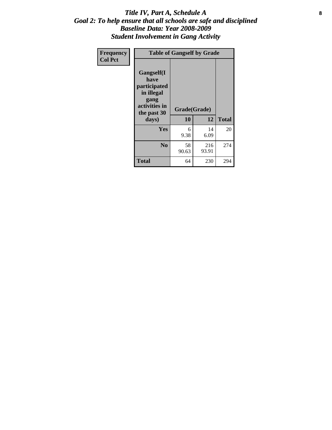### Title IV, Part A, Schedule A **8** *Goal 2: To help ensure that all schools are safe and disciplined Baseline Data: Year 2008-2009 Student Involvement in Gang Activity*

| Frequency      | <b>Table of Gangself by Grade</b>                                                                 |                    |              |              |
|----------------|---------------------------------------------------------------------------------------------------|--------------------|--------------|--------------|
| <b>Col Pct</b> | Gangself(I<br>have<br>participated<br>in illegal<br>gang<br>activities in<br>the past 30<br>days) | Grade(Grade)<br>10 | 12           | <b>Total</b> |
|                | Yes                                                                                               | 6<br>9.38          | 14<br>6.09   | 20           |
|                | N <sub>0</sub>                                                                                    | 58<br>90.63        | 216<br>93.91 | 274          |
|                | <b>Total</b>                                                                                      | 64                 | 230          | 294          |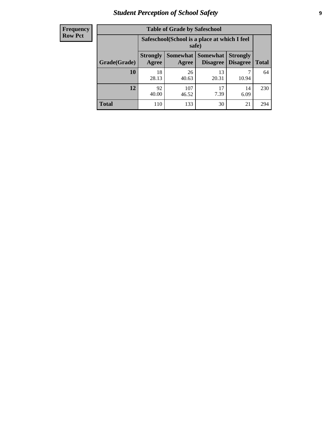# *Student Perception of School Safety* **9**

| <b>Frequency</b><br>Row Pct |
|-----------------------------|
|                             |

| <b>Table of Grade by Safeschool</b> |                                                        |                     |                             |                                    |              |  |
|-------------------------------------|--------------------------------------------------------|---------------------|-----------------------------|------------------------------------|--------------|--|
|                                     | Safeschool (School is a place at which I feel<br>safe) |                     |                             |                                    |              |  |
| Grade(Grade)                        | <b>Strongly</b><br>Agree                               | Somewhat  <br>Agree | <b>Somewhat</b><br>Disagree | <b>Strongly</b><br><b>Disagree</b> | <b>Total</b> |  |
| <b>10</b>                           | 18<br>28.13                                            | 26<br>40.63         | 13<br>20.31                 | 10.94                              | 64           |  |
| 12                                  | 92<br>40.00                                            | 107<br>46.52        | 17<br>7.39                  | 14<br>6.09                         | 230          |  |
| <b>Total</b>                        | 110                                                    | 133                 | 30                          | 21                                 | 294          |  |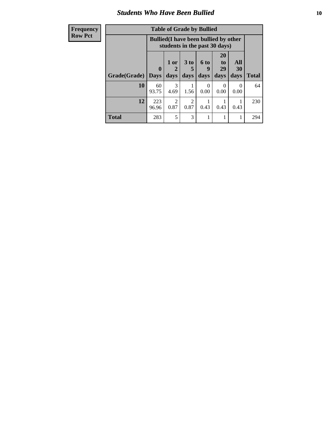### *Students Who Have Been Bullied* **10**

| <b>Frequency</b> | <b>Table of Grade by Bullied</b> |              |                                                                               |                 |                  |                                   |                  |              |
|------------------|----------------------------------|--------------|-------------------------------------------------------------------------------|-----------------|------------------|-----------------------------------|------------------|--------------|
| <b>Row Pct</b>   |                                  |              | <b>Bullied</b> (I have been bullied by other<br>students in the past 30 days) |                 |                  |                                   |                  |              |
|                  |                                  | $\mathbf 0$  | 1 or                                                                          | 3 <sub>to</sub> | <b>6 to</b><br>9 | <b>20</b><br>t <sub>0</sub><br>29 | All<br>30        |              |
|                  | Grade(Grade)                     | <b>Days</b>  | days                                                                          | days            | days             | days                              | days             | <b>Total</b> |
|                  | 10                               | 60<br>93.75  | $\mathcal{F}$<br>4.69                                                         | 1.56            | 0<br>0.00        | $\Omega$<br>0.00                  | $\Omega$<br>0.00 | 64           |
|                  | 12                               | 223<br>96.96 | $\mathcal{D}$<br>0.87                                                         | ာ<br>0.87       | 0.43             | 0.43                              | 0.43             | 230          |
|                  | <b>Total</b>                     | 283          | 5                                                                             | 3               |                  |                                   |                  | 294          |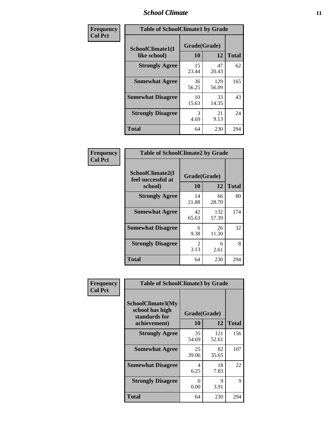### *School Climate* **11**

| <b>Frequency</b> | <b>Table of SchoolClimate1 by Grade</b> |                    |              |              |  |  |
|------------------|-----------------------------------------|--------------------|--------------|--------------|--|--|
| <b>Col Pct</b>   | SchoolClimate1(I<br>like school)        | Grade(Grade)<br>10 | 12           | <b>Total</b> |  |  |
|                  | <b>Strongly Agree</b>                   | 15<br>23.44        | 47<br>20.43  | 62           |  |  |
|                  | <b>Somewhat Agree</b>                   | 36<br>56.25        | 129<br>56.09 | 165          |  |  |
|                  | <b>Somewhat Disagree</b>                | 10<br>15.63        | 33<br>14.35  | 43           |  |  |
|                  | <b>Strongly Disagree</b>                | 3<br>4.69          | 21<br>9.13   | 24           |  |  |
|                  | <b>Total</b>                            | 64                 | 230          | 294          |  |  |

| <b>Frequency</b> |  |
|------------------|--|
| <b>Col Pct</b>   |  |

| <b>Table of SchoolClimate2 by Grade</b>           |                        |              |     |  |
|---------------------------------------------------|------------------------|--------------|-----|--|
| SchoolClimate2(I<br>feel successful at<br>school) | Grade(Grade)<br>10     | <b>Total</b> |     |  |
| <b>Strongly Agree</b>                             | 14<br>21.88            | 66<br>28.70  | 80  |  |
| <b>Somewhat Agree</b>                             | 42<br>65.63            | 132<br>57.39 | 174 |  |
| <b>Somewhat Disagree</b>                          | 6<br>9.38              | 26<br>11.30  | 32  |  |
| <b>Strongly Disagree</b>                          | $\mathfrak{D}$<br>3.13 | 6<br>2.61    | 8   |  |
| <b>Total</b>                                      | 64                     | 230          | 294 |  |

| Frequency      | <b>Table of SchoolClimate3 by Grade</b>                               |                    |              |              |  |
|----------------|-----------------------------------------------------------------------|--------------------|--------------|--------------|--|
| <b>Col Pct</b> | SchoolClimate3(My<br>school has high<br>standards for<br>achievement) | Grade(Grade)<br>10 | 12           | <b>Total</b> |  |
|                | <b>Strongly Agree</b>                                                 | 35<br>54.69        | 121<br>52.61 | 156          |  |
|                | <b>Somewhat Agree</b>                                                 | 25<br>39.06        | 82<br>35.65  | 107          |  |
|                | <b>Somewhat Disagree</b>                                              | 4<br>6.25          | 18<br>7.83   | 22           |  |
|                | <b>Strongly Disagree</b>                                              | ∩<br>0.00          | 9<br>3.91    | 9            |  |
|                | Total                                                                 | 64                 | 230          | 294          |  |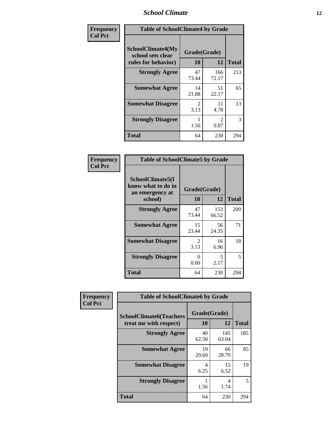### *School Climate* **12**

| Frequency      | <b>Table of SchoolClimate4 by Grade</b>                              |                                     |                        |              |
|----------------|----------------------------------------------------------------------|-------------------------------------|------------------------|--------------|
| <b>Col Pct</b> | <b>SchoolClimate4(My</b><br>school sets clear<br>rules for behavior) | Grade(Grade)<br>10                  | 12                     | <b>Total</b> |
|                | <b>Strongly Agree</b>                                                | 47<br>73.44                         | 166<br>72.17           | 213          |
|                | <b>Somewhat Agree</b>                                                | 14<br>21.88                         | 51<br>22.17            | 65           |
|                | <b>Somewhat Disagree</b>                                             | $\mathcal{D}_{\mathcal{L}}$<br>3.13 | 11<br>4.78             | 13           |
|                | <b>Strongly Disagree</b>                                             | 1.56                                | $\mathfrak{D}$<br>0.87 | 3            |
|                | Total                                                                | 64                                  | 230                    | 294          |

| <b>Table of SchoolClimate5 by Grade</b>                   |                        |              |              |  |  |
|-----------------------------------------------------------|------------------------|--------------|--------------|--|--|
| SchoolClimate5(I<br>know what to do in<br>an emergency at | Grade(Grade)           |              |              |  |  |
| school)                                                   | 10                     | 12           | <b>Total</b> |  |  |
| <b>Strongly Agree</b>                                     | 47<br>73.44            | 153<br>66.52 | 200          |  |  |
| <b>Somewhat Agree</b>                                     | 15<br>23.44            | 56<br>24.35  | 71           |  |  |
| <b>Somewhat Disagree</b>                                  | $\mathfrak{D}$<br>3.13 | 16<br>6.96   | 18           |  |  |
| <b>Strongly Disagree</b>                                  | 0<br>0.00              | 5<br>2.17    | 5            |  |  |
| <b>Total</b>                                              | 64                     | 230          | 294          |  |  |

| Frequency      | <b>Table of SchoolClimate6 by Grade</b>                  |                    |              |              |
|----------------|----------------------------------------------------------|--------------------|--------------|--------------|
| <b>Col Pct</b> | <b>SchoolClimate6(Teachers</b><br>treat me with respect) | Grade(Grade)<br>10 | 12           | <b>Total</b> |
|                | <b>Strongly Agree</b>                                    | 40<br>62.50        | 145<br>63.04 | 185          |
|                | <b>Somewhat Agree</b>                                    | 19<br>29.69        | 66<br>28.70  | 85           |
|                | <b>Somewhat Disagree</b>                                 | 4<br>6.25          | 15<br>6.52   | 19           |
|                | <b>Strongly Disagree</b>                                 | 1.56               | 4<br>1.74    | 5            |
|                | <b>Total</b>                                             | 64                 | 230          | 294          |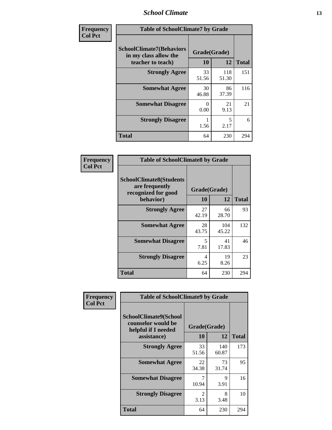### *School Climate* **13**

| Frequency      | <b>Table of SchoolClimate7 by Grade</b>                                       |                           |              |              |
|----------------|-------------------------------------------------------------------------------|---------------------------|--------------|--------------|
| <b>Col Pct</b> | <b>SchoolClimate7(Behaviors</b><br>in my class allow the<br>teacher to teach) | Grade(Grade)<br><b>10</b> | 12           | <b>Total</b> |
|                | <b>Strongly Agree</b>                                                         | 33<br>51.56               | 118<br>51.30 | 151          |
|                | <b>Somewhat Agree</b>                                                         | 30<br>46.88               | 86<br>37.39  | 116          |
|                | <b>Somewhat Disagree</b>                                                      | $\Omega$<br>0.00          | 21<br>9.13   | 21           |
|                | <b>Strongly Disagree</b>                                                      | 1.56                      | 5<br>2.17    | 6            |
|                | <b>Total</b>                                                                  | 64                        | 230          | 294          |

| Frequency      | <b>Table of SchoolClimate8 by Grade</b>                                              |                    |              |              |
|----------------|--------------------------------------------------------------------------------------|--------------------|--------------|--------------|
| <b>Col Pct</b> | <b>SchoolClimate8(Students</b><br>are frequently<br>recognized for good<br>behavior) | Grade(Grade)<br>10 | 12           | <b>Total</b> |
|                | <b>Strongly Agree</b>                                                                | 27<br>42.19        | 66<br>28.70  | 93           |
|                | <b>Somewhat Agree</b>                                                                | 28<br>43.75        | 104<br>45.22 | 132          |
|                | <b>Somewhat Disagree</b>                                                             | 5<br>7.81          | 41<br>17.83  | 46           |
|                | <b>Strongly Disagree</b>                                                             | 4<br>6.25          | 19<br>8.26   | 23           |
|                | Total                                                                                | 64                 | 230          | 294          |

| Frequency<br><b>Col Pct</b> | <b>Table of SchoolClimate9 by Grade</b>                                           |                        |                     |              |
|-----------------------------|-----------------------------------------------------------------------------------|------------------------|---------------------|--------------|
|                             | SchoolClimate9(School<br>counselor would be<br>helpful if I needed<br>assistance) | Grade(Grade)<br>10     | 12                  | <b>Total</b> |
|                             | <b>Strongly Agree</b>                                                             | 33<br>51.56            | 140<br>60.87        | 173          |
|                             | <b>Somewhat Agree</b>                                                             | 22<br>34.38            | 73<br>31.74         | 95           |
|                             | <b>Somewhat Disagree</b>                                                          | 7<br>10.94             | $\mathbf Q$<br>3.91 | 16           |
|                             | <b>Strongly Disagree</b>                                                          | $\mathfrak{D}$<br>3.13 | 8<br>3.48           | 10           |
|                             | Total                                                                             | 64                     | 230                 | 294          |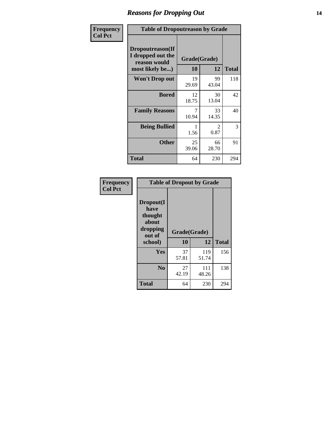### *Reasons for Dropping Out* **14**

| Frequency      | <b>Table of Dropoutreason by Grade</b>                                   |                    |                        |              |
|----------------|--------------------------------------------------------------------------|--------------------|------------------------|--------------|
| <b>Col Pct</b> | Dropoutreason(If<br>I dropped out the<br>reason would<br>most likely be) | Grade(Grade)<br>10 | 12                     | <b>Total</b> |
|                | <b>Won't Drop out</b>                                                    | 19<br>29.69        | 99<br>43.04            | 118          |
|                | <b>Bored</b>                                                             | 12<br>18.75        | 30<br>13.04            | 42           |
|                | <b>Family Reasons</b>                                                    | 7<br>10.94         | 33<br>14.35            | 40           |
|                | <b>Being Bullied</b>                                                     | 1.56               | $\mathfrak{D}$<br>0.87 | 3            |
|                | <b>Other</b>                                                             | 25<br>39.06        | 66<br>28.70            | 91           |
|                | <b>Total</b>                                                             | 64                 | 230                    | 294          |

| Frequency      | <b>Table of Dropout by Grade</b>                                       |                    |              |              |
|----------------|------------------------------------------------------------------------|--------------------|--------------|--------------|
| <b>Col Pct</b> | Dropout(I<br>have<br>thought<br>about<br>dropping<br>out of<br>school) | Grade(Grade)<br>10 | 12           | <b>Total</b> |
|                |                                                                        |                    |              |              |
|                | Yes                                                                    | 37<br>57.81        | 119<br>51.74 | 156          |
|                | N <sub>0</sub>                                                         | 27<br>42.19        | 111<br>48.26 | 138          |
|                | <b>Total</b>                                                           | 64                 | 230          | 294          |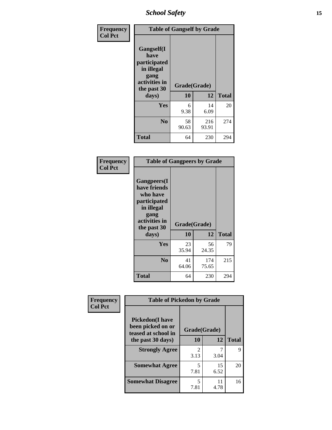*School Safety* **15**

| Frequency      |                                                                                                   | <b>Table of Gangself by Grade</b> |              |              |  |
|----------------|---------------------------------------------------------------------------------------------------|-----------------------------------|--------------|--------------|--|
| <b>Col Pct</b> | Gangself(I<br>have<br>participated<br>in illegal<br>gang<br>activities in<br>the past 30<br>days) | Grade(Grade)<br>10                | 12           | <b>Total</b> |  |
|                | Yes                                                                                               | 6<br>9.38                         | 14<br>6.09   | 20           |  |
|                | N <sub>0</sub>                                                                                    | 58<br>90.63                       | 216<br>93.91 | 274          |  |
|                | <b>Total</b>                                                                                      | 64                                | 230          | 294          |  |

| Frequency<br><b>Col Pct</b> | <b>Table of Gangpeers by Grade</b>                                                                                             |                    |              |              |
|-----------------------------|--------------------------------------------------------------------------------------------------------------------------------|--------------------|--------------|--------------|
|                             | <b>Gangpeers</b> (I<br>have friends<br>who have<br>participated<br>in illegal<br>gang<br>activities in<br>the past 30<br>days) | Grade(Grade)<br>10 | 12           | <b>Total</b> |
|                             | <b>Yes</b>                                                                                                                     | 23<br>35.94        | 56<br>24.35  | 79           |
|                             | N <sub>0</sub>                                                                                                                 | 41<br>64.06        | 174<br>75.65 | 215          |
|                             | <b>Total</b>                                                                                                                   | 64                 | 230          | 294          |

| Frequency      | <b>Table of Pickedon by Grade</b>                                                        |                    |              |    |  |  |  |  |
|----------------|------------------------------------------------------------------------------------------|--------------------|--------------|----|--|--|--|--|
| <b>Col Pct</b> | <b>Pickedon</b> (I have<br>been picked on or<br>teased at school in<br>the past 30 days) | Grade(Grade)<br>10 | <b>Total</b> |    |  |  |  |  |
|                |                                                                                          | 2                  | 12           | 9  |  |  |  |  |
|                | <b>Strongly Agree</b>                                                                    | 3.13               | 3.04         |    |  |  |  |  |
|                | <b>Somewhat Agree</b>                                                                    | 5<br>7.81          | 15<br>6.52   | 20 |  |  |  |  |
|                | <b>Somewhat Disagree</b>                                                                 | 5<br>7.81          | 11<br>4.78   | 16 |  |  |  |  |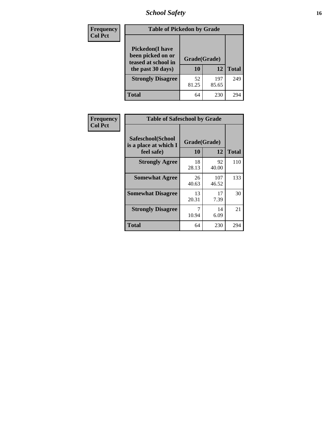# *School Safety* **16**

| <b>Frequency</b> | <b>Table of Pickedon by Grade</b>                                                        |                    |              |     |
|------------------|------------------------------------------------------------------------------------------|--------------------|--------------|-----|
| <b>Col Pct</b>   | <b>Pickedon</b> (I have<br>been picked on or<br>teased at school in<br>the past 30 days) | Grade(Grade)<br>10 | <b>Total</b> |     |
|                  | <b>Strongly Disagree</b>                                                                 | 52<br>81.25        | 197<br>85.65 | 249 |
|                  | Total                                                                                    | 64                 | 230          | 294 |

| Frequency      | <b>Table of Safeschool by Grade</b>                      |                    |              |              |
|----------------|----------------------------------------------------------|--------------------|--------------|--------------|
| <b>Col Pct</b> | Safeschool(School<br>is a place at which I<br>feel safe) | Grade(Grade)<br>10 | 12           | <b>Total</b> |
|                | <b>Strongly Agree</b>                                    | 18<br>28.13        | 92<br>40.00  | 110          |
|                | <b>Somewhat Agree</b>                                    | 26<br>40.63        | 107<br>46.52 | 133          |
|                | <b>Somewhat Disagree</b>                                 | 13<br>20.31        | 17<br>7.39   | 30           |
|                | <b>Strongly Disagree</b>                                 | 7<br>10.94         | 14<br>6.09   | 21           |
|                | <b>Total</b>                                             | 64                 | 230          | 294          |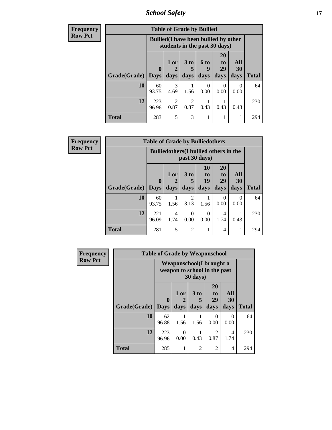*School Safety* **17**

| <b>Frequency</b> |                     |              | <b>Table of Grade by Bullied</b>                                              |                              |                                 |                               |                   |              |
|------------------|---------------------|--------------|-------------------------------------------------------------------------------|------------------------------|---------------------------------|-------------------------------|-------------------|--------------|
| <b>Row Pct</b>   |                     |              | <b>Bullied</b> (I have been bullied by other<br>students in the past 30 days) |                              |                                 |                               |                   |              |
|                  | Grade(Grade)   Days | $\mathbf 0$  | 1 or<br>days                                                                  | 3 <sub>to</sub><br>5<br>days | <b>6 to</b><br><b>Q</b><br>days | <b>20</b><br>to<br>29<br>days | All<br>30<br>days | <b>Total</b> |
|                  | 10                  | 60<br>93.75  | 3<br>4.69                                                                     | 1.56                         | 0<br>0.00                       | $\Omega$<br>0.00              | 0<br>0.00         | 64           |
|                  | 12                  | 223<br>96.96 | $\overline{2}$<br>0.87                                                        | $\overline{c}$<br>0.87       | 0.43                            | 0.43                          | 0.43              | 230          |
|                  | <b>Total</b>        | 283          | 5                                                                             | 3                            |                                 |                               |                   | 294          |

| <b>Frequency</b> |                     | <b>Table of Grade by Bulliedothers</b> |                                               |                         |                        |                               |                   |              |  |  |  |  |  |  |
|------------------|---------------------|----------------------------------------|-----------------------------------------------|-------------------------|------------------------|-------------------------------|-------------------|--------------|--|--|--|--|--|--|
| <b>Row Pct</b>   |                     |                                        | <b>Bulliedothers</b> (I bullied others in the |                         | past 30 days)          |                               |                   |              |  |  |  |  |  |  |
|                  | Grade(Grade)   Days | $\mathbf{0}$                           | 1 or<br>days                                  | 3 <sub>to</sub><br>days | 10<br>to<br>19<br>days | <b>20</b><br>to<br>29<br>days | All<br>30<br>days | <b>Total</b> |  |  |  |  |  |  |
|                  | 10                  | 60<br>93.75                            | 1.56                                          | $\mathfrak{D}$<br>3.13  | 1.56                   | $\Omega$<br>0.00              | 0<br>0.00         | 64           |  |  |  |  |  |  |
|                  | 12                  | 221<br>96.09                           | 4<br>1.74                                     | 0.00                    | $\Omega$<br>0.00       | 4<br>1.74                     | 0.43              | 230          |  |  |  |  |  |  |
|                  | <b>Total</b>        | 281                                    | 5                                             | 2                       |                        | 4                             | 1                 | 294          |  |  |  |  |  |  |

| <b>Frequency</b> | <b>Table of Grade by Weaponschool</b> |                                                           |                   |                     |                        |                   |              |  |  |
|------------------|---------------------------------------|-----------------------------------------------------------|-------------------|---------------------|------------------------|-------------------|--------------|--|--|
| <b>Row Pct</b>   |                                       | Weaponschool (I brought a<br>weapon to school in the past |                   |                     |                        |                   |              |  |  |
|                  | Grade(Grade)                          | $\bf{0}$<br><b>Days</b>                                   | 1 or<br>2<br>days | $3$ to<br>5<br>days | 20<br>to<br>29<br>days | All<br>30<br>days | <b>Total</b> |  |  |
|                  | 10                                    | 62<br>96.88                                               | 1.56              | 1.56                | $\Omega$<br>0.00       | $\Omega$<br>0.00  | 64           |  |  |
|                  | 12                                    | 223<br>96.96                                              | $\Omega$<br>0.00  | 0.43                | 2<br>0.87              | 4<br>1.74         | 230          |  |  |
|                  | <b>Total</b>                          | 285                                                       |                   | $\overline{2}$      | $\overline{2}$         | $\overline{4}$    | 294          |  |  |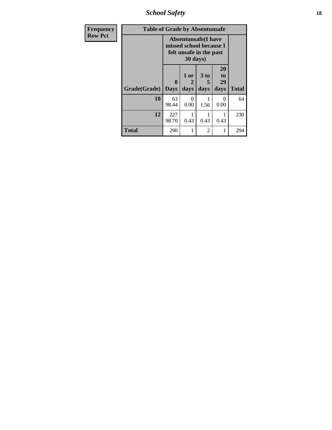*School Safety* **18**

| <b>Frequency</b> | <b>Table of Grade by Absentunsafe</b> |                                                                                   |                   |                              |                        |              |  |  |  |
|------------------|---------------------------------------|-----------------------------------------------------------------------------------|-------------------|------------------------------|------------------------|--------------|--|--|--|
| <b>Row Pct</b>   |                                       | <b>Absentunsafe</b> (I have<br>missed school because I<br>felt unsafe in the past |                   |                              |                        |              |  |  |  |
|                  | Grade(Grade)                          | 0<br><b>Days</b>                                                                  | 1 or<br>2<br>days | 3 <sub>to</sub><br>5<br>days | 20<br>to<br>29<br>days | <b>Total</b> |  |  |  |
|                  | 10                                    | 63<br>98.44                                                                       | 0<br>0.00         | 1.56                         | $\Omega$<br>0.00       | 64           |  |  |  |
|                  | 12                                    | 227<br>98.70                                                                      | 0.43              | 0.43                         | 1<br>0.43              | 230          |  |  |  |
|                  | <b>Total</b>                          | 290                                                                               | 1                 | 2                            | 1                      | 294          |  |  |  |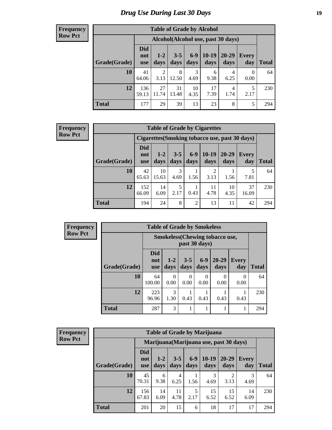# *Drug Use During Last 30 Days* **19**

#### **Frequency Row Pct**

| <b>Table of Grade by Alcohol</b> |                                 |                                    |                 |               |                 |                   |              |       |  |  |
|----------------------------------|---------------------------------|------------------------------------|-----------------|---------------|-----------------|-------------------|--------------|-------|--|--|
|                                  |                                 | Alcohol(Alcohol use, past 30 days) |                 |               |                 |                   |              |       |  |  |
| Grade(Grade)                     | <b>Did</b><br>not<br><b>use</b> | $1 - 2$<br>days                    | $3 - 5$<br>days | $6-9$<br>days | $10-19$<br>days | $20 - 29$<br>days | Every<br>day | Total |  |  |
| 10                               | 41<br>64.06                     | 2<br>3.13                          | 8<br>12.50      | 3<br>4.69     | 6<br>9.38       | 4<br>6.25         | 0<br>0.00    | 64    |  |  |
| 12                               | 136<br>59.13                    | 27<br>11.74                        | 31<br>13.48     | 10<br>4.35    | 17<br>7.39      | 4<br>1.74         | 5<br>2.17    | 230   |  |  |
| <b>Total</b>                     | 177                             | 29                                 | 39              | 13            | 23              | 8                 | 5            | 294   |  |  |

#### **Frequency Row Pct**

| <b>Table of Grade by Cigarettes</b> |                                 |                                                |                 |                |                        |               |              |       |  |  |
|-------------------------------------|---------------------------------|------------------------------------------------|-----------------|----------------|------------------------|---------------|--------------|-------|--|--|
|                                     |                                 | Cigarettes (Smoking tobacco use, past 30 days) |                 |                |                        |               |              |       |  |  |
| Grade(Grade)                        | <b>Did</b><br>not<br><b>use</b> | $1 - 2$<br>days                                | $3 - 5$<br>days | $6-9$<br>days  | $10-19$<br>days        | 20-29<br>days | Every<br>day | Total |  |  |
| 10                                  | 42<br>65.63                     | 10<br>15.63                                    | 3<br>4.69       | 1.56           | $\overline{2}$<br>3.13 | 1.56          | 5<br>7.81    | 64    |  |  |
| 12                                  | 152<br>66.09                    | 14<br>6.09                                     | 5<br>2.17       | 0.43           | 11<br>4.78             | 10<br>4.35    | 37<br>16.09  | 230   |  |  |
| <b>Total</b>                        | 194                             | 24                                             | 8               | $\overline{2}$ | 13                     | 11            | 42           | 294   |  |  |

| <b>Frequency</b> | <b>Table of Grade by Smokeless</b> |                                 |                                                         |                  |                  |                   |                     |              |  |  |
|------------------|------------------------------------|---------------------------------|---------------------------------------------------------|------------------|------------------|-------------------|---------------------|--------------|--|--|
| <b>Row Pct</b>   |                                    |                                 | <b>Smokeless</b> (Chewing tobacco use,<br>past 30 days) |                  |                  |                   |                     |              |  |  |
|                  | Grade(Grade)                       | <b>Did</b><br>not<br><b>use</b> | $1 - 2$<br>days                                         | $3 - 5$<br>days  | $6 - 9$<br>days  | $20 - 29$<br>days | <b>Every</b><br>day | <b>Total</b> |  |  |
|                  | 10                                 | 64<br>100.00                    | $\Omega$<br>0.00                                        | $\theta$<br>0.00 | $\Omega$<br>0.00 | 0.00              | 0<br>0.00           | 64           |  |  |
|                  | 12                                 | 223<br>96.96                    | 3<br>1.30                                               | 0.43             | 0.43             | 0.43              | 0.43                | 230          |  |  |
|                  | <b>Total</b>                       | 287                             | 3                                                       | 1                | 1                |                   | 1                   | 294          |  |  |

| <b>Frequency</b> |
|------------------|
| <b>Row Pct</b>   |

| <b>Table of Grade by Marijuana</b> |                                 |                                         |                 |                 |                 |                        |              |       |  |  |
|------------------------------------|---------------------------------|-----------------------------------------|-----------------|-----------------|-----------------|------------------------|--------------|-------|--|--|
|                                    |                                 | Marijuana (Marijuana use, past 30 days) |                 |                 |                 |                        |              |       |  |  |
| Grade(Grade)                       | <b>Did</b><br>not<br><b>use</b> | $1 - 2$<br>days                         | $3 - 5$<br>days | $6 - 9$<br>days | $10-19$<br>days | 20-29<br>days          | Every<br>day | Total |  |  |
| 10                                 | 45<br>70.31                     | 6<br>9.38                               | 4<br>6.25       | 1.56            | 3<br>4.69       | $\overline{2}$<br>3.13 | 3<br>4.69    | 64    |  |  |
| 12                                 | 156<br>67.83                    | 14<br>6.09                              | 11<br>4.78      | 5<br>2.17       | 15<br>6.52      | 15<br>6.52             | 14<br>6.09   | 230   |  |  |
| <b>Total</b>                       | 201                             | 20                                      | 15              | 6               | 18              | 17                     | 17           | 294   |  |  |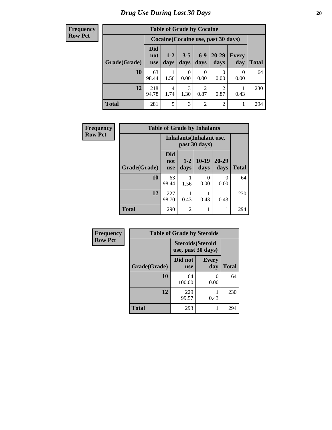**Frequency Row Pct**

| <b>Table of Grade by Cocaine</b> |                                 |                                     |                 |                                     |                   |                     |              |  |  |
|----------------------------------|---------------------------------|-------------------------------------|-----------------|-------------------------------------|-------------------|---------------------|--------------|--|--|
|                                  |                                 | Cocaine (Cocaine use, past 30 days) |                 |                                     |                   |                     |              |  |  |
| Grade(Grade)                     | <b>Did</b><br>not<br><b>use</b> | $1-2$<br>days                       | $3 - 5$<br>days | $6 - 9$<br>days                     | $20 - 29$<br>days | <b>Every</b><br>day | <b>Total</b> |  |  |
| 10                               | 63<br>98.44                     | 1.56                                | 0<br>0.00       | 0.00                                | 0.00              | 0<br>0.00           | 64           |  |  |
| 12                               | 218<br>94.78                    | 4<br>1.74                           | 3<br>1.30       | $\mathcal{D}_{\mathcal{A}}$<br>0.87 | 2<br>0.87         | 0.43                | 230          |  |  |
| <b>Total</b>                     | 281                             | 5                                   | 3               | $\overline{2}$                      | 2                 |                     | 294          |  |  |

| Frequency      | <b>Table of Grade by Inhalants</b> |                                 |                 |                                                  |                   |              |  |  |  |
|----------------|------------------------------------|---------------------------------|-----------------|--------------------------------------------------|-------------------|--------------|--|--|--|
| <b>Row Pct</b> |                                    |                                 |                 | <b>Inhalants</b> (Inhalant use,<br>past 30 days) |                   |              |  |  |  |
|                | Grade(Grade)                       | <b>Did</b><br>not<br><b>use</b> | $1 - 2$<br>days | $10-19$<br>days                                  | $20 - 29$<br>days | <b>Total</b> |  |  |  |
|                | 10                                 | 63<br>98.44                     | 1.56            | 0<br>0.00                                        | $\theta$<br>0.00  | 64           |  |  |  |
|                | 12                                 | 227<br>98.70                    | 0.43            | 0.43                                             | 0.43              | 230          |  |  |  |
|                | <b>Total</b>                       | 290                             | $\overline{2}$  |                                                  |                   | 294          |  |  |  |

| Frequency      | <b>Table of Grade by Steroids</b> |                                                |                           |              |  |  |
|----------------|-----------------------------------|------------------------------------------------|---------------------------|--------------|--|--|
| <b>Row Pct</b> |                                   | <b>Steroids</b> (Steroid<br>use, past 30 days) |                           |              |  |  |
|                | Grade(Grade)                      | Did not<br><b>use</b>                          | <b>Every</b><br>day       | <b>Total</b> |  |  |
|                | 10                                | 64<br>100.00                                   | $\mathbf{\Omega}$<br>0.00 | 64           |  |  |
|                | 12                                | 229<br>99.57                                   | 0.43                      | 230          |  |  |
|                | <b>Total</b>                      | 293                                            |                           | 294          |  |  |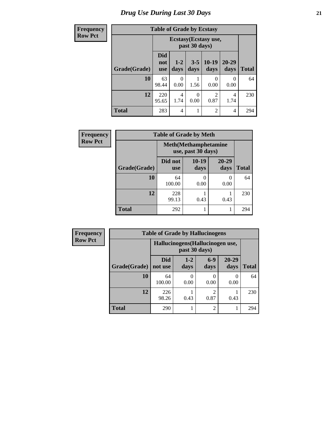# *Drug Use During Last 30 Days* **21**

| <b>Frequency</b> | <b>Table of Grade by Ecstasy</b> |                                 |               |                  |                       |               |              |
|------------------|----------------------------------|---------------------------------|---------------|------------------|-----------------------|---------------|--------------|
| <b>Row Pct</b>   |                                  |                                 |               | past 30 days)    | Ecstasy (Ecstasy use, |               |              |
|                  | Grade(Grade)                     | <b>Did</b><br>not<br><b>use</b> | $1-2$<br>days | $3 - 5$<br>days  | $10-19$<br>days       | 20-29<br>days | <b>Total</b> |
|                  | 10                               | 63<br>98.44                     | 0<br>0.00     | 1.56             | 0<br>0.00             | 0<br>0.00     | 64           |
|                  | 12                               | 220<br>95.65                    | 4<br>1.74     | $\Omega$<br>0.00 | 2<br>0.87             | 4<br>1.74     | 230          |
|                  | <b>Total</b>                     | 283                             | 4             | $\mathbf{1}$     | $\overline{2}$        | 4             | 294          |

| Frequency      | <b>Table of Grade by Meth</b> |                       |                                                    |                   |              |  |  |  |  |
|----------------|-------------------------------|-----------------------|----------------------------------------------------|-------------------|--------------|--|--|--|--|
| <b>Row Pct</b> |                               |                       | <b>Meth</b> (Methamphetamine<br>use, past 30 days) |                   |              |  |  |  |  |
|                | Grade(Grade)                  | Did not<br><b>use</b> | $10-19$<br>days                                    | $20 - 29$<br>days | <b>Total</b> |  |  |  |  |
|                | 10                            | 64<br>100.00          | 0.00                                               | 0.00              | 64           |  |  |  |  |
|                | 12                            | 228<br>99.13          | 0.43                                               | 0.43              | 230          |  |  |  |  |
|                | <b>Total</b>                  | 292                   |                                                    |                   | 294          |  |  |  |  |

| <b>Frequency</b> | <b>Table of Grade by Hallucinogens</b>            |                       |                 |                        |                   |              |  |  |  |
|------------------|---------------------------------------------------|-----------------------|-----------------|------------------------|-------------------|--------------|--|--|--|
| <b>Row Pct</b>   | Hallucinogens (Hallucinogen use,<br>past 30 days) |                       |                 |                        |                   |              |  |  |  |
|                  | Grade(Grade)                                      | <b>Did</b><br>not use | $1 - 2$<br>days | $6-9$<br>days          | $20 - 29$<br>days | <b>Total</b> |  |  |  |
|                  | 10                                                | 64<br>100.00          | 0.00            | $\left($<br>0.00       | $\Omega$<br>0.00  | 64           |  |  |  |
|                  | 12                                                | 226<br>98.26          | 0.43            | $\mathfrak{D}$<br>0.87 | 0.43              | 230          |  |  |  |
|                  | <b>Total</b>                                      | 290                   |                 | $\overline{2}$         |                   | 294          |  |  |  |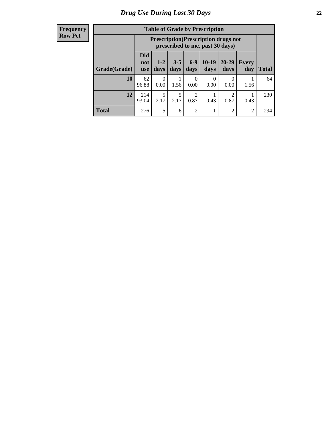#### **Frequency Row Pct**

| <b>Table of Grade by Prescription</b> |                          |                                                                                                                      |           |                  |           |                  |                |       |
|---------------------------------------|--------------------------|----------------------------------------------------------------------------------------------------------------------|-----------|------------------|-----------|------------------|----------------|-------|
|                                       |                          | <b>Prescription</b> (Prescription drugs not<br>prescribed to me, past 30 days)                                       |           |                  |           |                  |                |       |
| Grade(Grade)                          | Did<br>not<br><b>use</b> | $6 - 9$<br>$10-19$<br>$20 - 29$<br>$1 - 2$<br>$3 - 5$<br><b>Every</b><br>days<br>days<br>days<br>days<br>day<br>days |           |                  |           |                  |                | Total |
| 10                                    | 62<br>96.88              | 0<br>0.00                                                                                                            | 1.56      | $\Omega$<br>0.00 | 0<br>0.00 | $\theta$<br>0.00 | 1.56           | 64    |
| 12                                    | 214<br>93.04             | 5<br>2.17                                                                                                            | 5<br>2.17 | 2<br>0.87        | 0.43      | っ<br>0.87        | 0.43           | 230   |
| <b>Total</b>                          | 276                      | 5                                                                                                                    | 6         | $\overline{2}$   |           | $\overline{2}$   | $\overline{2}$ | 294   |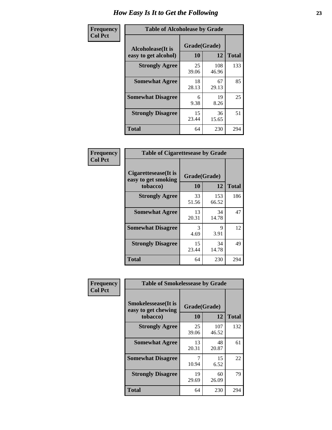| Frequency      | <b>Table of Alcoholease by Grade</b>              |                    |              |              |  |  |
|----------------|---------------------------------------------------|--------------------|--------------|--------------|--|--|
| <b>Col Pct</b> | <b>Alcoholease</b> (It is<br>easy to get alcohol) | Grade(Grade)<br>10 | 12           | <b>Total</b> |  |  |
|                | <b>Strongly Agree</b>                             | 25<br>39.06        | 108<br>46.96 | 133          |  |  |
|                | <b>Somewhat Agree</b>                             | 18<br>28.13        | 67<br>29.13  | 85           |  |  |
|                | <b>Somewhat Disagree</b>                          | 6<br>9.38          | 19<br>8.26   | 25           |  |  |
|                | <b>Strongly Disagree</b>                          | 15<br>23.44        | 36<br>15.65  | 51           |  |  |
|                | <b>Total</b>                                      | 64                 | 230          | 294          |  |  |

| Frequency      | <b>Table of Cigarettesease by Grade</b>                 |                           |              |              |  |  |  |  |
|----------------|---------------------------------------------------------|---------------------------|--------------|--------------|--|--|--|--|
| <b>Col Pct</b> | Cigarettesease(It is<br>easy to get smoking<br>tobacco) | Grade(Grade)<br><b>10</b> | 12           | <b>Total</b> |  |  |  |  |
|                | <b>Strongly Agree</b>                                   | 33<br>51.56               | 153<br>66.52 | 186          |  |  |  |  |
|                | <b>Somewhat Agree</b>                                   | 13<br>20.31               | 34<br>14.78  | 47           |  |  |  |  |
|                | <b>Somewhat Disagree</b>                                | 3<br>4.69                 | 9<br>3.91    | 12           |  |  |  |  |
|                | <b>Strongly Disagree</b>                                | 15<br>23.44               | 34<br>14.78  | 49           |  |  |  |  |
|                | <b>Total</b>                                            | 64                        | 230          | 294          |  |  |  |  |

| Frequency      | <b>Table of Smokelessease by Grade</b>             |              |              |              |
|----------------|----------------------------------------------------|--------------|--------------|--------------|
| <b>Col Pct</b> | <b>Smokelessease</b> (It is<br>easy to get chewing | Grade(Grade) |              |              |
|                | tobacco)                                           | 10           | 12           | <b>Total</b> |
|                | <b>Strongly Agree</b>                              | 25<br>39.06  | 107<br>46.52 | 132          |
|                | <b>Somewhat Agree</b>                              | 13<br>20.31  | 48<br>20.87  | 61           |
|                | <b>Somewhat Disagree</b>                           | 7<br>10.94   | 15<br>6.52   | 22           |
|                | <b>Strongly Disagree</b>                           | 19<br>29.69  | 60<br>26.09  | 79           |
|                | <b>Total</b>                                       | 64           | 230          | 294          |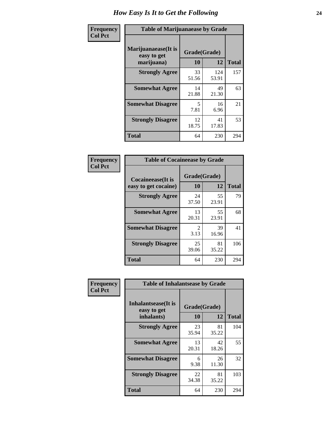| Frequency      | <b>Table of Marijuanaease by Grade</b>           |                    |              |              |  |  |
|----------------|--------------------------------------------------|--------------------|--------------|--------------|--|--|
| <b>Col Pct</b> | Marijuanaease(It is<br>easy to get<br>marijuana) | Grade(Grade)<br>10 | 12           | <b>Total</b> |  |  |
|                | <b>Strongly Agree</b>                            | 33<br>51.56        | 124<br>53.91 | 157          |  |  |
|                | <b>Somewhat Agree</b>                            | 14<br>21.88        | 49<br>21.30  | 63           |  |  |
|                | <b>Somewhat Disagree</b>                         | 5<br>7.81          | 16<br>6.96   | 21           |  |  |
|                | <b>Strongly Disagree</b>                         | 12<br>18.75        | 41<br>17.83  | 53           |  |  |
|                | <b>Total</b>                                     | 64                 | 230          | 294          |  |  |

| <b>Table of Cocaineease by Grade</b> |              |             |              |  |  |  |  |
|--------------------------------------|--------------|-------------|--------------|--|--|--|--|
| <b>Cocaineease</b> (It is            | Grade(Grade) |             |              |  |  |  |  |
| easy to get cocaine)                 | 10           | 12          | <b>Total</b> |  |  |  |  |
| <b>Strongly Agree</b>                | 24<br>37.50  | 55<br>23.91 | 79           |  |  |  |  |
| <b>Somewhat Agree</b>                | 13<br>20.31  | 55<br>23.91 | 68           |  |  |  |  |
| <b>Somewhat Disagree</b>             | 2<br>3.13    | 39<br>16.96 | 41           |  |  |  |  |
| <b>Strongly Disagree</b>             | 25<br>39.06  | 81<br>35.22 | 106          |  |  |  |  |
| <b>Total</b>                         | 64           | 230         | 294          |  |  |  |  |

| Frequency      | <b>Table of Inhalantsease by Grade</b>     |              |             |              |  |  |  |  |  |  |
|----------------|--------------------------------------------|--------------|-------------|--------------|--|--|--|--|--|--|
| <b>Col Pct</b> | <b>Inhalantsease</b> (It is<br>easy to get | Grade(Grade) |             |              |  |  |  |  |  |  |
|                | inhalants)                                 | 10           | 12          | <b>Total</b> |  |  |  |  |  |  |
|                | <b>Strongly Agree</b>                      | 23<br>35.94  | 81<br>35.22 | 104          |  |  |  |  |  |  |
|                | <b>Somewhat Agree</b>                      | 13<br>20.31  | 42<br>18.26 | 55           |  |  |  |  |  |  |
|                | <b>Somewhat Disagree</b>                   | 6<br>9.38    | 26<br>11.30 | 32           |  |  |  |  |  |  |
|                | <b>Strongly Disagree</b>                   | 22<br>34.38  | 81<br>35.22 | 103          |  |  |  |  |  |  |
|                | <b>Total</b>                               | 64           | 230         | 294          |  |  |  |  |  |  |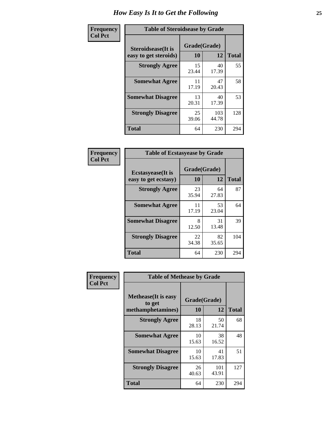| Frequency      | <b>Table of Steroidsease by Grade</b>               |                    |              |     |  |  |  |  |  |
|----------------|-----------------------------------------------------|--------------------|--------------|-----|--|--|--|--|--|
| <b>Col Pct</b> | <b>Steroidsease</b> (It is<br>easy to get steroids) | Grade(Grade)<br>10 | <b>Total</b> |     |  |  |  |  |  |
|                | <b>Strongly Agree</b>                               | 15<br>23.44        | 40<br>17.39  | 55  |  |  |  |  |  |
|                | <b>Somewhat Agree</b>                               | 11<br>17.19        | 47<br>20.43  | 58  |  |  |  |  |  |
|                | <b>Somewhat Disagree</b>                            | 13<br>20.31        | 40<br>17.39  | 53  |  |  |  |  |  |
|                | <b>Strongly Disagree</b>                            | 25<br>39.06        | 103<br>44.78 | 128 |  |  |  |  |  |
|                | <b>Total</b>                                        | 64                 | 230          | 294 |  |  |  |  |  |

| <b>Frequency</b> |  |
|------------------|--|
| <b>Col Pct</b>   |  |

| <b>Table of Ecstasyease by Grade</b>              |             |                    |     |  |  |  |  |  |
|---------------------------------------------------|-------------|--------------------|-----|--|--|--|--|--|
| <b>Ecstasyease</b> (It is<br>easy to get ecstasy) | 10          | Grade(Grade)<br>12 |     |  |  |  |  |  |
| <b>Strongly Agree</b>                             | 23<br>35.94 | 64<br>27.83        | 87  |  |  |  |  |  |
| <b>Somewhat Agree</b>                             | 11<br>17.19 | 53<br>23.04        | 64  |  |  |  |  |  |
| <b>Somewhat Disagree</b>                          | 8<br>12.50  | 31<br>13.48        | 39  |  |  |  |  |  |
| <b>Strongly Disagree</b>                          | 22<br>34.38 | 82<br>35.65        | 104 |  |  |  |  |  |
| <b>Total</b>                                      | 64          | 230                | 294 |  |  |  |  |  |

| <b>Frequency</b><br>Col Pct |
|-----------------------------|
|                             |

| <b>Table of Methease by Grade</b>                          |                    |              |              |  |  |  |  |  |
|------------------------------------------------------------|--------------------|--------------|--------------|--|--|--|--|--|
| <b>Methease</b> (It is easy<br>to get<br>methamphetamines) | Grade(Grade)<br>10 | 12           | <b>Total</b> |  |  |  |  |  |
| <b>Strongly Agree</b>                                      | 18<br>28.13        | 50<br>21.74  | 68           |  |  |  |  |  |
| <b>Somewhat Agree</b>                                      | 10<br>15.63        | 38<br>16.52  | 48           |  |  |  |  |  |
| <b>Somewhat Disagree</b>                                   | 10<br>15.63        | 41<br>17.83  | 51           |  |  |  |  |  |
| <b>Strongly Disagree</b>                                   | 26<br>40.63        | 101<br>43.91 | 127          |  |  |  |  |  |
| Total                                                      | 64                 | 230          | 294          |  |  |  |  |  |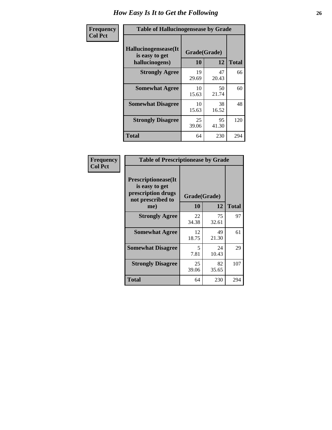| <b>Frequency</b> | <b>Table of Hallucinogensease by Grade</b>                |                    |             |              |  |  |  |  |
|------------------|-----------------------------------------------------------|--------------------|-------------|--------------|--|--|--|--|
| <b>Col Pct</b>   | Hallucinogensease(It)<br>is easy to get<br>hallucinogens) | Grade(Grade)<br>10 | 12          | <b>Total</b> |  |  |  |  |
|                  | <b>Strongly Agree</b>                                     | 19<br>29.69        | 47<br>20.43 | 66           |  |  |  |  |
|                  | <b>Somewhat Agree</b>                                     | 10<br>15.63        | 50<br>21.74 | 60           |  |  |  |  |
|                  | <b>Somewhat Disagree</b>                                  | 10<br>15.63        | 38<br>16.52 | 48           |  |  |  |  |
|                  | <b>Strongly Disagree</b>                                  | 25<br>39.06        | 95<br>41.30 | 120          |  |  |  |  |
|                  | <b>Total</b>                                              | 64                 | 230         | 294          |  |  |  |  |

| Frequency<br>Col Pct |
|----------------------|
|                      |

| <b>Table of Prescriptionease by Grade</b>                                                |             |              |              |  |  |  |  |  |
|------------------------------------------------------------------------------------------|-------------|--------------|--------------|--|--|--|--|--|
| <b>Prescriptionease</b> (It<br>is easy to get<br>prescription drugs<br>not prescribed to |             | Grade(Grade) |              |  |  |  |  |  |
| me)                                                                                      | 10          | 12           | <b>Total</b> |  |  |  |  |  |
| <b>Strongly Agree</b>                                                                    | 22<br>34.38 | 75<br>32.61  | 97           |  |  |  |  |  |
| <b>Somewhat Agree</b>                                                                    | 12<br>18.75 | 49<br>21.30  | 61           |  |  |  |  |  |
| <b>Somewhat Disagree</b>                                                                 | 5<br>7.81   | 24<br>10.43  | 29           |  |  |  |  |  |
| <b>Strongly Disagree</b>                                                                 | 25<br>39.06 | 82<br>35.65  | 107          |  |  |  |  |  |
| Total                                                                                    | 64          | 230          | 294          |  |  |  |  |  |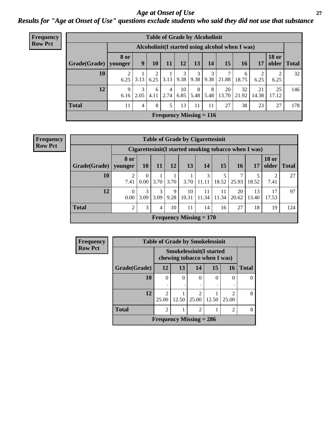### *Age at Onset of Use* **27** *Results for "Age at Onset of Use" questions exclude students who said they did not use that substance*

| <b>Frequency</b> | <b>Table of Grade by Alcoholinit</b> |             |                                                  |           |                                      |            |           |           |             |             |             |                       |              |
|------------------|--------------------------------------|-------------|--------------------------------------------------|-----------|--------------------------------------|------------|-----------|-----------|-------------|-------------|-------------|-----------------------|--------------|
| <b>Row Pct</b>   |                                      |             | Alcoholinit (I started using alcohol when I was) |           |                                      |            |           |           |             |             |             |                       |              |
|                  | Grade(Grade)   younger               | <b>8 or</b> | 9                                                | 10        | <b>11</b>                            | 12         | 13        | 14        | 15          | <b>16</b>   | 17          | <b>18 or</b><br>older | <b>Total</b> |
|                  | 10                                   | 6.25        | 3.13                                             | 2<br>6.25 | $\vert 3.13 \vert$                   | 3<br>9.38  | 3<br>9.38 | 3<br>9.38 | 7<br>21.88  | 6<br>18.75  | 6.25        | 6.25                  | 32           |
|                  | 12                                   | 9<br>6.16   | 3<br>2.05                                        | 6<br>4.11 | $\overline{4}$<br>$\vert 2.74 \vert$ | 10<br>6.85 | 8<br>5.48 | 8<br>5.48 | 20<br>13.70 | 32<br>21.92 | 21<br>14.38 | 25<br>17.12           | 146          |
|                  | <b>Total</b>                         | 11          | 4                                                | 8         | 5                                    | 13         | 11        | 11        | 27          | 38          | 23          | 27                    | 178          |
|                  |                                      |             |                                                  |           | Frequency Missing $= 116$            |            |           |           |             |             |             |                       |              |

**Frequency Row Pct**

| <b>Table of Grade by Cigarettesinit</b> |                  |                                                       |           |           |                           |             |             |             |             |                       |              |
|-----------------------------------------|------------------|-------------------------------------------------------|-----------|-----------|---------------------------|-------------|-------------|-------------|-------------|-----------------------|--------------|
|                                         |                  | Cigarettesinit (I started smoking tobacco when I was) |           |           |                           |             |             |             |             |                       |              |
| Grade(Grade)                            | 8 or<br>younger  | 10                                                    | 11        | 12        | 13                        | 14          | 15          | <b>16</b>   | 17          | <b>18 or</b><br>older | <b>Total</b> |
| 10                                      | 2<br>7.41        | $\theta$<br>0.00                                      | 3.70      | 3.70      | 3.70                      | 3<br>11.11  | 5<br>18.52  | 7<br>25.93  | 18.52       | ി<br>7.41             | 27           |
| 12                                      | $\Omega$<br>0.00 | 3<br>3.09                                             | 3<br>3.09 | 9<br>9.28 | 10<br>10.31               | 11<br>11.34 | 11<br>11.34 | 20<br>20.62 | 13<br>13.40 | 17<br>17.53           | 97           |
| <b>Total</b>                            | $\overline{2}$   | 3                                                     | 4         | 10        | 11                        | 14          | 16          | 27          | 18          | 19                    | 124          |
|                                         |                  |                                                       |           |           | Frequency Missing $= 170$ |             |             |             |             |                       |              |

| <b>Frequency</b> | <b>Table of Grade by Smokelessinit</b> |                                                               |                                  |                |          |                |              |  |  |  |
|------------------|----------------------------------------|---------------------------------------------------------------|----------------------------------|----------------|----------|----------------|--------------|--|--|--|
| <b>Row Pct</b>   |                                        | <b>Smokelessinit(I started</b><br>chewing tobacco when I was) |                                  |                |          |                |              |  |  |  |
|                  | Grade(Grade)                           | 12                                                            | 13                               | 14             | 15       | 16             | <b>Total</b> |  |  |  |
|                  | 10                                     | $\Omega$                                                      | $\Omega$                         | 0              | $\theta$ |                |              |  |  |  |
|                  |                                        | ٠                                                             |                                  |                |          |                |              |  |  |  |
|                  | 12                                     | $\mathcal{D}_{\mathcal{L}}$                                   |                                  | $\mathcal{D}$  |          | ∍              | 8            |  |  |  |
|                  |                                        | 25.00                                                         | 12.50<br>12.50<br>25.00<br>25.00 |                |          |                |              |  |  |  |
|                  | <b>Total</b>                           | $\overline{2}$                                                |                                  | $\overline{2}$ |          | $\mathfrak{D}$ | 8            |  |  |  |
|                  |                                        | <b>Frequency Missing = 286</b>                                |                                  |                |          |                |              |  |  |  |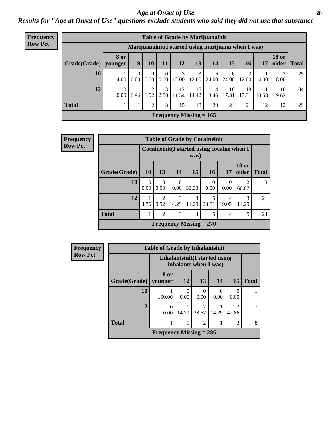#### *Age at Onset of Use* **28**

*Results for "Age at Onset of Use" questions exclude students who said they did not use that substance*

| Frequency      | <b>Table of Grade by Marijuanainit</b> |                        |                                                      |                        |                  |             |             |             |             |             |             |                       |              |
|----------------|----------------------------------------|------------------------|------------------------------------------------------|------------------------|------------------|-------------|-------------|-------------|-------------|-------------|-------------|-----------------------|--------------|
| <b>Row Pct</b> |                                        |                        | Marijuanainit (I started using marijuana when I was) |                        |                  |             |             |             |             |             |             |                       |              |
|                | Grade(Grade)                           | <b>8 or</b><br>younger | 9                                                    | 10                     | 11               | 12          | 13          | 14          | 15          | 16          | 17          | <b>18 or</b><br>older | <b>Total</b> |
|                | 10                                     | 4.00                   | $\Omega$<br>0.00                                     | 0<br>0.00              | $\Omega$<br>0.00 | 12.00       | 3<br>12.00  | 6<br>24.00  | 6<br>24.00  | 12.00       | 4.00        | 8.00                  | 25           |
|                | 12                                     | 0.00                   | 0.96                                                 | $\overline{c}$<br>1.92 | 3<br>2.88        | 12<br>11.54 | 15<br>14.42 | 14<br>13.46 | 18<br>17.31 | 18<br>17.31 | 11<br>10.58 | 10<br>9.62            | 104          |
|                | <b>Total</b>                           |                        |                                                      | $\mathfrak{D}$         | 3                | 15          | 18          | 20          | 24          | 21          | 12          | 12                    | 129          |
|                | Frequency Missing $= 165$              |                        |                                                      |                        |                  |             |             |             |             |             |             |                       |              |

| Frequency      |              |                  |                  |                  | <b>Table of Grade by Cocaineinit</b>                |                  |                  |                         |              |
|----------------|--------------|------------------|------------------|------------------|-----------------------------------------------------|------------------|------------------|-------------------------|--------------|
| <b>Row Pct</b> |              |                  |                  |                  | Cocaineinit (I started using cocaine when I<br>was) |                  |                  |                         |              |
|                | Grade(Grade) | <b>10</b>        | 13               | 14               | <b>15</b>                                           | <b>16</b>        | 17               | <b>18 or</b><br>older   | <b>Total</b> |
|                | 10           | $\Omega$<br>0.00 | $\theta$<br>0.00 | $\Omega$<br>0.00 | 33.33                                               | $\Omega$<br>0.00 | $\Omega$<br>0.00 | $\overline{2}$<br>66.67 | 3            |
|                | <b>12</b>    | 4.76             | 2<br>9.52        | 3<br>14.29       | 3<br>14.29                                          | 5<br>23.81       | 4<br>19.05       | 3<br>14.29              | 21           |
|                | <b>Total</b> |                  | $\overline{2}$   | 3                | 4                                                   | 5                | 4                | 5                       | 24           |
|                |              |                  |                  |                  | Frequency Missing $= 270$                           |                  |                  |                         |              |

| <b>Frequency</b> | <b>Table of Grade by Inhalantsinit</b> |                           |                  |                                                         |       |            |              |  |  |
|------------------|----------------------------------------|---------------------------|------------------|---------------------------------------------------------|-------|------------|--------------|--|--|
| <b>Row Pct</b>   |                                        |                           |                  | Inhalantsinit (I started using<br>inhalants when I was) |       |            |              |  |  |
|                  | Grade(Grade)   younger                 | 8 or                      | 12               | 13                                                      | 14    | 15         | <b>Total</b> |  |  |
|                  | 10                                     | 100.00                    | $\theta$<br>0.00 | 0<br>0.00                                               | 0.00  | 0<br>0.00  |              |  |  |
|                  | 12                                     | 0.00                      | 14.29            | $\mathfrak{D}$<br>28.57                                 | 14.29 | 3<br>42.86 |              |  |  |
|                  | <b>Total</b>                           |                           |                  | $\overline{c}$                                          |       | 3          | 8            |  |  |
|                  |                                        | Frequency Missing $= 286$ |                  |                                                         |       |            |              |  |  |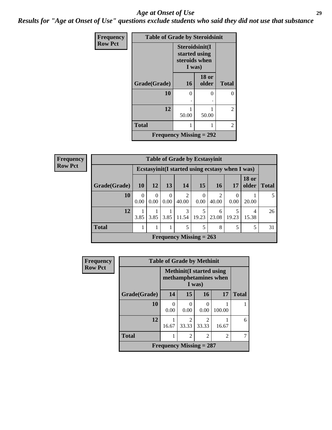#### *Age at Onset of Use* **29**

*Results for "Age at Onset of Use" questions exclude students who said they did not use that substance*

| Frequency      | <b>Table of Grade by Steroidsinit</b> |                                                            |                       |              |  |  |  |  |  |
|----------------|---------------------------------------|------------------------------------------------------------|-----------------------|--------------|--|--|--|--|--|
| <b>Row Pct</b> |                                       | Steroidsinit(I<br>started using<br>steroids when<br>I was) |                       |              |  |  |  |  |  |
|                | Grade(Grade)                          | <b>16</b>                                                  | <b>18</b> or<br>older | <b>Total</b> |  |  |  |  |  |
|                | 10                                    | 0                                                          | ∩                     | 0            |  |  |  |  |  |
|                | 12                                    | 50.00                                                      | 50.00                 | 2            |  |  |  |  |  |
|                | <b>Total</b>                          |                                                            | 2                     |              |  |  |  |  |  |
|                | Frequency Missing $= 292$             |                                                            |                       |              |  |  |  |  |  |

**Frequency Row Pct**

|              | <b>Table of Grade by Ecstasyinit</b>             |               |                  |                           |                  |            |                  |                       |              |  |  |
|--------------|--------------------------------------------------|---------------|------------------|---------------------------|------------------|------------|------------------|-----------------------|--------------|--|--|
|              | Ecstasyinit (I started using ecstasy when I was) |               |                  |                           |                  |            |                  |                       |              |  |  |
| Grade(Grade) | 10 <sup>1</sup>                                  | <b>12</b>     | 13               | 14                        | 15               | <b>16</b>  | 17               | <b>18 or</b><br>older | <b>Total</b> |  |  |
| 10           | $\Omega$<br>0.00                                 | 0<br>$0.00\,$ | $\Omega$<br>0.00 | $\overline{c}$<br>40.00   | $\theta$<br>0.00 | 2<br>40.00 | $\Omega$<br>0.00 | 20.00                 | 5            |  |  |
| 12           | 3.85                                             | 3.85          | 3.85             | 3<br>11.54                | 5<br>19.23       | 6<br>23.08 | 5<br>19.23       | 4<br>15.38            | 26           |  |  |
| <b>Total</b> |                                                  |               |                  | 5                         | 5                | 8          | 5                | 5                     | 31           |  |  |
|              |                                                  |               |                  | Frequency Missing $= 263$ |                  |            |                  |                       |              |  |  |

| Frequency      | <b>Table of Grade by Methinit</b> |                           |                                                           |           |                |              |  |  |  |
|----------------|-----------------------------------|---------------------------|-----------------------------------------------------------|-----------|----------------|--------------|--|--|--|
| <b>Row Pct</b> |                                   |                           | <b>Methinit</b> (I started using<br>methamphetamines when |           |                |              |  |  |  |
|                | Grade(Grade)                      | 14                        | 15                                                        | <b>16</b> | 17             | <b>Total</b> |  |  |  |
|                | 10                                | 0<br>0.00                 | 0<br>0.00                                                 | 0<br>0.00 | 100.00         |              |  |  |  |
|                | 12                                | 16.67                     | 33.33                                                     | 33.33     | 16.67          | 6            |  |  |  |
|                | <b>Total</b>                      | 1                         | $\overline{c}$                                            | 2         | $\mathfrak{D}$ |              |  |  |  |
|                |                                   | Frequency Missing $= 287$ |                                                           |           |                |              |  |  |  |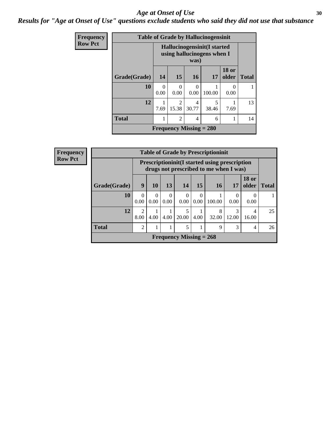#### Age at Onset of Use **30**

*Results for "Age at Onset of Use" questions exclude students who said they did not use that substance*

| Frequency      |              |           |                                                                          |                           | <b>Table of Grade by Hallucinogensinit</b> |                       |              |  |  |  |
|----------------|--------------|-----------|--------------------------------------------------------------------------|---------------------------|--------------------------------------------|-----------------------|--------------|--|--|--|
| <b>Row Pct</b> |              |           | <b>Hallucinogensinit(I started</b><br>using hallucinogens when I<br>was) |                           |                                            |                       |              |  |  |  |
|                | Grade(Grade) | 14        | 15                                                                       | <b>16</b>                 | 17                                         | <b>18 or</b><br>older | <b>Total</b> |  |  |  |
|                | 10           | 0<br>0.00 | $\Omega$<br>0.00                                                         | $\Omega$<br>0.00          | 100.00                                     | 0<br>0.00             |              |  |  |  |
|                | 12           | 7.69      | $\mathfrak{D}$<br>15.38                                                  | 4<br>30.77                | 5<br>38.46                                 | 7.69                  | 13           |  |  |  |
|                | <b>Total</b> |           | $\overline{2}$                                                           | 4                         | 6                                          |                       | 14           |  |  |  |
|                |              |           |                                                                          | Frequency Missing $= 280$ |                                            |                       |              |  |  |  |

| Frequency      |              |                        |                  |                  |                           |                  | <b>Table of Grade by Prescriptioninit</b>                                                       |                  |                         |              |
|----------------|--------------|------------------------|------------------|------------------|---------------------------|------------------|-------------------------------------------------------------------------------------------------|------------------|-------------------------|--------------|
| <b>Row Pct</b> |              |                        |                  |                  |                           |                  | <b>Prescriptioninit (I started using prescription</b><br>drugs not prescribed to me when I was) |                  |                         |              |
|                | Grade(Grade) | 9                      | 10               | 13               | 14                        | 15               | <b>16</b>                                                                                       | 17               | <b>18 or</b><br>older   | <b>Total</b> |
|                | 10           | $\Omega$<br>0.00       | $\Omega$<br>0.00 | $\Omega$<br>0.00 | $\theta$<br>0.00          | $\theta$<br>0.00 | 100.00                                                                                          | $\Omega$<br>0.00 | $\Omega$<br>0.00        |              |
|                | 12           | $\overline{2}$<br>8.00 | 4.00             | 4.00             | 5<br>20.00                | 4.00             | 8<br>32.00                                                                                      | 3<br>12.00       | $\overline{4}$<br>16.00 | 25           |
|                | <b>Total</b> | $\overline{2}$         |                  | 1                | 5                         |                  | 9                                                                                               | 3                | $\overline{4}$          | 26           |
|                |              |                        |                  |                  | Frequency Missing $= 268$ |                  |                                                                                                 |                  |                         |              |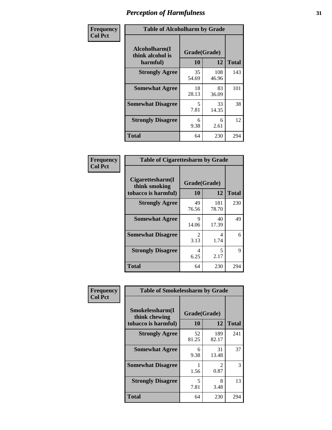| Frequency      |                                               | <b>Table of Alcoholharm by Grade</b> |              |              |  |  |  |  |  |
|----------------|-----------------------------------------------|--------------------------------------|--------------|--------------|--|--|--|--|--|
| <b>Col Pct</b> | Alcoholharm(I<br>think alcohol is<br>harmful) | Grade(Grade)<br>10                   | 12           | <b>Total</b> |  |  |  |  |  |
|                | <b>Strongly Agree</b>                         | 35<br>54.69                          | 108<br>46.96 | 143          |  |  |  |  |  |
|                | <b>Somewhat Agree</b>                         | 18<br>28.13                          | 83<br>36.09  | 101          |  |  |  |  |  |
|                | <b>Somewhat Disagree</b>                      | 5<br>7.81                            | 33<br>14.35  | 38           |  |  |  |  |  |
|                | <b>Strongly Disagree</b>                      | 6<br>9.38                            | 6<br>2.61    | 12           |  |  |  |  |  |
|                | <b>Total</b>                                  | 64                                   | 230          | 294          |  |  |  |  |  |

| <b>Table of Cigarettesharm by Grade</b>                  |                        |              |              |  |  |  |  |  |
|----------------------------------------------------------|------------------------|--------------|--------------|--|--|--|--|--|
| Cigarettesharm(I<br>think smoking<br>tobacco is harmful) | Grade(Grade)<br>10     | 12           | <b>Total</b> |  |  |  |  |  |
| <b>Strongly Agree</b>                                    | 49<br>76.56            | 181<br>78.70 | 230          |  |  |  |  |  |
| <b>Somewhat Agree</b>                                    | 9<br>14.06             | 40<br>17.39  | 49           |  |  |  |  |  |
| <b>Somewhat Disagree</b>                                 | $\mathfrak{D}$<br>3.13 | 4<br>1.74    | 6            |  |  |  |  |  |
| <b>Strongly Disagree</b>                                 | 4<br>6.25              | 5<br>2.17    | 9            |  |  |  |  |  |
| <b>Total</b>                                             | 64                     | 230          | 294          |  |  |  |  |  |

| Frequency      | <b>Table of Smokelessharm by Grade</b>                  |                    |                        |              |
|----------------|---------------------------------------------------------|--------------------|------------------------|--------------|
| <b>Col Pct</b> | Smokelessharm(I<br>think chewing<br>tobacco is harmful) | Grade(Grade)<br>10 | 12                     | <b>Total</b> |
|                | <b>Strongly Agree</b>                                   | 52<br>81.25        | 189<br>82.17           | 241          |
|                | <b>Somewhat Agree</b>                                   | 6<br>9.38          | 31<br>13.48            | 37           |
|                | <b>Somewhat Disagree</b>                                | 1.56               | $\mathfrak{D}$<br>0.87 | 3            |
|                | <b>Strongly Disagree</b>                                | 5<br>7.81          | 8<br>3.48              | 13           |
|                | <b>Total</b>                                            | 64                 | 230                    | 294          |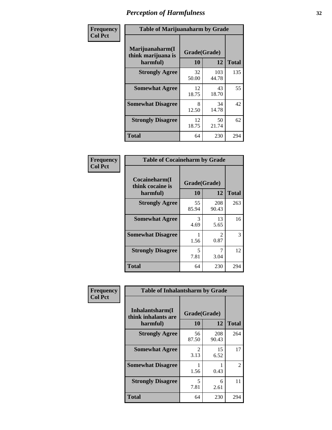| Frequency      | <b>Table of Marijuanaharm by Grade</b>            |                    |              |              |
|----------------|---------------------------------------------------|--------------------|--------------|--------------|
| <b>Col Pct</b> | Marijuanaharm(I<br>think marijuana is<br>harmful) | Grade(Grade)<br>10 | 12           | <b>Total</b> |
|                | <b>Strongly Agree</b>                             | 32<br>50.00        | 103<br>44.78 | 135          |
|                | <b>Somewhat Agree</b>                             | 12<br>18.75        | 43<br>18.70  | 55           |
|                | <b>Somewhat Disagree</b>                          | 8<br>12.50         | 34<br>14.78  | 42           |
|                | <b>Strongly Disagree</b>                          | 12<br>18.75        | 50<br>21.74  | 62           |
|                | <b>Total</b>                                      | 64                 | 230          | 294          |

| <b>Table of Cocaineharm by Grade</b>          |                    |                        |     |  |  |
|-----------------------------------------------|--------------------|------------------------|-----|--|--|
| Cocaineharm(I<br>think cocaine is<br>harmful) | Grade(Grade)<br>10 | <b>Total</b>           |     |  |  |
| <b>Strongly Agree</b>                         | 55<br>85.94        | 208<br>90.43           | 263 |  |  |
| <b>Somewhat Agree</b>                         | 3<br>4.69          | 13<br>5.65             | 16  |  |  |
| <b>Somewhat Disagree</b>                      | 1<br>1.56          | $\mathfrak{D}$<br>0.87 | 3   |  |  |
| <b>Strongly Disagree</b>                      | 5<br>7.81          | 7<br>3.04              | 12  |  |  |
| <b>Total</b>                                  | 64                 | 230                    | 294 |  |  |

| Frequency      | <b>Table of Inhalantsharm by Grade</b>             |                    |              |                |  |
|----------------|----------------------------------------------------|--------------------|--------------|----------------|--|
| <b>Col Pct</b> | Inhalantsharm(I<br>think inhalants are<br>harmful) | Grade(Grade)<br>10 | 12           | <b>Total</b>   |  |
|                | <b>Strongly Agree</b>                              | 56<br>87.50        | 208<br>90.43 | 264            |  |
|                | <b>Somewhat Agree</b>                              | 2<br>3.13          | 15<br>6.52   | 17             |  |
|                | <b>Somewhat Disagree</b>                           | 1.56               | 0.43         | $\overline{2}$ |  |
|                | <b>Strongly Disagree</b>                           | 5<br>7.81          | 6<br>2.61    | 11             |  |
|                | <b>Total</b>                                       | 64                 | 230          | 294            |  |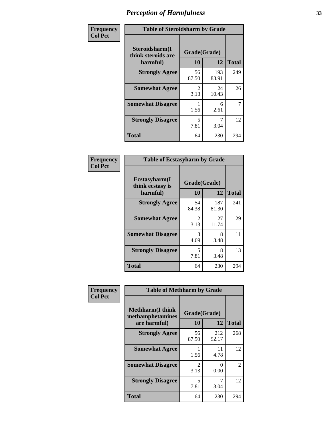| Frequency      | <b>Table of Steroidsharm by Grade</b>            |                       |              |              |
|----------------|--------------------------------------------------|-----------------------|--------------|--------------|
| <b>Col Pct</b> | Steroidsharm(I<br>think steroids are<br>harmful) | Grade(Grade)<br>10    | 12           | <b>Total</b> |
|                | <b>Strongly Agree</b>                            | 56<br>87.50           | 193<br>83.91 | 249          |
|                | <b>Somewhat Agree</b>                            | $\mathcal{L}$<br>3.13 | 24<br>10.43  | 26           |
|                | <b>Somewhat Disagree</b>                         | 1.56                  | 6<br>2.61    | 7            |
|                | <b>Strongly Disagree</b>                         | 5<br>7.81             | 7<br>3.04    | 12           |
|                | <b>Total</b>                                     | 64                    | 230          | 294          |

| <b>Table of Ecstasyharm by Grade</b>          |                    |              |     |  |  |  |
|-----------------------------------------------|--------------------|--------------|-----|--|--|--|
| Ecstasyharm(I<br>think ecstasy is<br>harmful) | Grade(Grade)<br>10 | <b>Total</b> |     |  |  |  |
| <b>Strongly Agree</b>                         | 54<br>84.38        | 187<br>81.30 | 241 |  |  |  |
| <b>Somewhat Agree</b>                         | 2<br>3.13          | 27<br>11.74  | 29  |  |  |  |
| <b>Somewhat Disagree</b>                      | 3<br>4.69          | 8<br>3.48    | 11  |  |  |  |
| <b>Strongly Disagree</b>                      | 5<br>7.81          | 8<br>3.48    | 13  |  |  |  |
| <b>Total</b>                                  | 64                 | 230          | 294 |  |  |  |

| Frequency      | <b>Table of Methharm by Grade</b>                            |                        |                           |              |  |
|----------------|--------------------------------------------------------------|------------------------|---------------------------|--------------|--|
| <b>Col Pct</b> | <b>Methharm</b> (I think<br>methamphetamines<br>are harmful) | Grade(Grade)<br>10     | 12                        | <b>Total</b> |  |
|                | <b>Strongly Agree</b>                                        | 56<br>87.50            | 212<br>92.17              | 268          |  |
|                | <b>Somewhat Agree</b>                                        | 1.56                   | 11<br>4.78                | 12           |  |
|                | <b>Somewhat Disagree</b>                                     | $\mathfrak{D}$<br>3.13 | $\mathbf{\Omega}$<br>0.00 | 2            |  |
|                | <b>Strongly Disagree</b>                                     | 5<br>7.81              | 3.04                      | 12           |  |
|                | <b>Total</b>                                                 | 64                     | 230                       | 294          |  |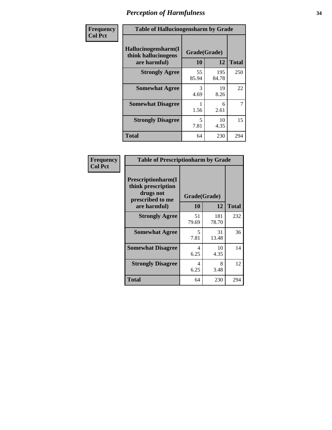| Frequency      | <b>Table of Hallucinogensharm by Grade</b>                 |                    |              |              |
|----------------|------------------------------------------------------------|--------------------|--------------|--------------|
| <b>Col Pct</b> | Hallucinogensharm(I<br>think hallucinogens<br>are harmful) | Grade(Grade)<br>10 | 12           | <b>Total</b> |
|                | <b>Strongly Agree</b>                                      | 55<br>85.94        | 195<br>84.78 | 250          |
|                | <b>Somewhat Agree</b>                                      | 3<br>4.69          | 19<br>8.26   | 22           |
|                | <b>Somewhat Disagree</b>                                   | 1.56               | 6<br>2.61    | 7            |
|                | <b>Strongly Disagree</b>                                   | 5<br>7.81          | 10<br>4.35   | 15           |
|                | <b>Total</b>                                               | 64                 | 230          | 294          |

| <b>Table of Prescriptionharm by Grade</b>                                         |             |              |              |  |
|-----------------------------------------------------------------------------------|-------------|--------------|--------------|--|
| <b>Prescriptionharm</b> (I<br>think prescription<br>drugs not<br>prescribed to me |             | Grade(Grade) |              |  |
| are harmful)                                                                      | 10          | 12           | <b>Total</b> |  |
| <b>Strongly Agree</b>                                                             | 51<br>79.69 | 181<br>78.70 | 232          |  |
| <b>Somewhat Agree</b>                                                             | 5<br>7.81   | 31<br>13.48  | 36           |  |
| <b>Somewhat Disagree</b>                                                          | 4<br>6.25   | 10<br>4.35   | 14           |  |
| <b>Strongly Disagree</b>                                                          | 4<br>6.25   | 8<br>3.48    | 12           |  |
| Total                                                                             | 64          | 230          | 294          |  |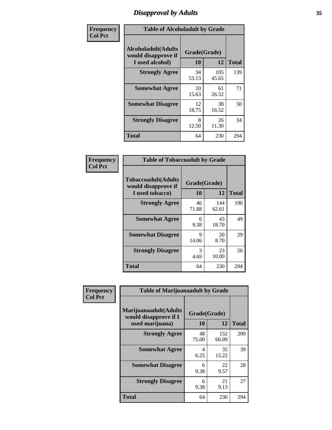# *Disapproval by Adults* **35**

| Frequency      | <b>Table of Alcoholadult by Grade</b>                                 |                    |              |              |
|----------------|-----------------------------------------------------------------------|--------------------|--------------|--------------|
| <b>Col Pct</b> | <b>Alcoholadult</b> (Adults<br>would disapprove if<br>I used alcohol) | Grade(Grade)<br>10 | 12           | <b>Total</b> |
|                | <b>Strongly Agree</b>                                                 | 34<br>53.13        | 105<br>45.65 | 139          |
|                | <b>Somewhat Agree</b>                                                 | 10<br>15.63        | 61<br>26.52  | 71           |
|                | <b>Somewhat Disagree</b>                                              | 12<br>18.75        | 38<br>16.52  | 50           |
|                | <b>Strongly Disagree</b>                                              | 8<br>12.50         | 26<br>11.30  | 34           |
|                | <b>Total</b>                                                          | 64                 | 230          | 294          |

| <b>Table of Tobaccoadult by Grade</b>                                 |                    |              |              |  |  |
|-----------------------------------------------------------------------|--------------------|--------------|--------------|--|--|
| <b>Tobaccoadult</b> (Adults<br>would disapprove if<br>I used tobacco) | Grade(Grade)<br>10 | 12           | <b>Total</b> |  |  |
| <b>Strongly Agree</b>                                                 | 46<br>71.88        | 144<br>62.61 | 190          |  |  |
| <b>Somewhat Agree</b>                                                 | 6<br>9.38          | 43<br>18.70  | 49           |  |  |
| <b>Somewhat Disagree</b>                                              | 9<br>14.06         | 20<br>8.70   | 29           |  |  |
| <b>Strongly Disagree</b>                                              | 3<br>4.69          | 23<br>10.00  | 26           |  |  |
| <b>Total</b>                                                          | 64                 | 230          | 294          |  |  |

| Frequency      | <b>Table of Marijuanaadult by Grade</b>                           |                    |              |              |  |
|----------------|-------------------------------------------------------------------|--------------------|--------------|--------------|--|
| <b>Col Pct</b> | Marijuanaadult(Adults<br>would disapprove if I<br>used marijuana) | Grade(Grade)<br>10 | 12           | <b>Total</b> |  |
|                | <b>Strongly Agree</b>                                             | 48<br>75.00        | 152<br>66.09 | 200          |  |
|                | <b>Somewhat Agree</b>                                             | 4<br>6.25          | 35<br>15.22  | 39           |  |
|                | <b>Somewhat Disagree</b>                                          | 6<br>9.38          | 22<br>9.57   | 28           |  |
|                | <b>Strongly Disagree</b>                                          | 6<br>9.38          | 21<br>9.13   | 27           |  |
|                | <b>Total</b>                                                      | 64                 | 230          | 294          |  |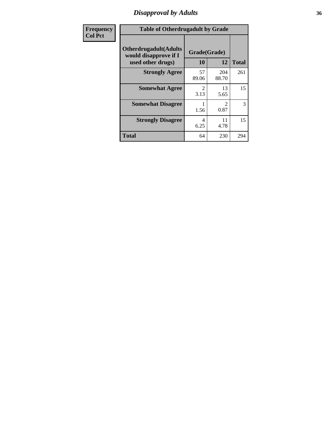# *Disapproval by Adults* **36**

| <b>Frequency</b> | <b>Table of Otherdrugadult by Grade</b>                                     |                                     |                               |              |  |
|------------------|-----------------------------------------------------------------------------|-------------------------------------|-------------------------------|--------------|--|
| <b>Col Pct</b>   | <b>Otherdrugadult</b> (Adults<br>would disapprove if I<br>used other drugs) | Grade(Grade)<br>10                  | 12                            | <b>Total</b> |  |
|                  | <b>Strongly Agree</b>                                                       | 57<br>89.06                         | 204<br>88.70                  | 261          |  |
|                  | <b>Somewhat Agree</b>                                                       | $\mathcal{D}_{\mathcal{L}}$<br>3.13 | 13<br>5.65                    | 15           |  |
|                  | <b>Somewhat Disagree</b>                                                    | 1.56                                | $\mathcal{D}_{\cdot}$<br>0.87 | 3            |  |
|                  | <b>Strongly Disagree</b>                                                    | 4<br>6.25                           | 11<br>4.78                    | 15           |  |
|                  | <b>Total</b>                                                                | 64                                  | 230                           | 294          |  |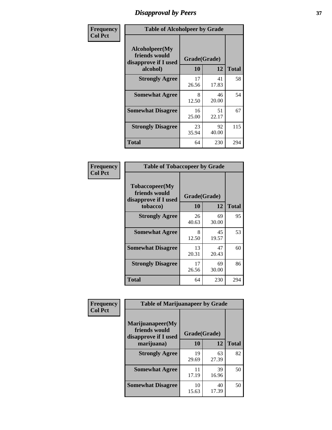# *Disapproval by Peers* **37**

| Frequency      | <b>Table of Alcoholpeer by Grade</b>                    |              |             |              |  |
|----------------|---------------------------------------------------------|--------------|-------------|--------------|--|
| <b>Col Pct</b> | Alcoholpeer(My<br>friends would<br>disapprove if I used | Grade(Grade) |             |              |  |
|                | alcohol)                                                | 10           | 12          | <b>Total</b> |  |
|                | <b>Strongly Agree</b>                                   | 17<br>26.56  | 41<br>17.83 | 58           |  |
|                | <b>Somewhat Agree</b>                                   | 8<br>12.50   | 46<br>20.00 | 54           |  |
|                | <b>Somewhat Disagree</b>                                | 16<br>25.00  | 51<br>22.17 | 67           |  |
|                | <b>Strongly Disagree</b>                                | 23<br>35.94  | 92<br>40.00 | 115          |  |
|                | Total                                                   | 64           | 230         | 294          |  |

| Frequency      | <b>Table of Tobaccopeer by Grade</b>                                |                    |             |              |  |
|----------------|---------------------------------------------------------------------|--------------------|-------------|--------------|--|
| <b>Col Pct</b> | Tobaccopeer(My<br>friends would<br>disapprove if I used<br>tobacco) | Grade(Grade)<br>10 | 12          | <b>Total</b> |  |
|                | <b>Strongly Agree</b>                                               | 26<br>40.63        | 69<br>30.00 | 95           |  |
|                | <b>Somewhat Agree</b>                                               | 8<br>12.50         | 45<br>19.57 | 53           |  |
|                | <b>Somewhat Disagree</b>                                            | 13<br>20.31        | 47<br>20.43 | 60           |  |
|                | <b>Strongly Disagree</b>                                            | 17<br>26.56        | 69<br>30.00 | 86           |  |
|                | <b>Total</b>                                                        | 64                 | 230         | 294          |  |

| Frequency      | <b>Table of Marijuanapeer by Grade</b> |              |             |              |
|----------------|----------------------------------------|--------------|-------------|--------------|
| <b>Col Pct</b> | Marijuanapeer(My<br>friends would      | Grade(Grade) |             |              |
|                | disapprove if I used<br>marijuana)     | 10           | 12          | <b>Total</b> |
|                | <b>Strongly Agree</b>                  | 19<br>29.69  | 63<br>27.39 | 82           |
|                | <b>Somewhat Agree</b>                  | 11<br>17.19  | 39<br>16.96 | 50           |
|                | <b>Somewhat Disagree</b>               | 10<br>15.63  | 40<br>17.39 | 50           |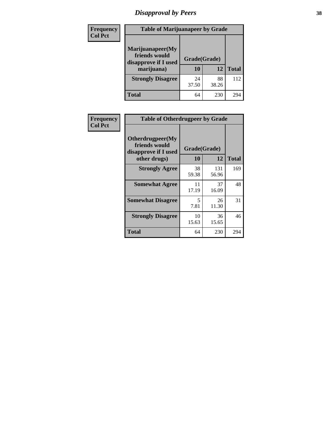# *Disapproval by Peers* **38**

| <b>Frequency</b> | <b>Table of Marijuanapeer by Grade</b>                                  |                    |             |              |  |
|------------------|-------------------------------------------------------------------------|--------------------|-------------|--------------|--|
| <b>Col Pct</b>   | Marijuanapeer(My<br>friends would<br>disapprove if I used<br>marijuana) | Grade(Grade)<br>10 | 12          | <b>Total</b> |  |
|                  | <b>Strongly Disagree</b>                                                | 24<br>37.50        | 88<br>38.26 | 112          |  |
|                  | <b>Total</b>                                                            | 64                 | 230         | 294          |  |

| Frequency      | <b>Table of Otherdrugpeer by Grade</b>                                    |                    |              |              |
|----------------|---------------------------------------------------------------------------|--------------------|--------------|--------------|
| <b>Col Pct</b> | Otherdrugpeer(My<br>friends would<br>disapprove if I used<br>other drugs) | Grade(Grade)<br>10 | 12           | <b>Total</b> |
|                | <b>Strongly Agree</b>                                                     | 38<br>59.38        | 131<br>56.96 | 169          |
|                | <b>Somewhat Agree</b>                                                     | 11<br>17.19        | 37<br>16.09  | 48           |
|                | <b>Somewhat Disagree</b>                                                  | 5<br>7.81          | 26<br>11.30  | 31           |
|                | <b>Strongly Disagree</b>                                                  | 10<br>15.63        | 36<br>15.65  | 46           |
|                | <b>Total</b>                                                              | 64                 | 230          | 294          |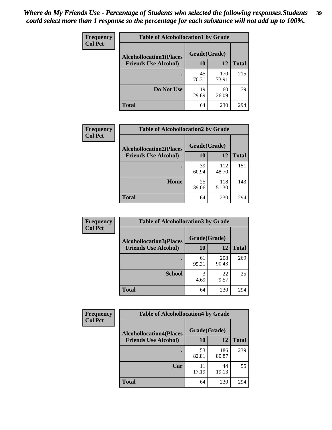| Frequency<br><b>Col Pct</b> | <b>Table of Alcohollocation1 by Grade</b> |              |              |              |  |
|-----------------------------|-------------------------------------------|--------------|--------------|--------------|--|
|                             | <b>Alcohollocation1(Places</b>            | Grade(Grade) |              |              |  |
|                             | <b>Friends Use Alcohol)</b>               | 10           | 12           | <b>Total</b> |  |
|                             |                                           | 45<br>70.31  | 170<br>73.91 | 215          |  |
|                             | Do Not Use                                | 19<br>29.69  | 60<br>26.09  | 79           |  |
|                             | <b>Total</b>                              | 64           | 230          | 294          |  |

| Frequency      | <b>Table of Alcohollocation2 by Grade</b>                     |                    |              |              |
|----------------|---------------------------------------------------------------|--------------------|--------------|--------------|
| <b>Col Pct</b> | <b>Alcohollocation2(Places</b><br><b>Friends Use Alcohol)</b> | Grade(Grade)<br>10 | 12           | <b>Total</b> |
|                |                                                               | 39<br>60.94        | 112<br>48.70 | 151          |
|                | Home                                                          | 25<br>39.06        | 118<br>51.30 | 143          |
|                | <b>Total</b>                                                  | 64                 | 230          | 294          |

| Frequency<br><b>Col Pct</b> | <b>Table of Alcohollocation 3 by Grade</b>                    |                    |              |              |  |
|-----------------------------|---------------------------------------------------------------|--------------------|--------------|--------------|--|
|                             | <b>Alcohollocation3(Places</b><br><b>Friends Use Alcohol)</b> | Grade(Grade)<br>10 | 12           | <b>Total</b> |  |
|                             |                                                               | 61<br>95.31        | 208<br>90.43 | 269          |  |
|                             | <b>School</b>                                                 | 3<br>4.69          | 22<br>9.57   | 25           |  |
|                             | <b>Total</b>                                                  | 64                 | 230          | 294          |  |

| Frequency<br><b>Col Pct</b> | <b>Table of Alcohollocation4 by Grade</b> |             |              |              |  |
|-----------------------------|-------------------------------------------|-------------|--------------|--------------|--|
|                             | <b>Alcohollocation4(Places</b>            |             | Grade(Grade) |              |  |
|                             | <b>Friends Use Alcohol)</b>               | 10          | 12           | <b>Total</b> |  |
|                             |                                           | 53<br>82.81 | 186<br>80.87 | 239          |  |
|                             | Car                                       | 11<br>17.19 | 44<br>19.13  | 55           |  |
|                             | <b>Total</b>                              | 64          | 230          | 294          |  |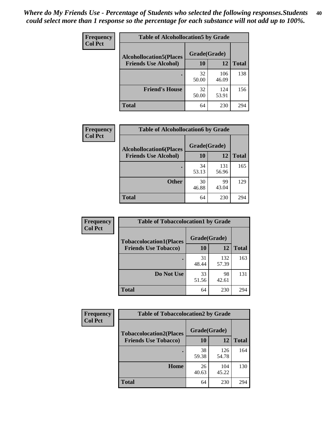| Frequency<br><b>Col Pct</b> | <b>Table of Alcohollocation5 by Grade</b>      |             |              |              |  |
|-----------------------------|------------------------------------------------|-------------|--------------|--------------|--|
|                             | Grade(Grade)<br><b>Alcohollocation5(Places</b> |             |              |              |  |
|                             | <b>Friends Use Alcohol)</b>                    | 10          | 12           | <b>Total</b> |  |
|                             |                                                | 32<br>50.00 | 106<br>46.09 | 138          |  |
|                             | <b>Friend's House</b>                          | 32<br>50.00 | 124<br>53.91 | 156          |  |
|                             | <b>Total</b>                                   | 64          | 230          | 294          |  |

| <b>Frequency</b> |                                | <b>Table of Alcohollocation6 by Grade</b> |              |              |  |
|------------------|--------------------------------|-------------------------------------------|--------------|--------------|--|
| <b>Col Pct</b>   | <b>Alcohollocation6(Places</b> | Grade(Grade)                              |              |              |  |
|                  | <b>Friends Use Alcohol)</b>    | 10                                        | 12           | <b>Total</b> |  |
|                  |                                | 34<br>53.13                               | 131<br>56.96 | 165          |  |
|                  | <b>Other</b>                   | 30<br>46.88                               | 99<br>43.04  | 129          |  |
|                  | <b>Total</b>                   | 64                                        | 230          | 294          |  |

| <b>Frequency</b> | <b>Table of Tobaccolocation1 by Grade</b> |              |              |              |
|------------------|-------------------------------------------|--------------|--------------|--------------|
| <b>Col Pct</b>   | <b>Tobaccolocation1(Places</b>            | Grade(Grade) |              |              |
|                  | <b>Friends Use Tobacco)</b>               | 10           | 12           | <b>Total</b> |
|                  |                                           | 31<br>48.44  | 132<br>57.39 | 163          |
|                  | Do Not Use                                | 33<br>51.56  | 98<br>42.61  | 131          |
|                  | <b>Total</b>                              | 64           | 230          | 294          |

| Frequency      | <b>Table of Tobaccolocation2 by Grade</b> |              |              |              |  |  |
|----------------|-------------------------------------------|--------------|--------------|--------------|--|--|
| <b>Col Pct</b> | <b>Tobaccolocation2(Places</b>            | Grade(Grade) |              |              |  |  |
|                | <b>Friends Use Tobacco)</b>               | 10           | 12           | <b>Total</b> |  |  |
|                |                                           | 38<br>59.38  | 126<br>54.78 | 164          |  |  |
|                | Home                                      | 26<br>40.63  | 104<br>45.22 | 130          |  |  |
|                | <b>Total</b>                              | 64           | 230          | 294          |  |  |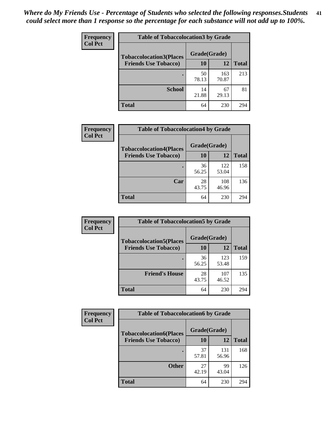| Frequency      | <b>Table of Tobaccolocation 3 by Grade</b> |              |              |              |  |
|----------------|--------------------------------------------|--------------|--------------|--------------|--|
| <b>Col Pct</b> | <b>Tobaccolocation3(Places</b>             | Grade(Grade) |              |              |  |
|                | <b>Friends Use Tobacco)</b>                | 10           | <b>12</b>    | <b>Total</b> |  |
|                | ٠                                          | 50<br>78.13  | 163<br>70.87 | 213          |  |
|                | <b>School</b>                              | 14<br>21.88  | 67<br>29.13  | 81           |  |
|                | <b>Total</b>                               | 64           | 230          | 294          |  |

| <b>Frequency</b> | <b>Table of Tobaccolocation4 by Grade</b> |              |              |              |
|------------------|-------------------------------------------|--------------|--------------|--------------|
| <b>Col Pct</b>   | <b>Tobaccolocation4(Places</b>            | Grade(Grade) |              |              |
|                  | <b>Friends Use Tobacco)</b>               | 10           | 12           | <b>Total</b> |
|                  |                                           | 36<br>56.25  | 122<br>53.04 | 158          |
|                  | Car                                       | 28<br>43.75  | 108<br>46.96 | 136          |
|                  | <b>Total</b>                              | 64           | 230          | 294          |

| Frequency<br><b>Col Pct</b> | <b>Table of Tobaccolocation5 by Grade</b> |              |              |              |
|-----------------------------|-------------------------------------------|--------------|--------------|--------------|
|                             | <b>Tobaccolocation5(Places</b>            | Grade(Grade) |              |              |
|                             | <b>Friends Use Tobacco)</b>               | 10           | <b>12</b>    | <b>Total</b> |
|                             |                                           | 36<br>56.25  | 123<br>53.48 | 159          |
|                             | <b>Friend's House</b>                     | 28<br>43.75  | 107<br>46.52 | 135          |
|                             | <b>Total</b>                              | 64           | 230          | 294          |

| <b>Frequency</b> | <b>Table of Tobaccolocation6 by Grade</b> |              |              |              |
|------------------|-------------------------------------------|--------------|--------------|--------------|
| <b>Col Pct</b>   | <b>Tobaccolocation6(Places</b>            | Grade(Grade) |              |              |
|                  | <b>Friends Use Tobacco)</b>               | 10           | 12           | <b>Total</b> |
|                  |                                           | 37<br>57.81  | 131<br>56.96 | 168          |
|                  | <b>Other</b>                              | 27<br>42.19  | 99<br>43.04  | 126          |
|                  | <b>Total</b>                              | 64           | 230          | 294          |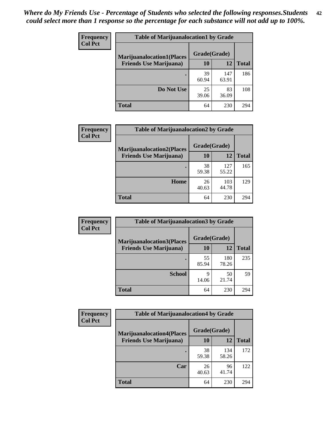| <b>Frequency</b> | <b>Table of Marijuanalocation1 by Grade</b> |              |              |              |
|------------------|---------------------------------------------|--------------|--------------|--------------|
| <b>Col Pct</b>   | <b>Marijuanalocation1(Places</b>            | Grade(Grade) |              |              |
|                  | <b>Friends Use Marijuana</b> )              | 10           | 12           | <b>Total</b> |
|                  |                                             | 39<br>60.94  | 147<br>63.91 | 186          |
|                  | Do Not Use                                  | 25<br>39.06  | 83<br>36.09  | 108          |
|                  | <b>Total</b>                                | 64           | 230          | 294          |

| <b>Frequency</b> | <b>Table of Marijuanalocation2 by Grade</b>                        |                    |              |              |
|------------------|--------------------------------------------------------------------|--------------------|--------------|--------------|
| <b>Col Pct</b>   | <b>Marijuanalocation2(Places</b><br><b>Friends Use Marijuana</b> ) | Grade(Grade)<br>10 | 12           | <b>Total</b> |
|                  |                                                                    | 38<br>59.38        | 127<br>55.22 | 165          |
|                  | <b>Home</b>                                                        | 26<br>40.63        | 103<br>44.78 | 129          |
|                  | <b>Total</b>                                                       | 64                 | 230          | 294          |

| <b>Frequency</b><br><b>Col Pct</b> | <b>Table of Marijuanalocation3 by Grade</b> |              |              |              |
|------------------------------------|---------------------------------------------|--------------|--------------|--------------|
|                                    | <b>Marijuanalocation3</b> (Places           | Grade(Grade) |              |              |
|                                    | <b>Friends Use Marijuana</b> )              | <b>10</b>    | 12           | <b>Total</b> |
|                                    |                                             | 55<br>85.94  | 180<br>78.26 | 235          |
|                                    | <b>School</b>                               | q<br>14.06   | 50<br>21.74  | 59           |
|                                    | <b>Total</b>                                | 64           | 230          | 294          |

| <b>Frequency</b> | <b>Table of Marijuanalocation4 by Grade</b> |              |              |              |  |
|------------------|---------------------------------------------|--------------|--------------|--------------|--|
| <b>Col Pct</b>   | <b>Marijuanalocation4(Places</b>            | Grade(Grade) |              |              |  |
|                  | <b>Friends Use Marijuana</b> )              | 10           | 12           | <b>Total</b> |  |
|                  |                                             | 38<br>59.38  | 134<br>58.26 | 172          |  |
|                  | Car                                         | 26<br>40.63  | 96<br>41.74  | 122          |  |
|                  | <b>Total</b>                                | 64           | 230          | 294          |  |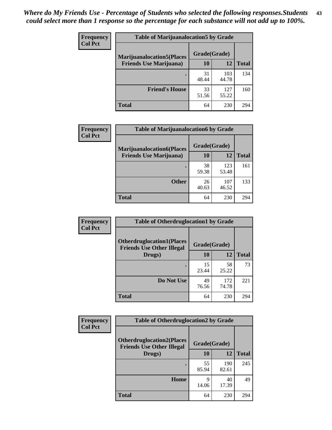| <b>Frequency</b> | <b>Table of Marijuanalocation5 by Grade</b> |              |              |              |
|------------------|---------------------------------------------|--------------|--------------|--------------|
| <b>Col Pct</b>   | <b>Marijuanalocation5(Places)</b>           | Grade(Grade) |              |              |
|                  | <b>Friends Use Marijuana</b> )              | 10           | 12           | <b>Total</b> |
|                  |                                             | 31<br>48.44  | 103<br>44.78 | 134          |
|                  | <b>Friend's House</b>                       | 33<br>51.56  | 127<br>55.22 | 160          |
|                  | <b>Total</b>                                | 64           | 230          | 294          |

| Frequency<br><b>Col Pct</b> | <b>Table of Marijuanalocation6 by Grade</b> |              |       |              |
|-----------------------------|---------------------------------------------|--------------|-------|--------------|
|                             | <b>Marijuanalocation6(Places</b>            | Grade(Grade) |       |              |
|                             | <b>Friends Use Marijuana</b> )              | 10           | 12    | <b>Total</b> |
|                             |                                             | 38           | 123   | 161          |
|                             |                                             | 59.38        | 53.48 |              |
|                             | <b>Other</b>                                | 26           | 107   | 133          |
|                             |                                             | 40.63        | 46.52 |              |
|                             | <b>Total</b>                                | 64           | 230   | 294          |

| <b>Frequency</b> | <b>Table of Otherdruglocation1 by Grade</b>                          |              |              |              |
|------------------|----------------------------------------------------------------------|--------------|--------------|--------------|
| <b>Col Pct</b>   | <b>Otherdruglocation1(Places</b><br><b>Friends Use Other Illegal</b> | Grade(Grade) |              |              |
|                  | Drugs)                                                               | 10           | 12           | <b>Total</b> |
|                  |                                                                      | 15<br>23.44  | 58<br>25.22  | 73           |
|                  | Do Not Use                                                           | 49<br>76.56  | 172<br>74.78 | 221          |
|                  | <b>Total</b>                                                         | 64           | 230          | 294          |

| <b>Frequency</b> | <b>Table of Otherdruglocation2 by Grade</b>                          |              |              |              |
|------------------|----------------------------------------------------------------------|--------------|--------------|--------------|
| <b>Col Pct</b>   | <b>Otherdruglocation2(Places</b><br><b>Friends Use Other Illegal</b> | Grade(Grade) |              |              |
|                  | Drugs)                                                               | 10           | 12           | <b>Total</b> |
|                  |                                                                      | 55<br>85.94  | 190<br>82.61 | 245          |
|                  | Home                                                                 | 9<br>14.06   | 40<br>17.39  | 49           |
|                  | <b>Total</b>                                                         | 64           | 230          | 294          |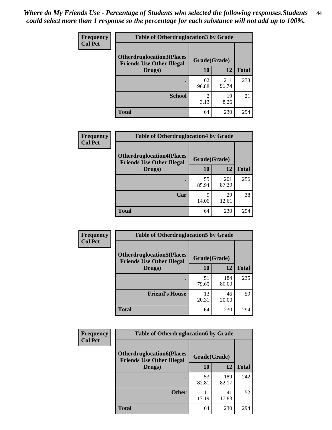| <b>Frequency</b> | <b>Table of Otherdruglocation 3 by Grade</b>                         |                        |              |              |
|------------------|----------------------------------------------------------------------|------------------------|--------------|--------------|
| <b>Col Pct</b>   | <b>Otherdruglocation3(Places</b><br><b>Friends Use Other Illegal</b> | Grade(Grade)           |              |              |
|                  | Drugs)                                                               | 10                     | 12           | <b>Total</b> |
|                  | ٠                                                                    | 62<br>96.88            | 211<br>91.74 | 273          |
|                  | <b>School</b>                                                        | $\mathfrak{D}$<br>3.13 | 19<br>8.26   | 21           |
|                  | <b>Total</b>                                                         | 64                     | 230          | 294          |

| Frequency      | <b>Table of Otherdruglocation4 by Grade</b>                          |              |              |              |
|----------------|----------------------------------------------------------------------|--------------|--------------|--------------|
| <b>Col Pct</b> | <b>Otherdruglocation4(Places</b><br><b>Friends Use Other Illegal</b> | Grade(Grade) |              |              |
|                | Drugs)                                                               | <b>10</b>    | 12           | <b>Total</b> |
|                |                                                                      | 55<br>85.94  | 201<br>87.39 | 256          |
|                | Car                                                                  | 9<br>14.06   | 29<br>12.61  | 38           |
|                | <b>Total</b>                                                         | 64           | 230          | 294          |

| <b>Frequency</b><br><b>Col Pct</b> | <b>Table of Otherdruglocation5 by Grade</b>                          |              |              |              |
|------------------------------------|----------------------------------------------------------------------|--------------|--------------|--------------|
|                                    | <b>Otherdruglocation5(Places</b><br><b>Friends Use Other Illegal</b> | Grade(Grade) |              |              |
|                                    | Drugs)                                                               | 10           | 12           | <b>Total</b> |
|                                    |                                                                      | 51<br>79.69  | 184<br>80.00 | 235          |
|                                    | <b>Friend's House</b>                                                | 13<br>20.31  | 46<br>20.00  | 59           |
|                                    | <b>Total</b>                                                         | 64           | 230          | 294          |

| <b>Frequency</b> | <b>Table of Otherdruglocation6 by Grade</b>                          |              |              |              |
|------------------|----------------------------------------------------------------------|--------------|--------------|--------------|
| <b>Col Pct</b>   | <b>Otherdruglocation6(Places</b><br><b>Friends Use Other Illegal</b> | Grade(Grade) |              |              |
|                  | Drugs)                                                               | <b>10</b>    | 12           | <b>Total</b> |
|                  |                                                                      | 53<br>82.81  | 189<br>82.17 | 242          |
|                  | <b>Other</b>                                                         | 11<br>17.19  | 41<br>17.83  | 52           |
|                  | <b>Total</b>                                                         | 64           | 230          | 294          |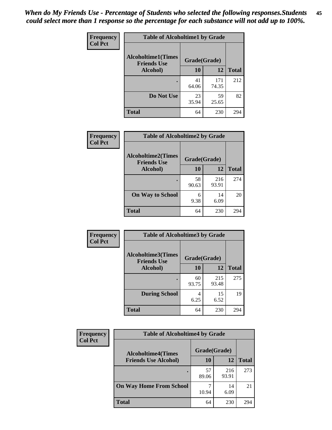| Frequency      | <b>Table of Alcoholtime1 by Grade</b>           |              |              |              |
|----------------|-------------------------------------------------|--------------|--------------|--------------|
| <b>Col Pct</b> | <b>Alcoholtime1(Times</b><br><b>Friends Use</b> | Grade(Grade) |              |              |
|                | Alcohol)                                        | 10           | <b>12</b>    | <b>Total</b> |
|                |                                                 | 41<br>64.06  | 171<br>74.35 | 212          |
|                | Do Not Use                                      | 23<br>35.94  | 59<br>25.65  | 82           |
|                | <b>Total</b>                                    | 64           | 230          | 294          |

| Frequency      | <b>Table of Alcoholtime2 by Grade</b>           |              |              |              |
|----------------|-------------------------------------------------|--------------|--------------|--------------|
| <b>Col Pct</b> | <b>Alcoholtime2(Times</b><br><b>Friends Use</b> | Grade(Grade) |              |              |
|                | Alcohol)                                        | 10           | 12           | <b>Total</b> |
|                |                                                 | 58<br>90.63  | 216<br>93.91 | 274          |
|                | <b>On Way to School</b>                         | 6<br>9.38    | 14<br>6.09   | 20           |
|                | <b>Total</b>                                    | 64           | 230          | 294          |

| Frequency      | <b>Table of Alcoholtime3 by Grade</b>           |              |              |              |
|----------------|-------------------------------------------------|--------------|--------------|--------------|
| <b>Col Pct</b> | <b>Alcoholtime3(Times</b><br><b>Friends Use</b> | Grade(Grade) |              |              |
|                | Alcohol)                                        | 10           | 12           | <b>Total</b> |
|                |                                                 | 60<br>93.75  | 215<br>93.48 | 275          |
|                | <b>During School</b>                            | 4<br>6.25    | 15<br>6.52   | 19           |
|                | <b>Total</b>                                    | 64           | 230          | 294          |

| <b>Frequency</b><br><b>Col Pct</b> | <b>Table of Alcoholtime4 by Grade</b> |              |              |              |
|------------------------------------|---------------------------------------|--------------|--------------|--------------|
|                                    | <b>Alcoholtime4(Times</b>             | Grade(Grade) |              |              |
|                                    | <b>Friends Use Alcohol)</b>           | 10           | 12           | <b>Total</b> |
|                                    |                                       | 57<br>89.06  | 216<br>93.91 | 273          |
|                                    | <b>On Way Home From School</b>        | 10.94        | 14<br>6.09   | 21           |
|                                    | <b>Total</b>                          | 64           | 230          | 294          |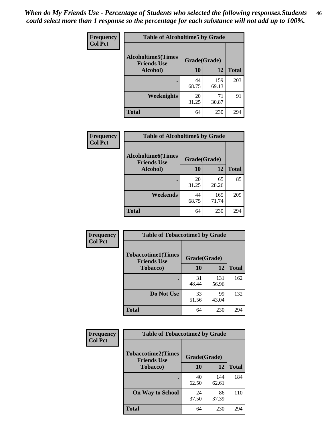*When do My Friends Use - Percentage of Students who selected the following responses.Students could select more than 1 response so the percentage for each substance will not add up to 100%.* **46**

| Frequency      | <b>Table of Alcoholtime5 by Grade</b>           |              |              |              |
|----------------|-------------------------------------------------|--------------|--------------|--------------|
| <b>Col Pct</b> | <b>Alcoholtime5(Times</b><br><b>Friends Use</b> | Grade(Grade) |              |              |
|                | Alcohol)                                        | 10           | 12           | <b>Total</b> |
|                |                                                 | 44<br>68.75  | 159<br>69.13 | 203          |
|                | Weeknights                                      | 20<br>31.25  | 71<br>30.87  | 91           |
|                | <b>Total</b>                                    | 64           | 230          | 294          |

| <b>Frequency</b> | <b>Table of Alcoholtime6 by Grade</b>           |              |              |              |
|------------------|-------------------------------------------------|--------------|--------------|--------------|
| <b>Col Pct</b>   | <b>Alcoholtime6(Times</b><br><b>Friends Use</b> | Grade(Grade) |              |              |
|                  | Alcohol)                                        | 10           | 12           | <b>Total</b> |
|                  |                                                 | 20<br>31.25  | 65<br>28.26  | 85           |
|                  | Weekends                                        | 44<br>68.75  | 165<br>71.74 | 209          |
|                  | <b>Total</b>                                    | 64           | 230          | 294          |

| <b>Frequency</b> | <b>Table of Tobaccotime1 by Grade</b>           |              |              |              |
|------------------|-------------------------------------------------|--------------|--------------|--------------|
| <b>Col Pct</b>   | <b>Tobaccotime1(Times</b><br><b>Friends Use</b> | Grade(Grade) |              |              |
|                  | <b>Tobacco</b> )                                | 10           | 12           | <b>Total</b> |
|                  | ٠                                               | 31<br>48.44  | 131<br>56.96 | 162          |
|                  | Do Not Use                                      | 33<br>51.56  | 99<br>43.04  | 132          |
|                  | <b>Total</b>                                    | 64           | 230          | 294          |

| <b>Frequency</b> | <b>Table of Tobaccotime2 by Grade</b>           |              |              |              |
|------------------|-------------------------------------------------|--------------|--------------|--------------|
| <b>Col Pct</b>   | <b>Tobaccotime2(Times</b><br><b>Friends Use</b> | Grade(Grade) |              |              |
|                  | <b>Tobacco</b> )                                | <b>10</b>    | 12           | <b>Total</b> |
|                  |                                                 | 40<br>62.50  | 144<br>62.61 | 184          |
|                  | <b>On Way to School</b>                         | 24<br>37.50  | 86<br>37.39  | 110          |
|                  | <b>Total</b>                                    | 64           | 230          | 294          |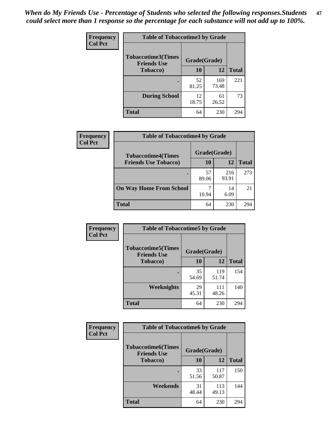*When do My Friends Use - Percentage of Students who selected the following responses.Students could select more than 1 response so the percentage for each substance will not add up to 100%.* **47**

| <b>Frequency</b> | <b>Table of Tobaccotime3 by Grade</b>           |              |              |              |  |
|------------------|-------------------------------------------------|--------------|--------------|--------------|--|
| <b>Col Pct</b>   | <b>Tobaccotime3(Times</b><br><b>Friends Use</b> | Grade(Grade) |              |              |  |
|                  | <b>Tobacco</b> )                                | 10           | 12           | <b>Total</b> |  |
|                  |                                                 | 52<br>81.25  | 169<br>73.48 | 221          |  |
|                  | <b>During School</b>                            | 12<br>18.75  | 61<br>26.52  | 73           |  |
|                  | <b>Total</b>                                    | 64           | 230          | 294          |  |

| <b>Frequency</b> | <b>Table of Tobaccotime4 by Grade</b> |              |              |              |
|------------------|---------------------------------------|--------------|--------------|--------------|
| <b>Col Pct</b>   | <b>Tobaccotime4(Times</b>             | Grade(Grade) |              |              |
|                  | <b>Friends Use Tobacco)</b>           | 10           | 12           | <b>Total</b> |
|                  |                                       | 57<br>89.06  | 216<br>93.91 | 273          |
|                  | <b>On Way Home From School</b>        | 7<br>10.94   | 14<br>6.09   | 21           |
|                  | <b>Total</b>                          | 64           | 230          | 294          |

| Frequency      | <b>Table of Tobaccotime5 by Grade</b>           |              |              |              |
|----------------|-------------------------------------------------|--------------|--------------|--------------|
| <b>Col Pct</b> | <b>Tobaccotime5(Times</b><br><b>Friends Use</b> | Grade(Grade) |              |              |
|                | <b>Tobacco</b> )                                | 10           | 12           | <b>Total</b> |
|                |                                                 | 35<br>54.69  | 119<br>51.74 | 154          |
|                | Weeknights                                      | 29<br>45.31  | 111<br>48.26 | 140          |
|                | <b>Total</b>                                    | 64           | 230          | 294          |

| Frequency<br><b>Col Pct</b> | <b>Table of Tobaccotime6 by Grade</b>           |              |              |              |
|-----------------------------|-------------------------------------------------|--------------|--------------|--------------|
|                             | <b>Tobaccotime6(Times</b><br><b>Friends Use</b> | Grade(Grade) |              |              |
|                             | <b>Tobacco</b> )                                | 10           | 12           | <b>Total</b> |
|                             |                                                 | 33<br>51.56  | 117<br>50.87 | 150          |
|                             | Weekends                                        | 31<br>48.44  | 113<br>49.13 | 144          |
|                             | <b>Total</b>                                    | 64           | 230          | 294          |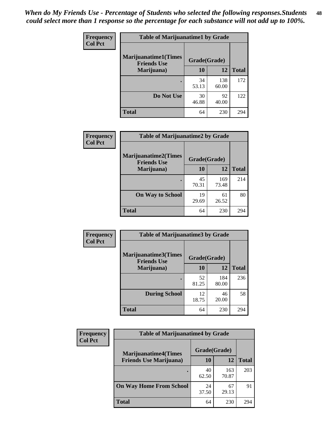| Frequency<br><b>Col Pct</b> | <b>Table of Marijuanatime1 by Grade</b>           |              |              |              |
|-----------------------------|---------------------------------------------------|--------------|--------------|--------------|
|                             | <b>Marijuanatime1(Times</b><br><b>Friends Use</b> | Grade(Grade) |              |              |
|                             | Marijuana)                                        | 10           | 12           | <b>Total</b> |
|                             |                                                   | 34<br>53.13  | 138<br>60.00 | 172          |
|                             | Do Not Use                                        | 30<br>46.88  | 92<br>40.00  | 122          |
|                             | <b>Total</b>                                      | 64           | 230          | 294          |

| Frequency      | <b>Table of Marijuanatime2 by Grade</b>           |              |              |              |
|----------------|---------------------------------------------------|--------------|--------------|--------------|
| <b>Col Pct</b> | <b>Marijuanatime2(Times</b><br><b>Friends Use</b> | Grade(Grade) |              |              |
|                | Marijuana)                                        | 10           | 12           | <b>Total</b> |
|                |                                                   | 45<br>70.31  | 169<br>73.48 | 214          |
|                | <b>On Way to School</b>                           | 19<br>29.69  | 61<br>26.52  | 80           |
|                | <b>Total</b>                                      | 64           | 230          | 294          |

| Frequency<br><b>Col Pct</b> | <b>Table of Marijuanatime3 by Grade</b>    |              |              |              |  |
|-----------------------------|--------------------------------------------|--------------|--------------|--------------|--|
|                             | Marijuanatime3(Times<br><b>Friends Use</b> | Grade(Grade) |              |              |  |
|                             | Marijuana)                                 | 10           | 12           | <b>Total</b> |  |
|                             |                                            | 52<br>81.25  | 184<br>80.00 | 236          |  |
|                             | <b>During School</b>                       | 12<br>18.75  | 46<br>20.00  | 58           |  |
|                             | <b>Total</b>                               | 64           | 230          | 294          |  |

| <b>Frequency</b> | <b>Table of Marijuanatime4 by Grade</b> |              |              |              |
|------------------|-----------------------------------------|--------------|--------------|--------------|
| <b>Col Pct</b>   | <b>Marijuanatime4(Times</b>             | Grade(Grade) |              |              |
|                  | <b>Friends Use Marijuana</b> )          | 10           | 12           | <b>Total</b> |
|                  |                                         | 40<br>62.50  | 163<br>70.87 | 203          |
|                  | <b>On Way Home From School</b>          | 24<br>37.50  | 67<br>29.13  | 91           |
|                  | <b>Total</b>                            | 64           | 230          | 294          |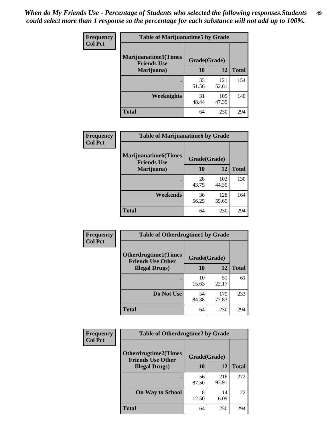| Frequency      | <b>Table of Marijuanatime5 by Grade</b>            |              |              |              |
|----------------|----------------------------------------------------|--------------|--------------|--------------|
| <b>Col Pct</b> | <b>Marijuanatime5</b> (Times<br><b>Friends Use</b> | Grade(Grade) |              |              |
|                | Marijuana)                                         | 10           | 12           | <b>Total</b> |
|                |                                                    | 33<br>51.56  | 121<br>52.61 | 154          |
|                | Weeknights                                         | 31<br>48.44  | 109<br>47.39 | 140          |
|                | <b>Total</b>                                       | 64           | 230          | 294          |

| Frequency      |                                            | <b>Table of Marijuanatime6 by Grade</b> |              |              |
|----------------|--------------------------------------------|-----------------------------------------|--------------|--------------|
| <b>Col Pct</b> | Marijuanatime6(Times<br><b>Friends Use</b> | Grade(Grade)                            |              |              |
|                | Marijuana)                                 | 10                                      | 12           | <b>Total</b> |
|                |                                            | 28<br>43.75                             | 102<br>44.35 | 130          |
|                | Weekends                                   | 36<br>56.25                             | 128<br>55.65 | 164          |
|                | <b>Total</b>                               | 64                                      | 230          | 294          |

| Frequency      | <b>Table of Otherdrugtime1 by Grade</b>                  |              |              |              |
|----------------|----------------------------------------------------------|--------------|--------------|--------------|
| <b>Col Pct</b> | <b>Otherdrugtime1</b> (Times<br><b>Friends Use Other</b> | Grade(Grade) |              |              |
|                | <b>Illegal Drugs</b> )                                   | 10           | 12           | <b>Total</b> |
|                |                                                          | 10<br>15.63  | 51<br>22.17  | 61           |
|                | Do Not Use                                               | 54<br>84.38  | 179<br>77.83 | 233          |
|                | <b>Total</b>                                             | 64           | 230          | 294          |

| Frequency      | <b>Table of Otherdrugtime2 by Grade</b>                 |              |              |              |
|----------------|---------------------------------------------------------|--------------|--------------|--------------|
| <b>Col Pct</b> | <b>Otherdrugtime2(Times</b><br><b>Friends Use Other</b> | Grade(Grade) |              |              |
|                | <b>Illegal Drugs</b> )                                  | 10           | 12           | <b>Total</b> |
|                |                                                         | 56<br>87.50  | 216<br>93.91 | 272          |
|                | <b>On Way to School</b>                                 | 8<br>12.50   | 14<br>6.09   | 22           |
|                | <b>Total</b>                                            | 64           | 230          | 294          |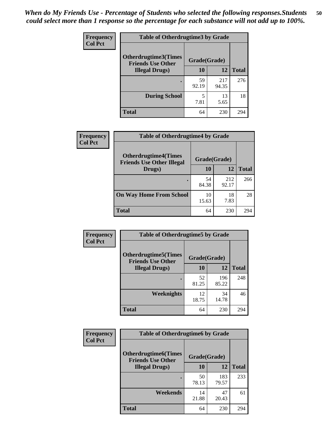| <b>Frequency</b> | <b>Table of Otherdrugtime3 by Grade</b>          |              |              |              |
|------------------|--------------------------------------------------|--------------|--------------|--------------|
| <b>Col Pct</b>   | Otherdrugtime3(Times<br><b>Friends Use Other</b> | Grade(Grade) |              |              |
|                  | <b>Illegal Drugs</b> )                           | 10           | 12           | <b>Total</b> |
|                  |                                                  | 59<br>92.19  | 217<br>94.35 | 276          |
|                  | <b>During School</b>                             | 5<br>7.81    | 13<br>5.65   | 18           |
|                  | Total                                            | 64           | 230          | 294          |

| Frequency      | <b>Table of Otherdrugtime4 by Grade</b>                         |              |              |              |
|----------------|-----------------------------------------------------------------|--------------|--------------|--------------|
| <b>Col Pct</b> | <b>Otherdrugtime4(Times</b><br><b>Friends Use Other Illegal</b> | Grade(Grade) |              |              |
|                | Drugs)                                                          | 10           | 12           | <b>Total</b> |
|                |                                                                 | 54<br>84.38  | 212<br>92.17 | 266          |
|                | <b>On Way Home From School</b>                                  | 10<br>15.63  | 18<br>7.83   | 28           |
|                | <b>Total</b>                                                    | 64           | 230          | 294          |

| <b>Frequency</b><br><b>Col Pct</b> | <b>Table of Otherdrugtime5 by Grade</b>                  |              |              |              |
|------------------------------------|----------------------------------------------------------|--------------|--------------|--------------|
|                                    | <b>Otherdrugtime5</b> (Times<br><b>Friends Use Other</b> | Grade(Grade) |              |              |
|                                    | <b>Illegal Drugs</b> )                                   | 10           | 12           | <b>Total</b> |
|                                    |                                                          | 52<br>81.25  | 196<br>85.22 | 248          |
|                                    | <b>Weeknights</b>                                        | 12<br>18.75  | 34<br>14.78  | 46           |
|                                    | Total                                                    | 64           | 230          | 294          |

| <b>Frequency</b> | <b>Table of Otherdrugtime6 by Grade</b>                 |              |              |              |
|------------------|---------------------------------------------------------|--------------|--------------|--------------|
| <b>Col Pct</b>   | <b>Otherdrugtime6(Times</b><br><b>Friends Use Other</b> | Grade(Grade) |              |              |
|                  | <b>Illegal Drugs</b> )                                  | 10           | 12           | <b>Total</b> |
|                  |                                                         | 50<br>78.13  | 183<br>79.57 | 233          |
|                  | Weekends                                                | 14<br>21.88  | 47<br>20.43  | 61           |
|                  | Total                                                   | 64           | 230          | 294          |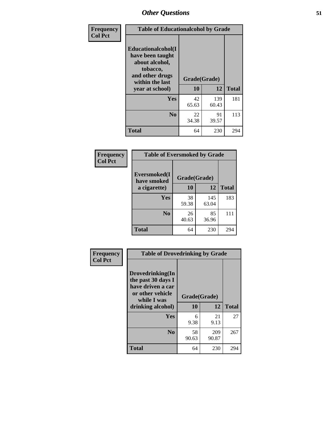| Frequency      | <b>Table of Educationalcohol by Grade</b>                                                                  |              |              |              |
|----------------|------------------------------------------------------------------------------------------------------------|--------------|--------------|--------------|
| <b>Col Pct</b> | Educationalcohol(I<br>have been taught<br>about alcohol,<br>tobacco,<br>and other drugs<br>within the last | Grade(Grade) |              |              |
|                | year at school)                                                                                            | 10           | 12           | <b>Total</b> |
|                | Yes                                                                                                        | 42<br>65.63  | 139<br>60.43 | 181          |
|                | N <sub>0</sub>                                                                                             | 22<br>34.38  | 91<br>39.57  | 113          |
|                | <b>Total</b>                                                                                               | 64           | 230          | 294          |

| Frequency      | <b>Table of Eversmoked by Grade</b> |              |              |              |
|----------------|-------------------------------------|--------------|--------------|--------------|
| <b>Col Pct</b> | Eversmoked(I<br>have smoked         | Grade(Grade) |              |              |
|                | a cigarette)                        | 10           | 12           | <b>Total</b> |
|                | Yes                                 | 38<br>59.38  | 145<br>63.04 | 183          |
|                | N <sub>0</sub>                      | 26<br>40.63  | 85<br>36.96  | 111          |
|                | <b>Total</b>                        | 64           | 230          | 294          |

| Frequency      | <b>Table of Drovedrinking by Grade</b>                                                                              |                    |              |              |
|----------------|---------------------------------------------------------------------------------------------------------------------|--------------------|--------------|--------------|
| <b>Col Pct</b> | Drovedrinking(In<br>the past 30 days I<br>have driven a car<br>or other vehicle<br>while I was<br>drinking alcohol) | Grade(Grade)<br>10 | 12           | <b>Total</b> |
|                | <b>Yes</b>                                                                                                          | 6<br>9.38          | 21<br>9.13   | 27           |
|                | N <sub>0</sub>                                                                                                      | 58<br>90.63        | 209<br>90.87 | 267          |
|                | <b>Total</b>                                                                                                        | 64                 | 230          | 294          |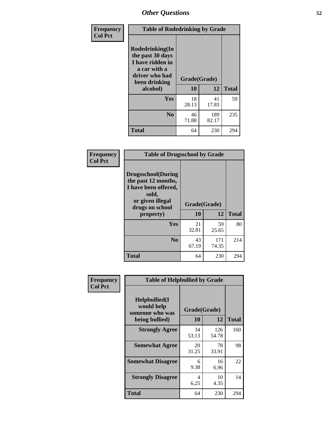| Frequency<br><b>Col Pct</b> | <b>Table of Rodedrinking by Grade</b>                                                                      |              |              |              |
|-----------------------------|------------------------------------------------------------------------------------------------------------|--------------|--------------|--------------|
|                             | Rodedrinking(In<br>the past 30 days<br>I have ridden in<br>a car with a<br>driver who had<br>been drinking | Grade(Grade) |              |              |
|                             | alcohol)                                                                                                   | 10           | 12           | <b>Total</b> |
|                             | <b>Yes</b>                                                                                                 | 18<br>28.13  | 41<br>17.83  | 59           |
|                             | N <sub>0</sub>                                                                                             | 46<br>71.88  | 189<br>82.17 | 235          |
|                             | <b>Total</b>                                                                                               | 64           | 230          | 294          |

#### **Frequency Col Pct**

Л

| <b>Table of Drugsschool by Grade</b>                                                                                                   |                    |              |              |
|----------------------------------------------------------------------------------------------------------------------------------------|--------------------|--------------|--------------|
| <b>Drugsschool</b> (During<br>the past 12 months,<br>I have been offered,<br>sold,<br>or given illegal<br>drugs on school<br>property) | Grade(Grade)<br>10 | 12           | <b>Total</b> |
| Yes                                                                                                                                    | 21<br>32.81        | 59<br>25.65  | 80           |
| $\bf N$ <sub>0</sub>                                                                                                                   | 43<br>67.19        | 171<br>74.35 | 214          |
| <b>Total</b>                                                                                                                           | 64                 | 230          | 294          |

| Frequency      | <b>Table of Helpbullied by Grade</b>           |              |              |              |
|----------------|------------------------------------------------|--------------|--------------|--------------|
| <b>Col Pct</b> | Helpbullied(I<br>would help<br>someone who was | Grade(Grade) |              |              |
|                | being bullied)                                 | 10           | 12           | <b>Total</b> |
|                | <b>Strongly Agree</b>                          | 34<br>53.13  | 126<br>54.78 | 160          |
|                | <b>Somewhat Agree</b>                          | 20<br>31.25  | 78<br>33.91  | 98           |
|                | <b>Somewhat Disagree</b>                       | 6<br>9.38    | 16<br>6.96   | 22           |
|                | <b>Strongly Disagree</b>                       | 4<br>6.25    | 10<br>4.35   | 14           |
|                | <b>Total</b>                                   | 64           | 230          | 294          |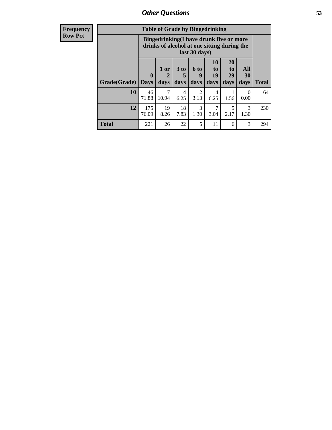| r requency     |
|----------------|
| <b>Row Pci</b> |

| <b>Table of Grade by Bingedrinking</b> |                                                                                                         |                   |                              |                          |                        |                        |                   |              |
|----------------------------------------|---------------------------------------------------------------------------------------------------------|-------------------|------------------------------|--------------------------|------------------------|------------------------|-------------------|--------------|
|                                        | Bingedrinking(I have drunk five or more<br>drinks of alcohol at one sitting during the<br>last 30 days) |                   |                              |                          |                        |                        |                   |              |
| Grade(Grade)                           | $\mathbf{0}$<br><b>Days</b>                                                                             | 1 or<br>2<br>days | 3 <sub>to</sub><br>5<br>days | <b>6 to</b><br>9<br>days | 10<br>to<br>19<br>days | 20<br>to<br>29<br>days | All<br>30<br>days | <b>Total</b> |
| 10                                     |                                                                                                         |                   |                              |                          |                        |                        |                   |              |
|                                        | 46<br>71.88                                                                                             | 7<br>10.94        | 4<br>6.25                    | $\overline{2}$<br>3.13   | 4<br>6.25              | 1.56                   | $\Omega$<br>0.00  | 64           |
| 12                                     | 175<br>76.09                                                                                            | 19<br>8.26        | 18<br>7.83                   | 3<br>1.30                | 3.04                   | 5<br>2.17              | 3<br>1.30         | 230          |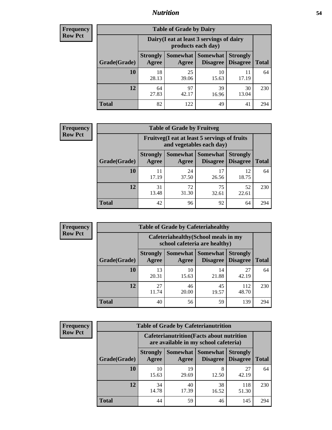#### *Nutrition* **54**

| <b>Frequency</b><br>Row Pct |
|-----------------------------|
|                             |

| <b>Table of Grade by Dairy</b> |                          |                                                                 |                                    |                                    |              |  |  |  |
|--------------------------------|--------------------------|-----------------------------------------------------------------|------------------------------------|------------------------------------|--------------|--|--|--|
|                                |                          | Dairy (I eat at least 3 servings of dairy<br>products each day) |                                    |                                    |              |  |  |  |
| Grade(Grade)                   | <b>Strongly</b><br>Agree | <b>Somewhat</b><br>Agree                                        | <b>Somewhat</b><br><b>Disagree</b> | <b>Strongly</b><br><b>Disagree</b> | <b>Total</b> |  |  |  |
| 10                             | 18<br>28.13              | 25<br>39.06                                                     | 10<br>15.63                        | 11<br>17.19                        | 64           |  |  |  |
| 12                             | 64<br>27.83              | 97<br>42.17                                                     | 39<br>16.96                        | 30<br>13.04                        | 230          |  |  |  |
| <b>Total</b>                   | 82                       | 122                                                             | 49                                 | 41                                 | 294          |  |  |  |

| <b>Frequency</b> |
|------------------|
| <b>Row Pct</b>   |

| y | <b>Table of Grade by Fruitveg</b> |                          |                                                                          |                             |                                    |              |  |  |
|---|-----------------------------------|--------------------------|--------------------------------------------------------------------------|-----------------------------|------------------------------------|--------------|--|--|
|   |                                   |                          | Fruitveg(I eat at least 5 servings of fruits<br>and vegetables each day) |                             |                                    |              |  |  |
|   | Grade(Grade)                      | <b>Strongly</b><br>Agree | Somewhat  <br>Agree                                                      | <b>Somewhat</b><br>Disagree | <b>Strongly</b><br><b>Disagree</b> | <b>Total</b> |  |  |
|   | 10                                | 17.19                    | 24<br>37.50                                                              | 17<br>26.56                 | 12<br>18.75                        | 64           |  |  |
|   | 12                                | 31<br>13.48              | 72<br>31.30                                                              | 75<br>32.61                 | 52<br>22.61                        | 230          |  |  |
|   | <b>Total</b>                      | 42                       | 96                                                                       | 92                          | 64                                 | 294          |  |  |

| <b>Frequency</b> | <b>Table of Grade by Cafeteriahealthy</b> |                                                                       |             |                                 |                                    |              |  |  |
|------------------|-------------------------------------------|-----------------------------------------------------------------------|-------------|---------------------------------|------------------------------------|--------------|--|--|
| <b>Row Pct</b>   |                                           | Cafeteriahealthy (School meals in my<br>school cafeteria are healthy) |             |                                 |                                    |              |  |  |
|                  | Grade(Grade)                              | <b>Strongly</b><br>Agree                                              | Agree       | Somewhat   Somewhat<br>Disagree | <b>Strongly</b><br><b>Disagree</b> | <b>Total</b> |  |  |
|                  | 10                                        | 13<br>20.31                                                           | 10<br>15.63 | 14<br>21.88                     | 27<br>42.19                        | 64           |  |  |
|                  | 12                                        | 27<br>11.74                                                           | 46<br>20.00 | 45<br>19.57                     | 112<br>48.70                       | 230          |  |  |
|                  | Total                                     | 40                                                                    | 56          | 59                              | 139                                | 294          |  |  |

| <b>Frequency</b> |
|------------------|
| <b>Row Pct</b>   |

| <b>Table of Grade by Cafeterianutrition</b>                                               |                          |                          |                             |                                    |              |  |  |
|-------------------------------------------------------------------------------------------|--------------------------|--------------------------|-----------------------------|------------------------------------|--------------|--|--|
| <b>Cafeterianutrition</b> (Facts about nutrition<br>are available in my school cafeteria) |                          |                          |                             |                                    |              |  |  |
| Grade(Grade)                                                                              | <b>Strongly</b><br>Agree | <b>Somewhat</b><br>Agree | <b>Somewhat</b><br>Disagree | <b>Strongly</b><br><b>Disagree</b> | <b>Total</b> |  |  |
| 10                                                                                        | 10<br>15.63              | 19<br>29.69              | 8<br>12.50                  | 27<br>42.19                        | 64           |  |  |
| 12                                                                                        | 34<br>14.78              | 40<br>17.39              | 38<br>16.52                 | 118<br>51.30                       | 230          |  |  |
| <b>Total</b>                                                                              | 44                       | 59                       | 46                          | 145                                | 294          |  |  |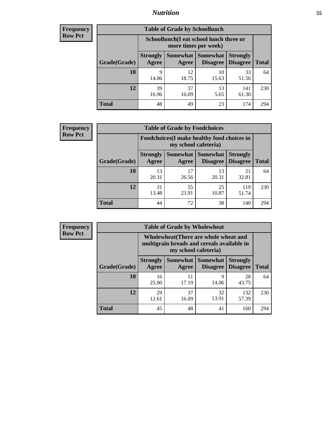### *Nutrition* **55**

| <b>Frequency</b> |
|------------------|
| Row Pct          |

| <b>Table of Grade by Schoollunch</b> |                          |                                                                 |                                      |                                    |              |  |  |  |
|--------------------------------------|--------------------------|-----------------------------------------------------------------|--------------------------------------|------------------------------------|--------------|--|--|--|
|                                      |                          | Schoollunch(I eat school lunch three or<br>more times per week) |                                      |                                    |              |  |  |  |
| Grade(Grade)                         | <b>Strongly</b><br>Agree | Agree                                                           | Somewhat Somewhat<br><b>Disagree</b> | <b>Strongly</b><br><b>Disagree</b> | <b>Total</b> |  |  |  |
| 10                                   | 9<br>14.06               | 12<br>18.75                                                     | 10<br>15.63                          | 33<br>51.56                        | 64           |  |  |  |
| 12                                   | 39<br>16.96              | 37<br>16.09                                                     | 13<br>5.65                           | 141<br>61.30                       | 230          |  |  |  |
| <b>Total</b>                         | 48                       | 49                                                              | 23                                   | 174                                | 294          |  |  |  |

| <b>Frequency</b> |
|------------------|
| <b>Row Pct</b>   |

| <b>Table of Grade by Foodchoices</b>                                       |                          |             |                                        |                                    |              |  |  |
|----------------------------------------------------------------------------|--------------------------|-------------|----------------------------------------|------------------------------------|--------------|--|--|
| <b>Foodchoices</b> (I make healthy food choices in<br>my school cafeteria) |                          |             |                                        |                                    |              |  |  |
| Grade(Grade)                                                               | <b>Strongly</b><br>Agree | Agree       | <b>Somewhat   Somewhat</b><br>Disagree | <b>Strongly</b><br><b>Disagree</b> | <b>Total</b> |  |  |
| 10                                                                         | 13<br>20.31              | 17<br>26.56 | 13<br>20.31                            | 21<br>32.81                        | 64           |  |  |
| 12                                                                         | 31<br>13.48              | 55<br>23.91 | 25<br>10.87                            | 119<br>51.74                       | 230          |  |  |
| <b>Total</b>                                                               | 44                       | 72          | 38                                     | 140                                | 294          |  |  |

| <b>Frequency</b> | <b>Table of Grade by Wholewheat</b> |                                                                                                                    |             |                               |                                    |              |  |
|------------------|-------------------------------------|--------------------------------------------------------------------------------------------------------------------|-------------|-------------------------------|------------------------------------|--------------|--|
| <b>Row Pct</b>   |                                     | <b>Wholewheat</b> (There are whole wheat and<br>multigrain breads and cereals available in<br>my school cafeteria) |             |                               |                                    |              |  |
|                  | Grade(Grade)                        | <b>Strongly</b><br>Agree                                                                                           | Agree       | Somewhat Somewhat<br>Disagree | <b>Strongly</b><br><b>Disagree</b> | <b>Total</b> |  |
|                  | 10                                  | 16<br>25.00                                                                                                        | 11<br>17.19 | 9<br>14.06                    | 28<br>43.75                        | 64           |  |
|                  | 12                                  | 29<br>12.61                                                                                                        | 37<br>16.09 | 32<br>13.91                   | 132<br>57.39                       | 230          |  |
|                  | <b>Total</b>                        | 45                                                                                                                 | 48          | 41                            | 160                                | 294          |  |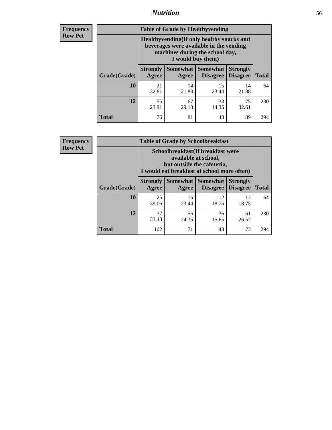#### *Nutrition* **56**

**Frequency Row Pct**

| <b>Table of Grade by Healthyvending</b> |                                                                                                                                               |                          |                                    |                                    |              |  |
|-----------------------------------------|-----------------------------------------------------------------------------------------------------------------------------------------------|--------------------------|------------------------------------|------------------------------------|--------------|--|
|                                         | Healthyvending (If only healthy snacks and<br>beverages were available in the vending<br>machines during the school day,<br>I would buy them) |                          |                                    |                                    |              |  |
| Grade(Grade)                            | <b>Strongly</b><br>Agree                                                                                                                      | <b>Somewhat</b><br>Agree | <b>Somewhat</b><br><b>Disagree</b> | <b>Strongly</b><br><b>Disagree</b> | <b>Total</b> |  |
| 10                                      | 21<br>32.81                                                                                                                                   | 14<br>21.88              | 15<br>23.44                        | 14<br>21.88                        | 64           |  |
| 12                                      | 55<br>23.91                                                                                                                                   | 67<br>29.13              | 33<br>14.35                        | 75<br>32.61                        | 230          |  |
| <b>Total</b>                            | 76                                                                                                                                            | 81                       | 48                                 | 89                                 | 294          |  |

**Frequency Row Pct**

| <b>Table of Grade by Schoolbreakfast</b> |                                                                                                                                        |             |                                        |                                    |              |  |
|------------------------------------------|----------------------------------------------------------------------------------------------------------------------------------------|-------------|----------------------------------------|------------------------------------|--------------|--|
|                                          | Schoolbreakfast(If breakfast were<br>available at school,<br>but outside the cafeteria,<br>I would eat breakfast at school more often) |             |                                        |                                    |              |  |
| Grade(Grade)                             | <b>Strongly</b><br>Agree                                                                                                               | Agree       | Somewhat   Somewhat<br><b>Disagree</b> | <b>Strongly</b><br><b>Disagree</b> | <b>Total</b> |  |
| 10                                       | 25<br>39.06                                                                                                                            | 15<br>23.44 | 12<br>18.75                            | 12<br>18.75                        | 64           |  |
| 12                                       | 77<br>33.48                                                                                                                            | 56<br>24.35 | 36<br>15.65                            | 61<br>26.52                        | 230          |  |
| <b>Total</b>                             | 102                                                                                                                                    | 71          | 48                                     | 73                                 | 294          |  |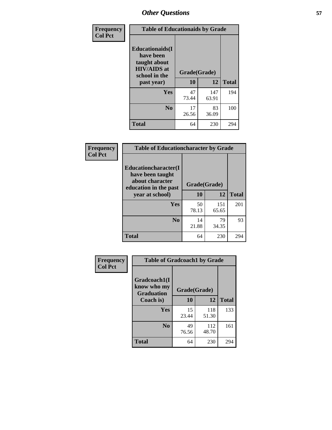| Frequency<br><b>Col Pct</b> | <b>Table of Educationaids by Grade</b>                                                                    |                    |              |              |  |
|-----------------------------|-----------------------------------------------------------------------------------------------------------|--------------------|--------------|--------------|--|
|                             | <b>Educationaids</b> (I<br>have been<br>taught about<br><b>HIV/AIDS</b> at<br>school in the<br>past year) | Grade(Grade)<br>10 | 12           | <b>Total</b> |  |
|                             | Yes                                                                                                       | 47<br>73.44        | 147<br>63.91 | 194          |  |
|                             | N <sub>0</sub>                                                                                            | 17<br>26.56        | 83<br>36.09  | 100          |  |
|                             | <b>Total</b>                                                                                              | 64                 | 230          | 294          |  |

| <b>Frequency</b> | <b>Table of Educationcharacter by Grade</b>                                                             |              |              |              |
|------------------|---------------------------------------------------------------------------------------------------------|--------------|--------------|--------------|
| <b>Col Pct</b>   | Educationcharacter(I<br>have been taught<br>about character<br>education in the past<br>year at school) | Grade(Grade) |              |              |
|                  |                                                                                                         | 10           | 12           | <b>Total</b> |
|                  | <b>Yes</b>                                                                                              | 50<br>78.13  | 151<br>65.65 | 201          |
|                  | N <sub>0</sub>                                                                                          | 14<br>21.88  | 79<br>34.35  | 93           |
|                  | <b>Total</b>                                                                                            | 64           | 230          | 294          |

| Frequency      | <b>Table of Gradcoach1 by Grade</b>              |              |              |              |  |
|----------------|--------------------------------------------------|--------------|--------------|--------------|--|
| <b>Col Pct</b> | Gradcoach1(I<br>know who my<br><b>Graduation</b> | Grade(Grade) |              |              |  |
|                | Coach is)                                        | 10           | 12           | <b>Total</b> |  |
|                | Yes                                              | 15<br>23.44  | 118<br>51.30 | 133          |  |
|                | N <sub>0</sub>                                   | 49<br>76.56  | 112<br>48.70 | 161          |  |
|                | <b>Total</b>                                     | 64           | 230          | 294          |  |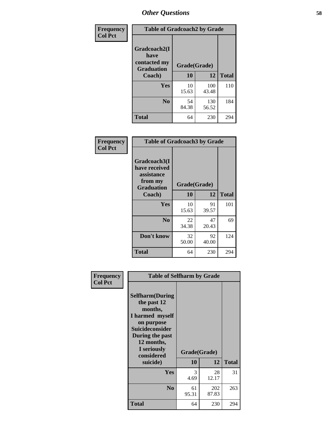| Frequency      | <b>Table of Gradcoach2 by Grade</b> |              |              |              |
|----------------|-------------------------------------|--------------|--------------|--------------|
| <b>Col Pct</b> |                                     |              |              |              |
|                | Gradcoach2(I<br>have                |              |              |              |
|                | contacted my<br><b>Graduation</b>   | Grade(Grade) |              |              |
|                | Coach)                              | 10           | 12           | <b>Total</b> |
|                | Yes                                 | 10<br>15.63  | 100<br>43.48 | 110          |
|                | N <sub>0</sub>                      | 54<br>84.38  | 130<br>56.52 | 184          |
|                | <b>Total</b>                        | 64           | 230          | 294          |

| Frequency<br><b>Col Pct</b> | <b>Table of Gradcoach3 by Grade</b>                                         |              |             |              |
|-----------------------------|-----------------------------------------------------------------------------|--------------|-------------|--------------|
|                             | Gradcoach3(I<br>have received<br>assistance<br>from my<br><b>Graduation</b> | Grade(Grade) |             |              |
|                             | Coach)                                                                      | 10           | 12          | <b>Total</b> |
|                             | Yes                                                                         | 10<br>15.63  | 91<br>39.57 | 101          |
|                             | N <sub>0</sub>                                                              | 22<br>34.38  | 47<br>20.43 | 69           |
|                             | Don't know                                                                  | 32<br>50.00  | 92<br>40.00 | 124          |
|                             | <b>Total</b>                                                                | 64           | 230         | 294          |

| <b>Selfharm</b> (During<br>the past 12<br>months,<br>I harmed myself<br>on purpose<br>Suicideconsider<br>During the past<br>12 months,<br>I seriously<br>considered |             |              | <b>Total</b>                                            |
|---------------------------------------------------------------------------------------------------------------------------------------------------------------------|-------------|--------------|---------------------------------------------------------|
|                                                                                                                                                                     |             |              |                                                         |
| Yes                                                                                                                                                                 | 3<br>4.69   | 28<br>12.17  | 31                                                      |
| N <sub>0</sub>                                                                                                                                                      | 61<br>95.31 | 202<br>87.83 | 263                                                     |
| Total                                                                                                                                                               | 64          | 230          | 294                                                     |
|                                                                                                                                                                     | suicide)    | 10           | <b>Table of Selfharm by Grade</b><br>Grade(Grade)<br>12 |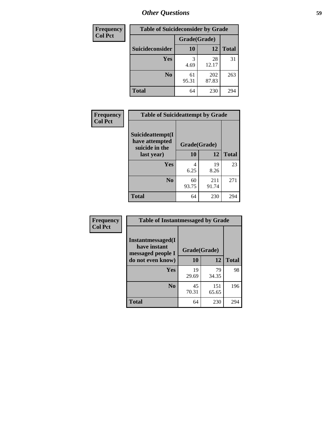| <b>Frequency</b> | <b>Table of Suicideconsider by Grade</b> |              |              |              |
|------------------|------------------------------------------|--------------|--------------|--------------|
| <b>Col Pct</b>   |                                          | Grade(Grade) |              |              |
|                  | Suicideconsider                          | <b>10</b>    | 12           | <b>Total</b> |
|                  | Yes                                      | 3<br>4.69    | 28<br>12.17  | 31           |
|                  | N <sub>0</sub>                           | 61<br>95.31  | 202<br>87.83 | 263          |
|                  | <b>Total</b>                             | 64           | 230          | 294          |

| Frequency      | <b>Table of Suicideattempt by Grade</b>                            |              |       |              |
|----------------|--------------------------------------------------------------------|--------------|-------|--------------|
| <b>Col Pct</b> | Suicideattempt(I<br>have attempted<br>suicide in the<br>last year) | Grade(Grade) |       |              |
|                |                                                                    | 10           | 12    | <b>Total</b> |
|                | Yes                                                                | 4            | 19    | 23           |
|                |                                                                    | 6.25         | 8.26  |              |
|                | N <sub>0</sub>                                                     | 60           | 211   | 271          |
|                |                                                                    | 93.75        | 91.74 |              |
|                | <b>Total</b>                                                       | 64           | 230   | 294          |

| Frequency      | <b>Table of Instantmessaged by Grade</b>               |              |              |              |  |
|----------------|--------------------------------------------------------|--------------|--------------|--------------|--|
| <b>Col Pct</b> | Instantmessaged(I<br>have instant<br>messaged people I | Grade(Grade) |              |              |  |
|                | do not even know)                                      | 10           | 12           | <b>Total</b> |  |
|                | Yes                                                    | 19<br>29.69  | 79<br>34.35  | 98           |  |
|                | N <sub>0</sub>                                         | 45<br>70.31  | 151<br>65.65 | 196          |  |
|                | <b>Total</b>                                           | 64           | 230          | 294          |  |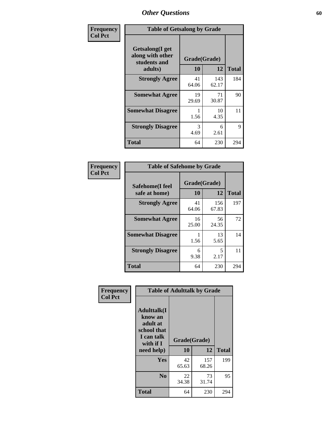| Frequency      | <b>Table of Getsalong by Grade</b>                          |              |              |              |  |  |  |
|----------------|-------------------------------------------------------------|--------------|--------------|--------------|--|--|--|
| <b>Col Pct</b> | <b>Getsalong</b> (I get<br>along with other<br>students and | Grade(Grade) |              |              |  |  |  |
|                | adults)                                                     | 10           | 12           | <b>Total</b> |  |  |  |
|                | <b>Strongly Agree</b>                                       | 41<br>64.06  | 143<br>62.17 | 184          |  |  |  |
|                | <b>Somewhat Agree</b>                                       | 19<br>29.69  | 71<br>30.87  | 90           |  |  |  |
|                | <b>Somewhat Disagree</b>                                    | 1.56         | 10<br>4.35   | 11           |  |  |  |
|                | <b>Strongly Disagree</b>                                    | 3<br>4.69    | 6<br>2.61    | 9            |  |  |  |
|                | <b>Total</b>                                                | 64           | 230          | 294          |  |  |  |

| Frequency      | <b>Table of Safehome by Grade</b> |                    |              |              |  |  |  |
|----------------|-----------------------------------|--------------------|--------------|--------------|--|--|--|
| <b>Col Pct</b> | Safehome(I feel<br>safe at home)  | Grade(Grade)<br>10 | 12           | <b>Total</b> |  |  |  |
|                | <b>Strongly Agree</b>             | 41<br>64.06        | 156<br>67.83 | 197          |  |  |  |
|                | <b>Somewhat Agree</b>             | 16<br>25.00        | 56<br>24.35  | 72           |  |  |  |
|                | <b>Somewhat Disagree</b>          | 1.56               | 13<br>5.65   | 14           |  |  |  |
|                | <b>Strongly Disagree</b>          | 6<br>9.38          | 5<br>2.17    | 11           |  |  |  |
|                | <b>Total</b>                      | 64                 | 230          | 294          |  |  |  |

| Frequency      |                                                                                      | <b>Table of Adulttalk by Grade</b> |              |              |
|----------------|--------------------------------------------------------------------------------------|------------------------------------|--------------|--------------|
| <b>Col Pct</b> | <b>Adulttalk</b> (I<br>know an<br>adult at<br>school that<br>I can talk<br>with if I | Grade(Grade)                       |              |              |
|                | need help)                                                                           | 10                                 | 12           | <b>Total</b> |
|                | <b>Yes</b>                                                                           | 42<br>65.63                        | 157<br>68.26 | 199          |
|                | N <sub>0</sub>                                                                       | 22<br>34.38                        | 73<br>31.74  | 95           |
|                | Total                                                                                | 64                                 | 230          | 294          |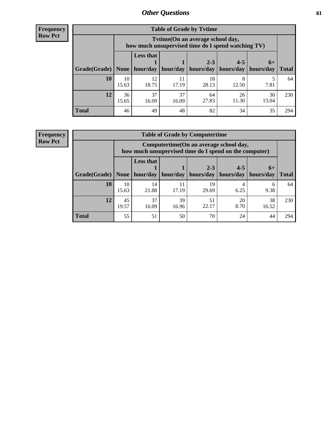**Frequency Row Pct**

| <b>Table of Grade by Tvtime</b> |             |                                                                                         |             |             |             |             |              |  |  |  |
|---------------------------------|-------------|-----------------------------------------------------------------------------------------|-------------|-------------|-------------|-------------|--------------|--|--|--|
|                                 |             | Tytime (On an average school day,<br>how much unsupervised time do I spend watching TV) |             |             |             |             |              |  |  |  |
|                                 |             | <b>Less that</b>                                                                        |             | $2 - 3$     | $4 - 5$     | $6+$        |              |  |  |  |
| Grade(Grade)   None             |             | hour/day                                                                                | hour/day    | hours/day   | hours/day   | hours/day   | <b>Total</b> |  |  |  |
| 10                              | 10<br>15.63 | 12<br>18.75                                                                             | 11<br>17.19 | 18<br>28.13 | 12.50       | 7.81        | 64           |  |  |  |
| 12                              | 36<br>15.65 | 37<br>16.09                                                                             | 37<br>16.09 | 64<br>27.83 | 26<br>11.30 | 30<br>13.04 | 230          |  |  |  |
| <b>Total</b>                    | 46          | 49                                                                                      | 48          | 82          | 34          | 35          | 294          |  |  |  |

**Frequency Row Pct**

| <b>Table of Grade by Computertime</b> |             |                                                                                                   |                     |             |           |           |              |  |  |  |
|---------------------------------------|-------------|---------------------------------------------------------------------------------------------------|---------------------|-------------|-----------|-----------|--------------|--|--|--|
|                                       |             | Computertime (On an average school day,<br>how much unsupervised time do I spend on the computer) |                     |             |           |           |              |  |  |  |
|                                       |             | <b>Less that</b>                                                                                  |                     | $2 - 3$     | $4 - 5$   | $6+$      |              |  |  |  |
| Grade(Grade)                          | None        |                                                                                                   | hour/day   hour/day | hours/day   | hours/day | hours/day | <b>Total</b> |  |  |  |
| 10                                    | 10<br>15.63 | 14<br>21.88                                                                                       | 11<br>17.19         | 19<br>29.69 | 6.25      | 6<br>9.38 | 64           |  |  |  |
| 12                                    | 45<br>19.57 | 37<br>39<br>51<br>20<br>38<br>22.17<br>8.70<br>16.09<br>16.96<br>16.52                            |                     |             |           |           |              |  |  |  |
| <b>Total</b>                          | 55          | 51                                                                                                | 50                  | 70          | 24        | 44        | 294          |  |  |  |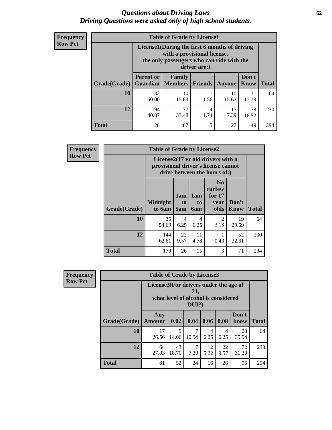#### *Questions about Driving Laws* **62** *Driving Questions were asked only of high school students.*

| <b>Frequency</b> |
|------------------|
| <b>Row Pct</b>   |

| <b>Table of Grade by License1</b> |                                     |                                                                                                                                           |                |             |               |              |  |  |  |  |
|-----------------------------------|-------------------------------------|-------------------------------------------------------------------------------------------------------------------------------------------|----------------|-------------|---------------|--------------|--|--|--|--|
|                                   |                                     | License1(During the first 6 months of driving<br>with a provisional license,<br>the only passengers who can ride with the<br>driver are:) |                |             |               |              |  |  |  |  |
| Grade(Grade)                      | <b>Parent or</b><br><b>Guardian</b> | Family<br><b>Members</b>                                                                                                                  | <b>Friends</b> | Anyone      | Don't<br>Know | <b>Total</b> |  |  |  |  |
| 10                                | 32<br>50.00                         | 10<br>15.63                                                                                                                               | 1.56           | 10<br>15.63 | 11<br>17.19   | 64           |  |  |  |  |
| 12                                | 94<br>40.87                         | 77<br>38<br>17<br>4<br>7.39<br>33.48<br>1.74<br>16.52                                                                                     |                |             |               |              |  |  |  |  |
| <b>Total</b>                      | 126                                 | 87                                                                                                                                        | 5              | 27          | 49            | 294          |  |  |  |  |

| <b>Frequency</b> |                     | <b>Table of Grade by License2</b> |                                                                                                          |                              |                                                      |                      |              |  |  |
|------------------|---------------------|-----------------------------------|----------------------------------------------------------------------------------------------------------|------------------------------|------------------------------------------------------|----------------------|--------------|--|--|
| <b>Row Pct</b>   |                     |                                   | License2(17 yr old drivers with a<br>provisional driver's license cannot<br>drive between the hours of:) |                              |                                                      |                      |              |  |  |
|                  | <b>Grade(Grade)</b> | <b>Midnight</b><br>to 6am         | 1am<br>to<br>5am                                                                                         | 1am<br>t <sub>0</sub><br>6am | N <sub>0</sub><br>curfew<br>for $17$<br>year<br>olds | Don't<br><b>Know</b> | <b>Total</b> |  |  |
|                  | 10                  | 35<br>54.69                       | $\overline{4}$<br>6.25                                                                                   | 4<br>6.25                    | $\overline{2}$<br>3.13                               | 19<br>29.69          | 64           |  |  |
|                  | 12                  | 144<br>62.61                      | 22<br>9.57                                                                                               | 11<br>4.78                   | 0.43                                                 | 52<br>22.61          | 230          |  |  |
|                  | <b>Total</b>        | 179                               | 26                                                                                                       | 15                           | 3                                                    | 71                   | 294          |  |  |

| Frequency                                                                                                         |              | <b>Table of Grade by License3</b> |             |            |            |            |               |              |  |  |
|-------------------------------------------------------------------------------------------------------------------|--------------|-----------------------------------|-------------|------------|------------|------------|---------------|--------------|--|--|
| <b>Row Pct</b><br>License3(For drivers under the age of<br>21,<br>what level of alcohol is considered<br>$DUI$ ?) |              |                                   |             |            |            |            |               |              |  |  |
|                                                                                                                   | Grade(Grade) | Any<br><b>Amount</b>              | 0.02        | 0.04       | 0.06       | 0.08       | Don't<br>know | <b>Total</b> |  |  |
|                                                                                                                   | 10           | 17<br>26.56                       | 9<br>14.06  | 7<br>10.94 | 4<br>6.25  | 4<br>6.25  | 23<br>35.94   | 64           |  |  |
|                                                                                                                   | 12           | 64<br>27.83                       | 43<br>18.70 | 17<br>7.39 | 12<br>5.22 | 22<br>9.57 | 72<br>31.30   | 230          |  |  |
|                                                                                                                   | <b>Total</b> | 81                                | 52          | 24         | 16         | 26         | 95            | 294          |  |  |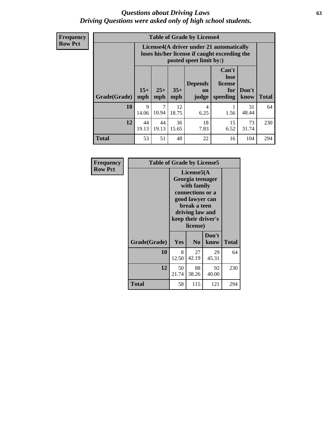#### *Questions about Driving Laws* **63** *Driving Questions were asked only of high school students.*

**Frequency Row Pct**

| <b>Table of Grade by License4</b> |             |                                                                                                                                                                                                                                                                                |             |                        |      |             |     |  |  |
|-----------------------------------|-------------|--------------------------------------------------------------------------------------------------------------------------------------------------------------------------------------------------------------------------------------------------------------------------------|-------------|------------------------|------|-------------|-----|--|--|
|                                   |             | License4(A driver under 21 automatically<br>loses his/her license if caught exceeding the<br>posted speet limit by:)<br>Can't<br>lose<br><b>Depends</b><br>license<br>$15+$<br>$25+$<br>$35+$<br>Don't<br>for<br>on<br><b>Total</b><br>mph<br>speeding<br>know<br>mph<br>judge |             |                        |      |             |     |  |  |
| Grade(Grade)                      | mph         |                                                                                                                                                                                                                                                                                |             |                        |      |             |     |  |  |
| 10                                | 9<br>14.06  | 7<br>10.94                                                                                                                                                                                                                                                                     | 12<br>18.75 | $\overline{4}$<br>6.25 | 1.56 | 31<br>48.44 | 64  |  |  |
| 12                                | 44<br>19.13 | 18<br>44<br>15<br>36<br>73<br>19.13<br>7.83<br>6.52<br>15.65<br>31.74                                                                                                                                                                                                          |             |                        |      |             |     |  |  |
| <b>Total</b>                      | 53          | 51                                                                                                                                                                                                                                                                             | 48          | 22                     | 16   | 104         | 294 |  |  |

| Frequency      | <b>Table of Grade by License5</b> |             |                                                                                                                                      |                     |       |
|----------------|-----------------------------------|-------------|--------------------------------------------------------------------------------------------------------------------------------------|---------------------|-------|
| <b>Row Pct</b> |                                   |             | License5(A)<br>Georgia teenager<br>with family<br>connections or a<br>good lawyer can<br>break a teen<br>driving law and<br>license) | keep their driver's |       |
|                | Grade(Grade)                      | Yes         | N <sub>0</sub>                                                                                                                       | Don't<br>know       | Total |
|                | 10                                | 8<br>12.50  | 27<br>42.19                                                                                                                          | 29<br>45.31         | 64    |
|                | 12                                | 50<br>21.74 | 88<br>38.26                                                                                                                          | 92<br>40.00         | 230   |
|                | <b>Total</b>                      | 58          | 115                                                                                                                                  | 121                 | 294   |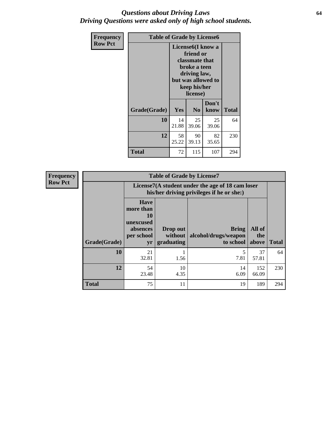#### *Questions about Driving Laws* **64** *Driving Questions were asked only of high school students.*

| <b>Frequency</b> | <b>Table of Grade by License6</b> |                                                                                                                                                 |                |               |              |
|------------------|-----------------------------------|-------------------------------------------------------------------------------------------------------------------------------------------------|----------------|---------------|--------------|
| <b>Row Pct</b>   |                                   | License <sub>6</sub> (I know a<br>friend or<br>classmate that<br>broke a teen<br>driving law,<br>but was allowed to<br>keep his/her<br>license) |                |               |              |
|                  | Grade(Grade)                      | Yes                                                                                                                                             | N <sub>0</sub> | Don't<br>know | <b>Total</b> |
|                  | 10                                | 14<br>21.88                                                                                                                                     | 25<br>39.06    | 25<br>39.06   | 64           |
|                  | 12                                | 58<br>25.22                                                                                                                                     | 230            |               |              |
|                  | <b>Total</b>                      | 72                                                                                                                                              | 115            | 107           | 294          |

| <b>Frequency</b> |              |                                                                             | <b>Table of Grade by License7</b>                                                             |                                                   |                        |              |  |
|------------------|--------------|-----------------------------------------------------------------------------|-----------------------------------------------------------------------------------------------|---------------------------------------------------|------------------------|--------------|--|
| <b>Row Pct</b>   |              |                                                                             | License7(A student under the age of 18 cam loser<br>his/her driving privileges if he or she:) |                                                   |                        |              |  |
|                  | Grade(Grade) | <b>Have</b><br>more than<br>10<br>unexcused<br>absences<br>per school<br>yr | Drop out<br>without  <br>graduating                                                           | <b>Bring</b><br>alcohol/drugs/weapon<br>to school | All of<br>the<br>above | <b>Total</b> |  |
|                  | 10           | 21<br>32.81                                                                 | 1.56                                                                                          | 7.81                                              | 37<br>57.81            | 64           |  |
|                  | 12           | 54<br>23.48                                                                 | 10<br>4.35                                                                                    | 14<br>6.09                                        | 152<br>66.09           | 230          |  |
|                  | <b>Total</b> | 75                                                                          | 11                                                                                            | 19                                                | 189                    | 294          |  |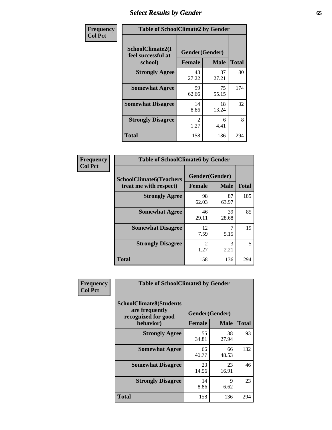# *Select Results by Gender* **65**

| Frequency      | <b>Table of SchoolClimate2 by Gender</b>          |                                 |             |              |
|----------------|---------------------------------------------------|---------------------------------|-------------|--------------|
| <b>Col Pct</b> | SchoolClimate2(I<br>feel successful at<br>school) | Gender(Gender)<br><b>Female</b> | <b>Male</b> | <b>Total</b> |
|                | <b>Strongly Agree</b>                             | 43<br>27.22                     | 37<br>27.21 | 80           |
|                | <b>Somewhat Agree</b>                             | 99<br>62.66                     | 75<br>55.15 | 174          |
|                | <b>Somewhat Disagree</b>                          | 14<br>8.86                      | 18<br>13.24 | 32           |
|                | <b>Strongly Disagree</b>                          | $\mathcal{L}$<br>1.27           | 6<br>4.41   | 8            |
|                | <b>Total</b>                                      | 158                             | 136         | 294          |

| Frequency      | <b>Table of SchoolClimate6 by Gender</b>                 |                          |             |              |  |
|----------------|----------------------------------------------------------|--------------------------|-------------|--------------|--|
| <b>Col Pct</b> | <b>SchoolClimate6(Teachers</b><br>treat me with respect) | Gender(Gender)<br>Female | <b>Male</b> | <b>Total</b> |  |
|                | <b>Strongly Agree</b>                                    | 98<br>62.03              | 87<br>63.97 | 185          |  |
|                | <b>Somewhat Agree</b>                                    | 46<br>29.11              | 39<br>28.68 | 85           |  |
|                | <b>Somewhat Disagree</b>                                 | 12<br>7.59               | 5.15        | 19           |  |
|                | <b>Strongly Disagree</b>                                 | $\mathfrak{D}$<br>1.27   | 3<br>2.21   | 5            |  |
|                | <b>Total</b>                                             | 158                      | 136         | 294          |  |

| Frequency      | <b>Table of SchoolClimate8 by Gender</b>                                             |                                 |             |              |
|----------------|--------------------------------------------------------------------------------------|---------------------------------|-------------|--------------|
| <b>Col Pct</b> | <b>SchoolClimate8(Students</b><br>are frequently<br>recognized for good<br>behavior) | Gender(Gender)<br><b>Female</b> | <b>Male</b> | <b>Total</b> |
|                | <b>Strongly Agree</b>                                                                | 55<br>34.81                     | 38<br>27.94 | 93           |
|                | <b>Somewhat Agree</b>                                                                | 66<br>41.77                     | 66<br>48.53 | 132          |
|                | <b>Somewhat Disagree</b>                                                             | 23<br>14.56                     | 23<br>16.91 | 46           |
|                | <b>Strongly Disagree</b>                                                             | 14<br>8.86                      | 9<br>6.62   | 23           |
|                | Total                                                                                | 158                             | 136         | 294          |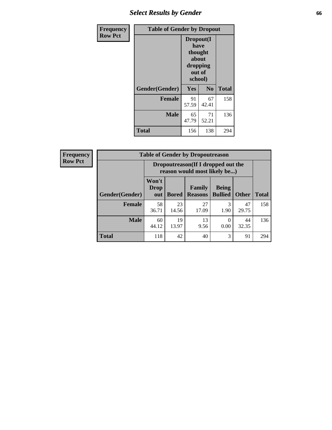# *Select Results by Gender* **66**

| Frequency      | <b>Table of Gender by Dropout</b> |                                                                        |                |              |
|----------------|-----------------------------------|------------------------------------------------------------------------|----------------|--------------|
| <b>Row Pct</b> |                                   | Dropout(I<br>have<br>thought<br>about<br>dropping<br>out of<br>school) |                |              |
|                | Gender(Gender)                    | Yes                                                                    | N <sub>0</sub> | <b>Total</b> |
|                | <b>Female</b>                     | 91<br>57.59                                                            | 67<br>42.41    | 158          |
|                | <b>Male</b>                       | 65<br>47.79                                                            | 71<br>52.21    | 136          |
|                | <b>Total</b>                      | 156                                                                    | 138            | 294          |

| <b>Frequency</b> |                        | <b>Table of Gender by Dropoutreason</b>                            |              |                          |                                |              |              |  |
|------------------|------------------------|--------------------------------------------------------------------|--------------|--------------------------|--------------------------------|--------------|--------------|--|
| <b>Row Pct</b>   |                        | Dropoutreason(If I dropped out the<br>reason would most likely be) |              |                          |                                |              |              |  |
|                  | <b>Gender</b> (Gender) | Won't<br><b>Drop</b><br>out                                        | <b>Bored</b> | Family<br><b>Reasons</b> | <b>Being</b><br><b>Bullied</b> | <b>Other</b> | <b>Total</b> |  |
|                  | <b>Female</b>          | 58<br>36.71                                                        | 23<br>14.56  | 27<br>17.09              | 1.90                           | 47<br>29.75  | 158          |  |
|                  | <b>Male</b>            | 60<br>44.12                                                        | 19<br>13.97  | 13<br>9.56               | 0.00                           | 44<br>32.35  | 136          |  |
|                  | <b>Total</b>           | 118                                                                | 42           | 40                       | 3                              | 91           | 294          |  |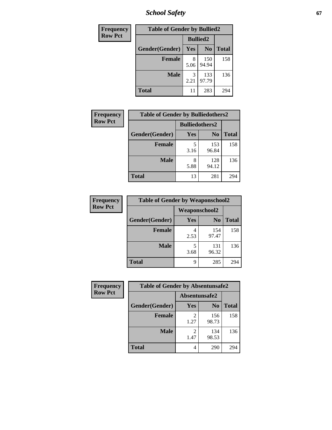*School Safety* **67**

| Frequency      | <b>Table of Gender by Bullied2</b> |                 |                |              |  |
|----------------|------------------------------------|-----------------|----------------|--------------|--|
| <b>Row Pct</b> |                                    | <b>Bullied2</b> |                |              |  |
|                | Gender(Gender)                     | <b>Yes</b>      | N <sub>0</sub> | <b>Total</b> |  |
|                | <b>Female</b>                      | 8<br>5.06       | 150<br>94.94   | 158          |  |
|                | <b>Male</b>                        | 3<br>2.21       | 133<br>97.79   | 136          |  |
|                | <b>Total</b>                       | 11              | 283            | 294          |  |

| Frequency      | <b>Table of Gender by Bulliedothers2</b> |                       |                |              |
|----------------|------------------------------------------|-----------------------|----------------|--------------|
| <b>Row Pct</b> |                                          | <b>Bulliedothers2</b> |                |              |
|                | Gender(Gender)                           | Yes                   | N <sub>0</sub> | <b>Total</b> |
|                | <b>Female</b>                            | 5<br>3.16             | 153<br>96.84   | 158          |
|                | <b>Male</b>                              | 8<br>5.88             | 128<br>94.12   | 136          |
|                | <b>Total</b>                             | 13                    | 281            | 294          |

| Frequency      | <b>Table of Gender by Weaponschool2</b> |                      |                |              |
|----------------|-----------------------------------------|----------------------|----------------|--------------|
| <b>Row Pct</b> |                                         | <b>Weaponschool2</b> |                |              |
|                | Gender(Gender)                          | Yes                  | N <sub>0</sub> | <b>Total</b> |
|                | Female                                  | 2.53                 | 154<br>97.47   | 158          |
|                | <b>Male</b>                             | 3.68                 | 131<br>96.32   | 136          |
|                | <b>Total</b>                            | 9                    | 285            | 294          |

| Frequency      |                | <b>Table of Gender by Absentunsafe2</b> |                |              |
|----------------|----------------|-----------------------------------------|----------------|--------------|
| <b>Row Pct</b> |                | Absentunsafe2                           |                |              |
|                | Gender(Gender) | Yes                                     | N <sub>0</sub> | <b>Total</b> |
|                | <b>Female</b>  | 1.27                                    | 156<br>98.73   | 158          |
|                | <b>Male</b>    | 1.47                                    | 134<br>98.53   | 136          |
|                | <b>Total</b>   | 4                                       | 290            | 294          |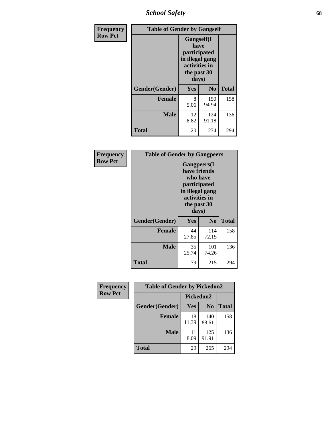*School Safety* **68**

| Frequency      | <b>Table of Gender by Gangself</b> |                                                                                                        |                |              |
|----------------|------------------------------------|--------------------------------------------------------------------------------------------------------|----------------|--------------|
| <b>Row Pct</b> |                                    | <b>Gangself</b> (I<br>have<br>participated<br>in illegal gang<br>activities in<br>the past 30<br>days) |                |              |
|                | Gender(Gender)                     | Yes                                                                                                    | N <sub>0</sub> | <b>Total</b> |
|                | <b>Female</b>                      | 8<br>5.06                                                                                              | 150<br>94.94   | 158          |
|                | <b>Male</b>                        | 12<br>8.82                                                                                             | 124<br>91.18   | 136          |
|                | <b>Total</b>                       | 20                                                                                                     | 274            | 294          |

| Frequency      | <b>Table of Gender by Gangpeers</b> |                                                                                                                             |                |              |
|----------------|-------------------------------------|-----------------------------------------------------------------------------------------------------------------------------|----------------|--------------|
| <b>Row Pct</b> |                                     | <b>Gangpeers</b> (I<br>have friends<br>who have<br>participated<br>in illegal gang<br>activities in<br>the past 30<br>days) |                |              |
|                | Gender(Gender)                      | Yes                                                                                                                         | N <sub>0</sub> | <b>Total</b> |
|                | <b>Female</b>                       | 44<br>27.85                                                                                                                 | 114<br>72.15   | 158          |
|                | <b>Male</b>                         | 35<br>25.74                                                                                                                 | 101<br>74.26   | 136          |
|                | <b>Total</b>                        | 79                                                                                                                          | 215            | 294          |

| Frequency      | <b>Table of Gender by Pickedon2</b> |             |                |              |  |
|----------------|-------------------------------------|-------------|----------------|--------------|--|
| <b>Row Pct</b> |                                     | Pickedon2   |                |              |  |
|                | Gender(Gender)                      | Yes         | N <sub>0</sub> | <b>Total</b> |  |
|                | <b>Female</b>                       | 18<br>11.39 | 140<br>88.61   | 158          |  |
|                | <b>Male</b>                         | 11<br>8.09  | 125<br>91.91   | 136          |  |
|                | <b>Total</b>                        | 29          | 265            | 294          |  |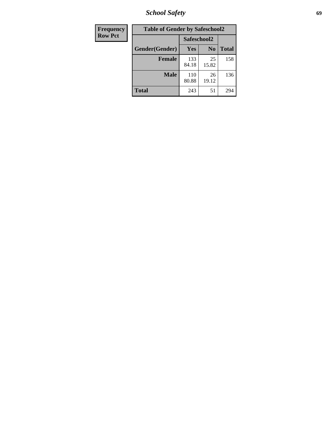*School Safety* **69**

| Frequency      | <b>Table of Gender by Safeschool2</b> |              |                |              |
|----------------|---------------------------------------|--------------|----------------|--------------|
| <b>Row Pct</b> |                                       | Safeschool2  |                |              |
|                | Gender(Gender)                        | Yes          | N <sub>0</sub> | <b>Total</b> |
|                | <b>Female</b>                         | 133<br>84.18 | 25<br>15.82    | 158          |
|                | Male                                  | 110<br>80.88 | 26<br>19.12    | 136          |
|                | <b>Total</b>                          | 243          | 51             | 294          |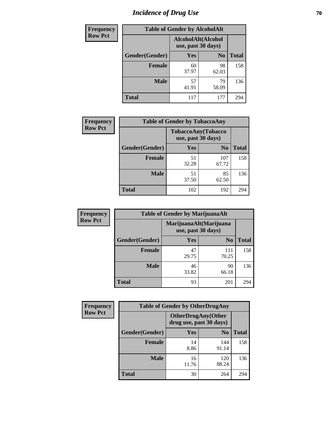# *Incidence of Drug Use* **70**

| <b>Frequency</b> |                | <b>Table of Gender by AlcoholAlt</b>     |                |              |
|------------------|----------------|------------------------------------------|----------------|--------------|
| <b>Row Pct</b>   |                | AlcoholAlt(Alcohol<br>use, past 30 days) |                |              |
|                  | Gender(Gender) | Yes                                      | N <sub>0</sub> | <b>Total</b> |
|                  | <b>Female</b>  | 60<br>37.97                              | 98<br>62.03    | 158          |
|                  | <b>Male</b>    | 57<br>41.91                              | 79<br>58.09    | 136          |
|                  | <b>Total</b>   | 117                                      | 177            | 294          |

| Frequency      | <b>Table of Gender by TobaccoAny</b> |                                          |                |              |
|----------------|--------------------------------------|------------------------------------------|----------------|--------------|
| <b>Row Pct</b> |                                      | TobaccoAny(Tobacco<br>use, past 30 days) |                |              |
|                | Gender(Gender)                       | Yes                                      | N <sub>0</sub> | <b>Total</b> |
|                | <b>Female</b>                        | 51<br>32.28                              | 107<br>67.72   | 158          |
|                | <b>Male</b>                          | 51<br>37.50                              | 85<br>62.50    | 136          |
|                | Total                                | 102                                      | 192            | 294          |

| <b>Frequency</b> | <b>Table of Gender by MarijuanaAlt</b> |                    |                        |              |
|------------------|----------------------------------------|--------------------|------------------------|--------------|
| <b>Row Pct</b>   |                                        | use, past 30 days) | MarijuanaAlt(Marijuana |              |
|                  | Gender(Gender)                         | <b>Yes</b>         | N <sub>0</sub>         | <b>Total</b> |
|                  | <b>Female</b>                          | 47<br>29.75        | 111<br>70.25           | 158          |
|                  | <b>Male</b>                            | 46<br>33.82        | 90<br>66.18            | 136          |
|                  | <b>Total</b>                           | 93                 | 201                    | 294          |

| <b>Frequency</b> | <b>Table of Gender by OtherDrugAny</b> |                         |                           |              |
|------------------|----------------------------------------|-------------------------|---------------------------|--------------|
| <b>Row Pct</b>   |                                        | drug use, past 30 days) | <b>OtherDrugAny(Other</b> |              |
|                  | Gender(Gender)                         | <b>Yes</b>              | N <sub>0</sub>            | <b>Total</b> |
|                  | <b>Female</b>                          | 14<br>8.86              | 144<br>91.14              | 158          |
|                  | <b>Male</b>                            | 16<br>11.76             | 120<br>88.24              | 136          |
|                  | <b>Total</b>                           | 30                      | 264                       | 294          |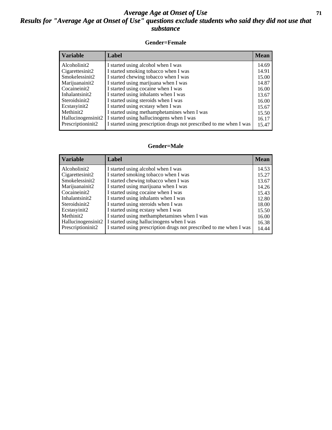#### *Average Age at Onset of Use* **71** *Results for "Average Age at Onset of Use" questions exclude students who said they did not use that substance*

#### **Gender=Female**

| <b>Variable</b>    | <b>Label</b>                                                       | <b>Mean</b> |
|--------------------|--------------------------------------------------------------------|-------------|
| Alcoholinit2       | I started using alcohol when I was                                 | 14.69       |
| Cigarettesinit2    | I started smoking tobacco when I was                               | 14.91       |
| Smokelessinit2     | I started chewing tobacco when I was                               | 15.00       |
| Marijuanainit2     | I started using marijuana when I was                               | 14.87       |
| Cocaineinit2       | I started using cocaine when I was                                 | 16.00       |
| Inhalantsinit2     | I started using inhalants when I was                               | 13.67       |
| Steroidsinit2      | I started using steroids when I was                                | 16.00       |
| Ecstasyinit2       | I started using ecstasy when I was                                 | 15.67       |
| Methinit2          | I started using methamphetamines when I was                        | 15.50       |
| Hallucinogensinit2 | I started using hallucinogens when I was                           | 16.17       |
| Prescription in t2 | I started using prescription drugs not prescribed to me when I was | 15.47       |

#### **Gender=Male**

| <b>Variable</b>       | Label                                                              | <b>Mean</b> |
|-----------------------|--------------------------------------------------------------------|-------------|
| Alcoholinit2          | I started using alcohol when I was                                 | 14.53       |
| Cigarettesinit2       | I started smoking tobacco when I was                               | 15.27       |
| Smokelessinit2        | I started chewing tobacco when I was                               | 13.67       |
| Marijuanainit2        | I started using marijuana when I was                               | 14.26       |
| Cocaineinit2          | I started using cocaine when I was                                 | 15.43       |
| Inhalantsinit2        | I started using inhalants when I was                               | 12.80       |
| Steroidsinit2         | I started using steroids when I was                                | 18.00       |
| Ecstasyinit2          | I started using ecstasy when I was                                 | 15.50       |
| Methinit <sub>2</sub> | I started using methamphetamines when I was                        | 16.00       |
| Hallucinogensinit2    | I started using hallucinogens when I was                           | 16.38       |
| Prescriptioninit2     | I started using prescription drugs not prescribed to me when I was | 14.44       |
|                       |                                                                    |             |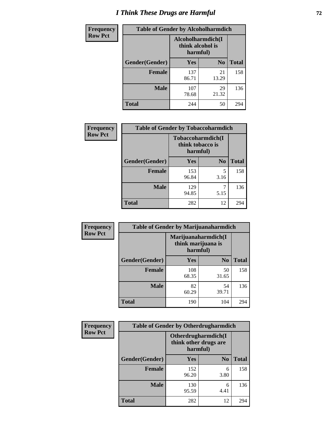# *I Think These Drugs are Harmful* **72**

| <b>Frequency</b> | <b>Table of Gender by Alcoholharmdich</b> |                                                   |                |              |
|------------------|-------------------------------------------|---------------------------------------------------|----------------|--------------|
| <b>Row Pct</b>   |                                           | Alcoholharmdich(I<br>think alcohol is<br>harmful) |                |              |
|                  | Gender(Gender)                            | <b>Yes</b>                                        | N <sub>0</sub> | <b>Total</b> |
|                  | <b>Female</b>                             | 137<br>86.71                                      | 21<br>13.29    | 158          |
|                  | <b>Male</b>                               | 107<br>78.68                                      | 29<br>21.32    | 136          |
|                  | Total                                     | 244                                               | 50             | 294          |

| Frequency      | <b>Table of Gender by Tobaccoharmdich</b> |                              |                   |              |
|----------------|-------------------------------------------|------------------------------|-------------------|--------------|
| <b>Row Pct</b> |                                           | think tobacco is<br>harmful) | Tobaccoharmdich(I |              |
|                | Gender(Gender)                            | Yes                          | N <sub>0</sub>    | <b>Total</b> |
|                | <b>Female</b>                             | 153<br>96.84                 | 5<br>3.16         | 158          |
|                | <b>Male</b>                               | 129<br>94.85                 | 7<br>5.15         | 136          |
|                | <b>Total</b>                              | 282                          | 12                | 294          |

| Frequency      | <b>Table of Gender by Marijuanaharmdich</b> |                                |                     |              |  |
|----------------|---------------------------------------------|--------------------------------|---------------------|--------------|--|
| <b>Row Pct</b> |                                             | think marijuana is<br>harmful) | Marijuanaharmdich(I |              |  |
|                | Gender(Gender)                              | <b>Yes</b>                     | N <sub>0</sub>      | <b>Total</b> |  |
|                | <b>Female</b>                               | 108<br>68.35                   | 50<br>31.65         | 158          |  |
|                | <b>Male</b>                                 | 82<br>60.29                    | 54<br>39.71         | 136          |  |
|                | <b>Total</b>                                | 190                            | 104                 | 294          |  |

| Frequency      | <b>Table of Gender by Otherdrugharmdich</b> |                                                          |                |              |  |
|----------------|---------------------------------------------|----------------------------------------------------------|----------------|--------------|--|
| <b>Row Pct</b> |                                             | Otherdrugharmdich(I<br>think other drugs are<br>harmful) |                |              |  |
|                | Gender(Gender)                              | <b>Yes</b>                                               | N <sub>0</sub> | <b>Total</b> |  |
|                | <b>Female</b>                               | 152<br>96.20                                             | 6<br>3.80      | 158          |  |
|                | <b>Male</b>                                 | 130<br>95.59                                             | 6<br>4.41      | 136          |  |
|                | <b>Total</b>                                | 282                                                      | 12             | 294          |  |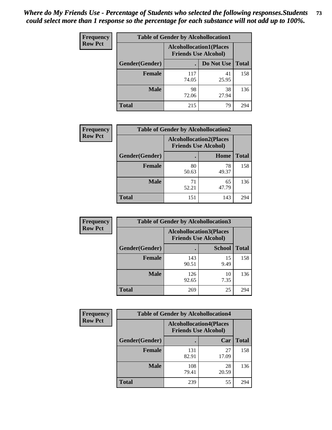| <b>Frequency</b> | <b>Table of Gender by Alcohollocation1</b> |                                                               |             |              |
|------------------|--------------------------------------------|---------------------------------------------------------------|-------------|--------------|
| <b>Row Pct</b>   |                                            | <b>Alcohollocation1(Places</b><br><b>Friends Use Alcohol)</b> |             |              |
|                  | <b>Gender</b> (Gender)                     |                                                               | Do Not Use  | <b>Total</b> |
|                  | <b>Female</b>                              | 117<br>74.05                                                  | 41<br>25.95 | 158          |
|                  | <b>Male</b>                                | 98<br>72.06                                                   | 38<br>27.94 | 136          |
|                  | Total                                      | 215                                                           | 79          | 294          |

| <b>Frequency</b> | <b>Table of Gender by Alcohollocation2</b> |                                                               |             |              |
|------------------|--------------------------------------------|---------------------------------------------------------------|-------------|--------------|
| <b>Row Pct</b>   |                                            | <b>Alcohollocation2(Places</b><br><b>Friends Use Alcohol)</b> |             |              |
|                  | Gender(Gender)                             |                                                               | Home        | <b>Total</b> |
|                  | Female                                     | 80<br>50.63                                                   | 78<br>49.37 | 158          |
|                  | <b>Male</b>                                | 71<br>52.21                                                   | 65<br>47.79 | 136          |
|                  | <b>Total</b>                               | 151                                                           | 143         | 294          |

| Frequency      | <b>Table of Gender by Alcohollocation3</b> |                                                               |               |              |
|----------------|--------------------------------------------|---------------------------------------------------------------|---------------|--------------|
| <b>Row Pct</b> |                                            | <b>Alcohollocation3(Places</b><br><b>Friends Use Alcohol)</b> |               |              |
|                | Gender(Gender)                             |                                                               | <b>School</b> | <b>Total</b> |
|                | <b>Female</b>                              | 143<br>90.51                                                  | 15<br>9.49    | 158          |
|                | <b>Male</b>                                | 126<br>92.65                                                  | 10<br>7.35    | 136          |
|                | <b>Total</b>                               | 269                                                           | 25            | 294          |

| <b>Frequency</b> | <b>Table of Gender by Alcohollocation4</b> |                                                               |             |              |  |
|------------------|--------------------------------------------|---------------------------------------------------------------|-------------|--------------|--|
| <b>Row Pct</b>   |                                            | <b>Alcohollocation4(Places</b><br><b>Friends Use Alcohol)</b> |             |              |  |
|                  | Gender(Gender)                             |                                                               | Car         | <b>Total</b> |  |
|                  | <b>Female</b>                              | 131<br>82.91                                                  | 27<br>17.09 | 158          |  |
|                  | <b>Male</b>                                | 108<br>79.41                                                  | 28<br>20.59 | 136          |  |
|                  | <b>Total</b>                               | 239                                                           | 55          | 294          |  |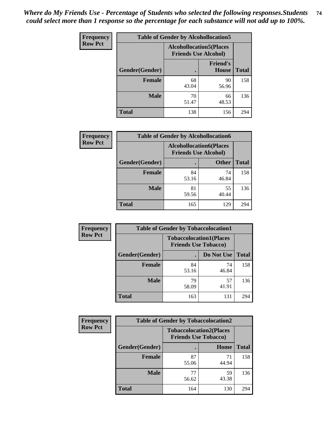| <b>Frequency</b> | <b>Table of Gender by Alcohollocation5</b> |             |                                                               |              |
|------------------|--------------------------------------------|-------------|---------------------------------------------------------------|--------------|
| <b>Row Pct</b>   |                                            |             | <b>Alcohollocation5(Places</b><br><b>Friends Use Alcohol)</b> |              |
|                  | Gender(Gender)                             | $\bullet$   | <b>Friend's</b><br><b>House</b>                               | <b>Total</b> |
|                  | <b>Female</b>                              | 68<br>43.04 | 90<br>56.96                                                   | 158          |
|                  | <b>Male</b>                                | 70<br>51.47 | 66<br>48.53                                                   | 136          |
|                  | <b>Total</b>                               | 138         | 156                                                           | 294          |

| Frequency      | <b>Table of Gender by Alcohollocation6</b> |                                                               |              |              |  |
|----------------|--------------------------------------------|---------------------------------------------------------------|--------------|--------------|--|
| <b>Row Pct</b> |                                            | <b>Alcohollocation6(Places</b><br><b>Friends Use Alcohol)</b> |              |              |  |
|                | <b>Gender</b> (Gender)                     |                                                               | <b>Other</b> | <b>Total</b> |  |
|                | <b>Female</b>                              | 84<br>53.16                                                   | 74<br>46.84  | 158          |  |
|                | <b>Male</b>                                | 81<br>59.56                                                   | 55<br>40.44  | 136          |  |
|                | <b>Total</b>                               | 165                                                           | 129          | 294          |  |

| Frequency      | <b>Table of Gender by Tobaccolocation1</b> |                                                               |             |              |  |
|----------------|--------------------------------------------|---------------------------------------------------------------|-------------|--------------|--|
| <b>Row Pct</b> |                                            | <b>Tobaccolocation1(Places</b><br><b>Friends Use Tobacco)</b> |             |              |  |
|                | Gender(Gender)                             |                                                               | Do Not Use  | <b>Total</b> |  |
|                | Female                                     | 84<br>53.16                                                   | 74<br>46.84 | 158          |  |
|                | <b>Male</b>                                | 79<br>58.09                                                   | 57<br>41.91 | 136          |  |
|                | <b>Total</b>                               | 163                                                           | 131         | 294          |  |

| <b>Frequency</b> |                | <b>Table of Gender by Tobaccolocation2</b>                    |             |              |  |
|------------------|----------------|---------------------------------------------------------------|-------------|--------------|--|
| <b>Row Pct</b>   |                | <b>Tobaccolocation2(Places</b><br><b>Friends Use Tobacco)</b> |             |              |  |
|                  | Gender(Gender) |                                                               | Home        | <b>Total</b> |  |
|                  | Female         | 87<br>55.06                                                   | 71<br>44.94 | 158          |  |
|                  | <b>Male</b>    | 77<br>56.62                                                   | 59<br>43.38 | 136          |  |
|                  | <b>Total</b>   | 164                                                           | 130         | 294          |  |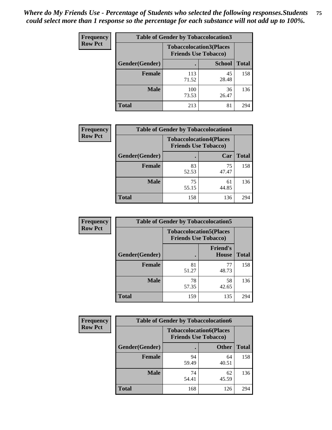| <b>Frequency</b> | <b>Table of Gender by Tobaccolocation3</b> |              |                                                               |              |
|------------------|--------------------------------------------|--------------|---------------------------------------------------------------|--------------|
| <b>Row Pct</b>   |                                            |              | <b>Tobaccolocation3(Places</b><br><b>Friends Use Tobacco)</b> |              |
|                  | Gender(Gender)                             |              | <b>School</b>                                                 | <b>Total</b> |
|                  | Female                                     | 113<br>71.52 | 45<br>28.48                                                   | 158          |
|                  | <b>Male</b>                                | 100<br>73.53 | 36<br>26.47                                                   | 136          |
|                  | <b>Total</b>                               | 213          | 81                                                            | 294          |

| <b>Frequency</b> | <b>Table of Gender by Tobaccolocation4</b> |                                                               |             |              |
|------------------|--------------------------------------------|---------------------------------------------------------------|-------------|--------------|
| <b>Row Pct</b>   |                                            | <b>Tobaccolocation4(Places</b><br><b>Friends Use Tobacco)</b> |             |              |
|                  | Gender(Gender)                             |                                                               | Car         | <b>Total</b> |
|                  | <b>Female</b>                              | 83<br>52.53                                                   | 75<br>47.47 | 158          |
|                  | <b>Male</b>                                | 75<br>55.15                                                   | 61<br>44.85 | 136          |
|                  | <b>Total</b>                               | 158                                                           | 136         | 294          |

| <b>Frequency</b> | <b>Table of Gender by Tobaccolocation5</b> |                                                               |                          |              |
|------------------|--------------------------------------------|---------------------------------------------------------------|--------------------------|--------------|
| <b>Row Pct</b>   |                                            | <b>Tobaccolocation5(Places</b><br><b>Friends Use Tobacco)</b> |                          |              |
|                  | Gender(Gender)                             |                                                               | <b>Friend's</b><br>House | <b>Total</b> |
|                  | <b>Female</b>                              | 81<br>51.27                                                   | 77<br>48.73              | 158          |
|                  | <b>Male</b>                                | 78<br>57.35                                                   | 58<br>42.65              | 136          |
|                  | <b>Total</b>                               | 159                                                           | 135                      | 294          |

| <b>Frequency</b> | <b>Table of Gender by Tobaccolocation6</b> |                                                               |              |              |
|------------------|--------------------------------------------|---------------------------------------------------------------|--------------|--------------|
| <b>Row Pct</b>   |                                            | <b>Tobaccolocation6(Places</b><br><b>Friends Use Tobacco)</b> |              |              |
|                  | Gender(Gender)                             |                                                               | <b>Other</b> | <b>Total</b> |
|                  | Female                                     | 94<br>59.49                                                   | 64<br>40.51  | 158          |
|                  | <b>Male</b>                                | 74<br>54.41                                                   | 62<br>45.59  | 136          |
|                  | <b>Total</b>                               | 168                                                           | 126          | 294          |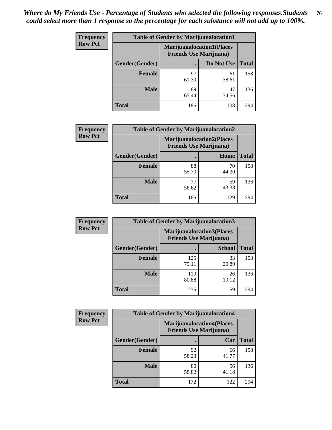| <b>Frequency</b> | <b>Table of Gender by Marijuanalocation1</b> |                                                                    |             |              |
|------------------|----------------------------------------------|--------------------------------------------------------------------|-------------|--------------|
| <b>Row Pct</b>   |                                              | <b>Marijuanalocation1(Places</b><br><b>Friends Use Marijuana</b> ) |             |              |
|                  | Gender(Gender)                               |                                                                    | Do Not Use  | <b>Total</b> |
|                  | <b>Female</b>                                | 97<br>61.39                                                        | 61<br>38.61 | 158          |
|                  | <b>Male</b>                                  | 89<br>65.44                                                        | 47<br>34.56 | 136          |
|                  | Total                                        | 186                                                                | 108         | 294          |

| <b>Frequency</b> | <b>Table of Gender by Marijuanalocation2</b> |                                                                    |             |              |  |
|------------------|----------------------------------------------|--------------------------------------------------------------------|-------------|--------------|--|
| <b>Row Pct</b>   |                                              | <b>Marijuanalocation2(Places</b><br><b>Friends Use Marijuana</b> ) |             |              |  |
|                  | Gender(Gender)                               |                                                                    | Home        | <b>Total</b> |  |
|                  | Female                                       | 88<br>55.70                                                        | 70<br>44.30 | 158          |  |
|                  | <b>Male</b>                                  | 77<br>56.62                                                        | 59<br>43.38 | 136          |  |
|                  | <b>Total</b>                                 | 165                                                                | 129         | 294          |  |

| Frequency      | <b>Table of Gender by Marijuanalocation3</b> |              |                                                                    |              |  |
|----------------|----------------------------------------------|--------------|--------------------------------------------------------------------|--------------|--|
| <b>Row Pct</b> |                                              |              | <b>Marijuanalocation3(Places</b><br><b>Friends Use Marijuana</b> ) |              |  |
|                | Gender(Gender)                               |              | <b>School</b>                                                      | <b>Total</b> |  |
|                | Female                                       | 125<br>79.11 | 33<br>20.89                                                        | 158          |  |
|                | <b>Male</b>                                  | 110<br>80.88 | 26<br>19.12                                                        | 136          |  |
|                | <b>Total</b>                                 | 235          | 59                                                                 | 294          |  |

| Frequency      | <b>Table of Gender by Marijuanalocation4</b> |                                |                                  |              |  |
|----------------|----------------------------------------------|--------------------------------|----------------------------------|--------------|--|
| <b>Row Pct</b> |                                              | <b>Friends Use Marijuana</b> ) | <b>Marijuanalocation4(Places</b> |              |  |
|                | Gender(Gender)                               |                                | Car                              | <b>Total</b> |  |
|                | Female                                       | 92<br>58.23                    | 66<br>41.77                      | 158          |  |
|                | <b>Male</b>                                  | 80<br>58.82                    | 56<br>41.18                      | 136          |  |
|                | <b>Total</b>                                 | 172                            | 122                              | 294          |  |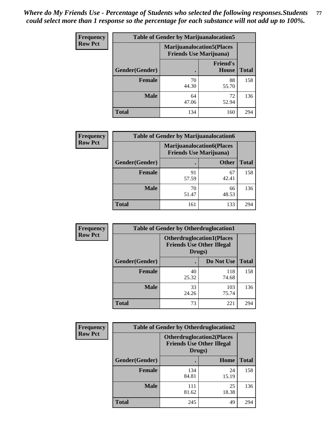| <b>Frequency</b> | <b>Table of Gender by Marijuanalocation5</b> |                                                                    |                          |              |
|------------------|----------------------------------------------|--------------------------------------------------------------------|--------------------------|--------------|
| <b>Row Pct</b>   |                                              | <b>Marijuanalocation5(Places</b><br><b>Friends Use Marijuana</b> ) |                          |              |
|                  | Gender(Gender)                               |                                                                    | <b>Friend's</b><br>House | <b>Total</b> |
|                  | <b>Female</b>                                | 70<br>44.30                                                        | 88<br>55.70              | 158          |
|                  | <b>Male</b>                                  | 64<br>47.06                                                        | 72<br>52.94              | 136          |
|                  | <b>Total</b>                                 | 134                                                                | 160                      | 294          |

| <b>Frequency</b> | <b>Table of Gender by Marijuanalocation6</b> |                                |                                  |              |
|------------------|----------------------------------------------|--------------------------------|----------------------------------|--------------|
| <b>Row Pct</b>   |                                              | <b>Friends Use Marijuana</b> ) | <b>Marijuanalocation6(Places</b> |              |
|                  | <b>Gender</b> (Gender)                       |                                | <b>Other</b>                     | <b>Total</b> |
|                  | Female                                       | 91<br>57.59                    | 67<br>42.41                      | 158          |
|                  | <b>Male</b>                                  | 70<br>51.47                    | 66<br>48.53                      | 136          |
|                  | Total                                        | 161                            | 133                              | 294          |

| <b>Frequency</b> | <b>Table of Gender by Otherdruglocation1</b> |                                                                                |              |              |
|------------------|----------------------------------------------|--------------------------------------------------------------------------------|--------------|--------------|
| <b>Row Pct</b>   |                                              | <b>Otherdruglocation1(Places</b><br><b>Friends Use Other Illegal</b><br>Drugs) |              |              |
|                  | Gender(Gender)                               |                                                                                | Do Not Use   | <b>Total</b> |
|                  | Female                                       | 40<br>25.32                                                                    | 118<br>74.68 | 158          |
|                  | <b>Male</b>                                  | 33<br>24.26                                                                    | 103<br>75.74 | 136          |
|                  | <b>Total</b>                                 | 73                                                                             | 221          | 294          |

| <b>Frequency</b> | <b>Table of Gender by Otherdruglocation2</b> |                                            |                                  |              |
|------------------|----------------------------------------------|--------------------------------------------|----------------------------------|--------------|
| <b>Row Pct</b>   |                                              | <b>Friends Use Other Illegal</b><br>Drugs) | <b>Otherdruglocation2(Places</b> |              |
|                  | Gender(Gender)                               |                                            | Home                             | <b>Total</b> |
|                  | Female                                       | 134<br>84.81                               | 24<br>15.19                      | 158          |
|                  | <b>Male</b>                                  | 111<br>81.62                               | 25<br>18.38                      | 136          |
|                  | <b>Total</b>                                 | 245                                        | 49                               | 294          |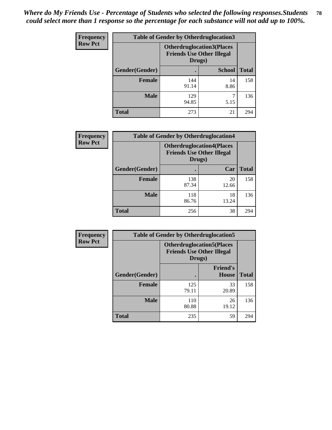| <b>Frequency</b> | <b>Table of Gender by Otherdruglocation3</b> |                                                                                |               |              |
|------------------|----------------------------------------------|--------------------------------------------------------------------------------|---------------|--------------|
| <b>Row Pct</b>   |                                              | <b>Otherdruglocation3(Places</b><br><b>Friends Use Other Illegal</b><br>Drugs) |               |              |
|                  | Gender(Gender)                               |                                                                                | <b>School</b> | <b>Total</b> |
|                  | <b>Female</b>                                | 144<br>91.14                                                                   | 14<br>8.86    | 158          |
|                  | <b>Male</b>                                  | 129<br>94.85                                                                   | 5.15          | 136          |
|                  | <b>Total</b>                                 | 273                                                                            | 21            | 294          |

| <b>Frequency</b> |                | <b>Table of Gender by Otherdruglocation4</b> |                                  |              |
|------------------|----------------|----------------------------------------------|----------------------------------|--------------|
| <b>Row Pct</b>   |                | <b>Friends Use Other Illegal</b><br>Drugs)   | <b>Otherdruglocation4(Places</b> |              |
|                  | Gender(Gender) |                                              | Car                              | <b>Total</b> |
|                  | <b>Female</b>  | 138<br>87.34                                 | 20<br>12.66                      | 158          |
|                  | <b>Male</b>    | 118<br>86.76                                 | 18<br>13.24                      | 136          |
|                  | <b>Total</b>   | 256                                          | 38                               | 294          |

| Frequency      | <b>Table of Gender by Otherdruglocation5</b> |                                            |                                  |              |
|----------------|----------------------------------------------|--------------------------------------------|----------------------------------|--------------|
| <b>Row Pct</b> |                                              | <b>Friends Use Other Illegal</b><br>Drugs) | <b>Otherdruglocation5(Places</b> |              |
|                | Gender(Gender)                               |                                            | <b>Friend's</b><br><b>House</b>  | <b>Total</b> |
|                | <b>Female</b>                                | 125<br>79.11                               | 33<br>20.89                      | 158          |
|                | <b>Male</b>                                  | 110<br>80.88                               | 26<br>19.12                      | 136          |
|                | <b>Total</b>                                 | 235                                        | 59                               | 294          |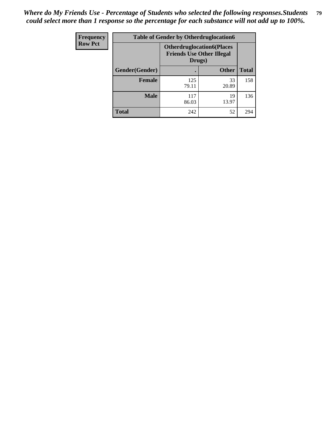| Frequency      | <b>Table of Gender by Otherdruglocation6</b> |                                            |                                  |              |
|----------------|----------------------------------------------|--------------------------------------------|----------------------------------|--------------|
| <b>Row Pct</b> |                                              | <b>Friends Use Other Illegal</b><br>Drugs) | <b>Otherdruglocation6(Places</b> |              |
|                | Gender(Gender)                               |                                            | <b>Other</b>                     | <b>Total</b> |
|                | <b>Female</b>                                | 125<br>79.11                               | 33<br>20.89                      | 158          |
|                | <b>Male</b>                                  | 117<br>86.03                               | 19<br>13.97                      | 136          |
|                | <b>Total</b>                                 | 242                                        | 52                               | 294          |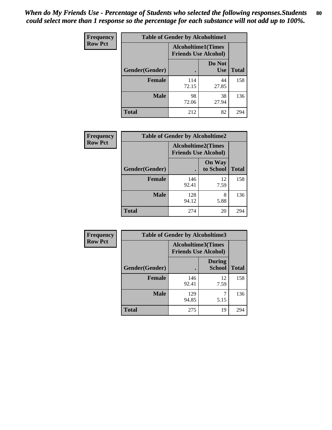| <b>Frequency</b> | <b>Table of Gender by Alcoholtime1</b> |                                                          |                      |              |
|------------------|----------------------------------------|----------------------------------------------------------|----------------------|--------------|
| <b>Row Pct</b>   |                                        | <b>Alcoholtime1(Times</b><br><b>Friends Use Alcohol)</b> |                      |              |
|                  | Gender(Gender)                         | ٠                                                        | Do Not<br><b>Use</b> | <b>Total</b> |
|                  | <b>Female</b>                          | 114<br>72.15                                             | 44<br>27.85          | 158          |
|                  | <b>Male</b>                            | 98<br>72.06                                              | 38<br>27.94          | 136          |
|                  | <b>Total</b>                           | 212                                                      | 82                   | 294          |

| Frequency      | <b>Table of Gender by Alcoholtime2</b> |                                                          |                            |              |
|----------------|----------------------------------------|----------------------------------------------------------|----------------------------|--------------|
| <b>Row Pct</b> |                                        | <b>Alcoholtime2(Times</b><br><b>Friends Use Alcohol)</b> |                            |              |
|                | Gender(Gender)                         |                                                          | <b>On Way</b><br>to School | <b>Total</b> |
|                | <b>Female</b>                          | 146<br>92.41                                             | 12<br>7.59                 | 158          |
|                | <b>Male</b>                            | 128<br>94.12                                             | 8<br>5.88                  | 136          |
|                | <b>Total</b>                           | 274                                                      | 20                         | 294          |

| <b>Frequency</b> | <b>Table of Gender by Alcoholtime3</b> |                                                          |                                |              |
|------------------|----------------------------------------|----------------------------------------------------------|--------------------------------|--------------|
| <b>Row Pct</b>   |                                        | <b>Alcoholtime3(Times</b><br><b>Friends Use Alcohol)</b> |                                |              |
|                  | Gender(Gender)                         |                                                          | <b>During</b><br><b>School</b> | <b>Total</b> |
|                  | Female                                 | 146<br>92.41                                             | 12<br>7.59                     | 158          |
|                  | <b>Male</b>                            | 129<br>94.85                                             | 5.15                           | 136          |
|                  | <b>Total</b>                           | 275                                                      | 19                             | 294          |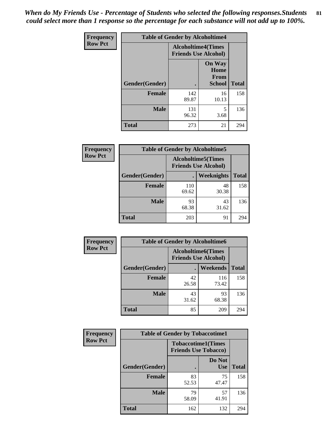*When do My Friends Use - Percentage of Students who selected the following responses.Students could select more than 1 response so the percentage for each substance will not add up to 100%.* **81**

| <b>Frequency</b> | <b>Table of Gender by Alcoholtime4</b> |                                                          |                                                       |              |
|------------------|----------------------------------------|----------------------------------------------------------|-------------------------------------------------------|--------------|
| <b>Row Pct</b>   |                                        | <b>Alcoholtime4(Times</b><br><b>Friends Use Alcohol)</b> |                                                       |              |
|                  | Gender(Gender)                         |                                                          | <b>On Way</b><br>Home<br><b>From</b><br><b>School</b> | <b>Total</b> |
|                  | <b>Female</b>                          | 142<br>89.87                                             | 16<br>10.13                                           | 158          |
|                  | <b>Male</b>                            | 131<br>96.32                                             | 5<br>3.68                                             | 136          |
|                  | <b>Total</b>                           | 273                                                      | 21                                                    | 294          |

| <b>Frequency</b> | <b>Table of Gender by Alcoholtime5</b> |                                                           |             |              |
|------------------|----------------------------------------|-----------------------------------------------------------|-------------|--------------|
| <b>Row Pct</b>   |                                        | <b>Alcoholtime5</b> (Times<br><b>Friends Use Alcohol)</b> |             |              |
|                  | Gender(Gender)                         |                                                           | Weeknights  | <b>Total</b> |
|                  | <b>Female</b>                          | 110<br>69.62                                              | 48<br>30.38 | 158          |
|                  | <b>Male</b>                            | 93<br>68.38                                               | 43<br>31.62 | 136          |
|                  | <b>Total</b>                           | 203                                                       | 91          | 294          |

| <b>Frequency</b> |                | <b>Table of Gender by Alcoholtime6</b> |                                                           |              |
|------------------|----------------|----------------------------------------|-----------------------------------------------------------|--------------|
| <b>Row Pct</b>   |                |                                        | <b>Alcoholtime6</b> (Times<br><b>Friends Use Alcohol)</b> |              |
|                  | Gender(Gender) |                                        | Weekends                                                  | <b>Total</b> |
|                  | Female         | 42<br>26.58                            | 116<br>73.42                                              | 158          |
|                  | <b>Male</b>    | 43<br>31.62                            | 93<br>68.38                                               | 136          |
|                  | <b>Total</b>   | 85                                     | 209                                                       | 294          |

| Frequency      | <b>Table of Gender by Tobaccotime1</b> |                                                          |                      |              |
|----------------|----------------------------------------|----------------------------------------------------------|----------------------|--------------|
| <b>Row Pct</b> |                                        | <b>Tobaccotime1(Times</b><br><b>Friends Use Tobacco)</b> |                      |              |
|                | Gender(Gender)                         |                                                          | Do Not<br><b>Use</b> | <b>Total</b> |
|                | <b>Female</b>                          | 83<br>52.53                                              | 75<br>47.47          | 158          |
|                | <b>Male</b>                            | 79<br>58.09                                              | 57<br>41.91          | 136          |
|                | <b>Total</b>                           | 162                                                      | 132                  | 294          |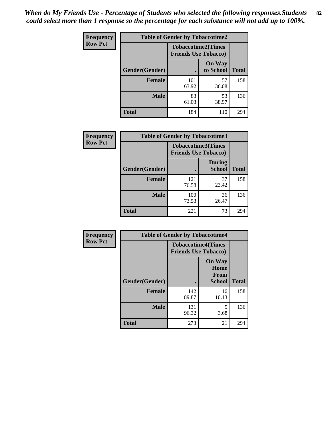| <b>Frequency</b> | <b>Table of Gender by Tobaccotime2</b> |                             |                            |              |
|------------------|----------------------------------------|-----------------------------|----------------------------|--------------|
| <b>Row Pct</b>   |                                        | <b>Friends Use Tobacco)</b> | <b>Tobaccotime2(Times</b>  |              |
|                  | Gender(Gender)                         |                             | <b>On Way</b><br>to School | <b>Total</b> |
|                  | <b>Female</b>                          | 101<br>63.92                | 57<br>36.08                | 158          |
|                  | <b>Male</b>                            | 83<br>61.03                 | 53<br>38.97                | 136          |
|                  | <b>Total</b>                           | 184                         | 110                        | 294          |

| <b>Frequency</b> | <b>Table of Gender by Tobaccotime3</b> |                                                          |                                |              |
|------------------|----------------------------------------|----------------------------------------------------------|--------------------------------|--------------|
| <b>Row Pct</b>   |                                        | <b>Tobaccotime3(Times</b><br><b>Friends Use Tobacco)</b> |                                |              |
|                  | Gender(Gender)                         |                                                          | <b>During</b><br><b>School</b> | <b>Total</b> |
|                  | <b>Female</b>                          | 121<br>76.58                                             | 37<br>23.42                    | 158          |
|                  | <b>Male</b>                            | 100<br>73.53                                             | 36<br>26.47                    | 136          |
|                  | <b>Total</b>                           | 221                                                      | 73                             | 294          |

| <b>Frequency</b> | <b>Table of Gender by Tobaccotime4</b> |                                                          |                                                       |              |
|------------------|----------------------------------------|----------------------------------------------------------|-------------------------------------------------------|--------------|
| <b>Row Pct</b>   |                                        | <b>Tobaccotime4(Times</b><br><b>Friends Use Tobacco)</b> |                                                       |              |
|                  | Gender(Gender)                         |                                                          | <b>On Way</b><br>Home<br><b>From</b><br><b>School</b> | <b>Total</b> |
|                  | <b>Female</b>                          | 142<br>89.87                                             | 16<br>10.13                                           | 158          |
|                  | <b>Male</b>                            | 131<br>96.32                                             | 5<br>3.68                                             | 136          |
|                  | <b>Total</b>                           | 273                                                      | 21                                                    | 294          |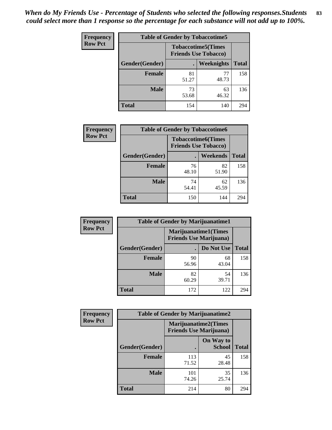| Frequency      | <b>Table of Gender by Tobaccotime5</b> |             |                                                           |              |  |
|----------------|----------------------------------------|-------------|-----------------------------------------------------------|--------------|--|
| <b>Row Pct</b> |                                        |             | <b>Tobaccotime5</b> (Times<br><b>Friends Use Tobacco)</b> |              |  |
|                | Gender(Gender)                         |             | Weeknights                                                | <b>Total</b> |  |
|                | <b>Female</b>                          | 81<br>51.27 | 77<br>48.73                                               | 158          |  |
|                | <b>Male</b>                            | 73<br>53.68 | 63<br>46.32                                               | 136          |  |
|                | <b>Total</b>                           | 154         | 140                                                       | 294          |  |

| <b>Frequency</b> |                | <b>Table of Gender by Tobaccotime6</b>                   |             |              |
|------------------|----------------|----------------------------------------------------------|-------------|--------------|
| <b>Row Pct</b>   |                | <b>Tobaccotime6(Times</b><br><b>Friends Use Tobacco)</b> |             |              |
|                  | Gender(Gender) |                                                          | Weekends    | <b>Total</b> |
|                  | Female         | 76<br>48.10                                              | 82<br>51.90 | 158          |
|                  | <b>Male</b>    | 74<br>54.41                                              | 62<br>45.59 | 136          |
|                  | <b>Total</b>   | 150                                                      | 144         | 294          |

| <b>Frequency</b> | <b>Table of Gender by Marijuanatime1</b> |                                |                             |              |
|------------------|------------------------------------------|--------------------------------|-----------------------------|--------------|
| <b>Row Pct</b>   |                                          | <b>Friends Use Marijuana</b> ) | <b>Marijuanatime1(Times</b> |              |
|                  | Gender(Gender)                           |                                | Do Not Use                  | <b>Total</b> |
|                  | <b>Female</b>                            | 90<br>56.96                    | 68<br>43.04                 | 158          |
|                  | <b>Male</b>                              | 82<br>60.29                    | 54<br>39.71                 | 136          |
|                  | <b>Total</b>                             | 172                            | 122                         | 294          |

| <b>Frequency</b> | <b>Table of Gender by Marijuanatime2</b> |                                                        |                            |              |
|------------------|------------------------------------------|--------------------------------------------------------|----------------------------|--------------|
| <b>Row Pct</b>   |                                          | Marijuanatime2(Times<br><b>Friends Use Marijuana</b> ) |                            |              |
|                  | Gender(Gender)                           |                                                        | On Way to<br><b>School</b> | <b>Total</b> |
|                  | <b>Female</b>                            | 113<br>71.52                                           | 45<br>28.48                | 158          |
|                  | <b>Male</b>                              | 101<br>74.26                                           | 35<br>25.74                | 136          |
|                  | <b>Total</b>                             | 214                                                    | 80                         | 294          |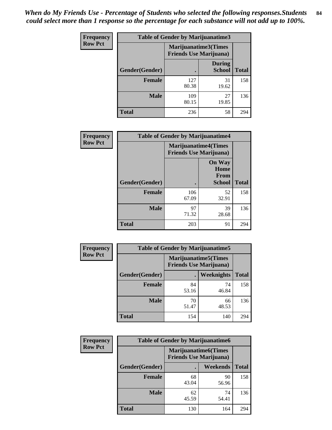| Frequency      | <b>Table of Gender by Marijuanatime3</b> |                                                        |                                |              |
|----------------|------------------------------------------|--------------------------------------------------------|--------------------------------|--------------|
| <b>Row Pct</b> |                                          | Marijuanatime3(Times<br><b>Friends Use Marijuana</b> ) |                                |              |
|                | Gender(Gender)                           |                                                        | <b>During</b><br><b>School</b> | <b>Total</b> |
|                | <b>Female</b>                            | 127<br>80.38                                           | 31<br>19.62                    | 158          |
|                | <b>Male</b>                              | 109<br>80.15                                           | 27<br>19.85                    | 136          |
|                | <b>Total</b>                             | 236                                                    | 58                             | 294          |

| Frequency      | <b>Table of Gender by Marijuanatime4</b> |                                                               |                                                       |              |
|----------------|------------------------------------------|---------------------------------------------------------------|-------------------------------------------------------|--------------|
| <b>Row Pct</b> |                                          | <b>Marijuanatime4(Times</b><br><b>Friends Use Marijuana</b> ) |                                                       |              |
|                | Gender(Gender)                           |                                                               | <b>On Way</b><br>Home<br><b>From</b><br><b>School</b> | <b>Total</b> |
|                | <b>Female</b>                            | 106<br>67.09                                                  | 52<br>32.91                                           | 158          |
|                | <b>Male</b>                              | 97<br>71.32                                                   | 39<br>28.68                                           | 136          |
|                | <b>Total</b>                             | 203                                                           | 91                                                    | 294          |

| Frequency      | <b>Table of Gender by Marijuanatime5</b> |                                                                |             |              |  |
|----------------|------------------------------------------|----------------------------------------------------------------|-------------|--------------|--|
| <b>Row Pct</b> |                                          | <b>Marijuanatime5</b> (Times<br><b>Friends Use Marijuana</b> ) |             |              |  |
|                | Gender(Gender)                           |                                                                | Weeknights  | <b>Total</b> |  |
|                | <b>Female</b>                            | 84<br>53.16                                                    | 74<br>46.84 | 158          |  |
|                | <b>Male</b>                              | 70<br>51.47                                                    | 66<br>48.53 | 136          |  |
|                | <b>Total</b>                             | 154                                                            | 140         | 294          |  |

| Frequency      | <b>Table of Gender by Marijuanatime6</b> |                                                               |             |              |  |
|----------------|------------------------------------------|---------------------------------------------------------------|-------------|--------------|--|
| <b>Row Pct</b> |                                          | <b>Marijuanatime6(Times</b><br><b>Friends Use Marijuana</b> ) |             |              |  |
|                | Gender(Gender)                           |                                                               | Weekends    | <b>Total</b> |  |
|                | <b>Female</b>                            | 68<br>43.04                                                   | 90<br>56.96 | 158          |  |
|                | <b>Male</b>                              | 62<br>45.59                                                   | 74<br>54.41 | 136          |  |
|                | <b>Total</b>                             | 130                                                           | 164         | 294          |  |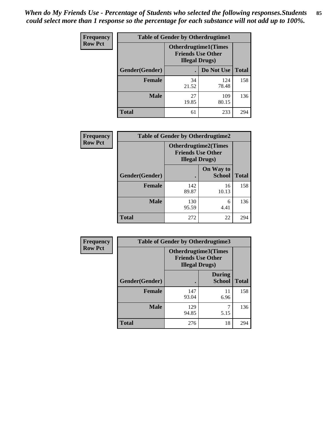*When do My Friends Use - Percentage of Students who selected the following responses.Students could select more than 1 response so the percentage for each substance will not add up to 100%.* **85**

| <b>Frequency</b> | <b>Table of Gender by Otherdrugtime1</b> |                                                    |                              |              |
|------------------|------------------------------------------|----------------------------------------------------|------------------------------|--------------|
| <b>Row Pct</b>   |                                          | <b>Friends Use Other</b><br><b>Illegal Drugs</b> ) | <b>Otherdrugtime1</b> (Times |              |
|                  | Gender(Gender)                           |                                                    | Do Not Use                   | <b>Total</b> |
|                  | <b>Female</b>                            | 34<br>21.52                                        | 124<br>78.48                 | 158          |
|                  | <b>Male</b>                              | 27<br>19.85                                        | 109<br>80.15                 | 136          |
|                  | <b>Total</b>                             | 61                                                 | 233                          | 294          |

| <b>Frequency</b> | <b>Table of Gender by Otherdrugtime2</b> |                                                    |                             |              |
|------------------|------------------------------------------|----------------------------------------------------|-----------------------------|--------------|
| <b>Row Pct</b>   |                                          | <b>Friends Use Other</b><br><b>Illegal Drugs</b> ) | <b>Otherdrugtime2(Times</b> |              |
|                  | Gender(Gender)                           |                                                    | On Way to<br><b>School</b>  | <b>Total</b> |
|                  | <b>Female</b>                            | 142<br>89.87                                       | 16<br>10.13                 | 158          |
|                  | <b>Male</b>                              | 130<br>95.59                                       | 6<br>4.41                   | 136          |
|                  | <b>Total</b>                             | 272                                                | 22                          | 294          |

| <b>Frequency</b> |                | <b>Table of Gender by Otherdrugtime3</b>           |                                |              |
|------------------|----------------|----------------------------------------------------|--------------------------------|--------------|
| <b>Row Pct</b>   |                | <b>Friends Use Other</b><br><b>Illegal Drugs</b> ) | Otherdrugtime3(Times           |              |
|                  | Gender(Gender) |                                                    | <b>During</b><br><b>School</b> | <b>Total</b> |
|                  | <b>Female</b>  | 147<br>93.04                                       | 11<br>6.96                     | 158          |
|                  | <b>Male</b>    | 129<br>94.85                                       | 7<br>5.15                      | 136          |
|                  | <b>Total</b>   | 276                                                | 18                             | 294          |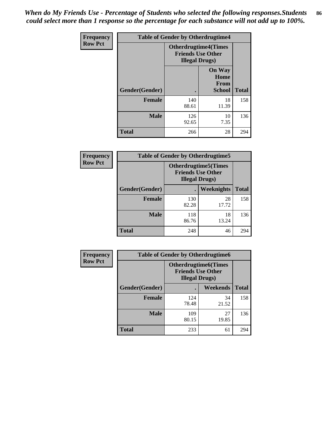*When do My Friends Use - Percentage of Students who selected the following responses.Students could select more than 1 response so the percentage for each substance will not add up to 100%.* **86**

| <b>Frequency</b> | <b>Table of Gender by Otherdrugtime4</b> |                                                                                   |                                                       |              |
|------------------|------------------------------------------|-----------------------------------------------------------------------------------|-------------------------------------------------------|--------------|
| <b>Row Pct</b>   |                                          | <b>Otherdrugtime4(Times</b><br><b>Friends Use Other</b><br><b>Illegal Drugs</b> ) |                                                       |              |
|                  | Gender(Gender)                           |                                                                                   | <b>On Way</b><br>Home<br><b>From</b><br><b>School</b> | <b>Total</b> |
|                  | <b>Female</b>                            | 140<br>88.61                                                                      | 18<br>11.39                                           | 158          |
|                  | <b>Male</b>                              | 126<br>92.65                                                                      | 10<br>7.35                                            | 136          |
|                  | <b>Total</b>                             | 266                                                                               | 28                                                    | 294          |

| Frequency      | <b>Table of Gender by Otherdrugtime5</b> |                                                                                    |             |              |
|----------------|------------------------------------------|------------------------------------------------------------------------------------|-------------|--------------|
| <b>Row Pct</b> |                                          | <b>Otherdrugtime5</b> (Times<br><b>Friends Use Other</b><br><b>Illegal Drugs</b> ) |             |              |
|                | Gender(Gender)                           |                                                                                    | Weeknights  | <b>Total</b> |
|                | <b>Female</b>                            | 130<br>82.28                                                                       | 28<br>17.72 | 158          |
|                | <b>Male</b>                              | 118<br>86.76                                                                       | 18<br>13.24 | 136          |
|                | <b>Total</b>                             | 248                                                                                | 46          | 294          |

| <b>Frequency</b> | <b>Table of Gender by Otherdrugtime6</b> |                                                                                   |             |              |
|------------------|------------------------------------------|-----------------------------------------------------------------------------------|-------------|--------------|
| <b>Row Pct</b>   |                                          | <b>Otherdrugtime6(Times</b><br><b>Friends Use Other</b><br><b>Illegal Drugs</b> ) |             |              |
|                  | Gender(Gender)                           |                                                                                   | Weekends    | <b>Total</b> |
|                  | <b>Female</b>                            | 124<br>78.48                                                                      | 34<br>21.52 | 158          |
|                  | <b>Male</b>                              | 109<br>80.15                                                                      | 27<br>19.85 | 136          |
|                  | <b>Total</b>                             | 233                                                                               | 61          | 294          |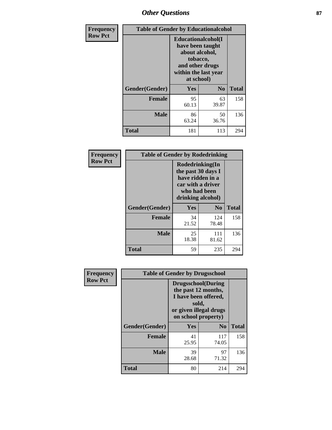# *Other Questions* **87**

| <b>Frequency</b> | <b>Table of Gender by Educationalcohol</b> |                                                                                                                                       |                |              |
|------------------|--------------------------------------------|---------------------------------------------------------------------------------------------------------------------------------------|----------------|--------------|
| <b>Row Pct</b>   |                                            | <b>Educationalcohol</b> (I<br>have been taught<br>about alcohol,<br>tobacco,<br>and other drugs<br>within the last year<br>at school) |                |              |
|                  | Gender(Gender)                             | <b>Yes</b>                                                                                                                            | N <sub>0</sub> | <b>Total</b> |
|                  | <b>Female</b>                              | 95<br>60.13                                                                                                                           | 63<br>39.87    | 158          |
|                  | <b>Male</b>                                | 86<br>63.24                                                                                                                           | 50<br>36.76    | 136          |
|                  | <b>Total</b>                               | 181                                                                                                                                   | 113            | 294          |

| Frequency      | <b>Table of Gender by Rodedrinking</b> |                                                                                                                     |                |              |  |
|----------------|----------------------------------------|---------------------------------------------------------------------------------------------------------------------|----------------|--------------|--|
| <b>Row Pct</b> |                                        | Rodedrinking(In<br>the past 30 days I<br>have ridden in a<br>car with a driver<br>who had been<br>drinking alcohol) |                |              |  |
|                | Gender(Gender)                         | Yes                                                                                                                 | N <sub>0</sub> | <b>Total</b> |  |
|                | <b>Female</b>                          | 34<br>21.52                                                                                                         | 124<br>78.48   | 158          |  |
|                | <b>Male</b>                            | 25<br>18.38                                                                                                         | 111<br>81.62   | 136          |  |
|                | <b>Total</b>                           | 59                                                                                                                  | 235            | 294          |  |

| Frequency      | <b>Table of Gender by Drugsschool</b> |                                                                                                                                     |                |              |  |
|----------------|---------------------------------------|-------------------------------------------------------------------------------------------------------------------------------------|----------------|--------------|--|
| <b>Row Pct</b> |                                       | <b>Drugsschool</b> (During<br>the past 12 months,<br>I have been offered,<br>sold,<br>or given illegal drugs<br>on school property) |                |              |  |
|                | Gender(Gender)                        | Yes                                                                                                                                 | N <sub>0</sub> | <b>Total</b> |  |
|                | <b>Female</b>                         | 41<br>25.95                                                                                                                         | 117<br>74.05   | 158          |  |
|                | <b>Male</b>                           | 39<br>28.68                                                                                                                         | 97<br>71.32    | 136          |  |
|                | <b>Total</b>                          | 80                                                                                                                                  | 214            | 294          |  |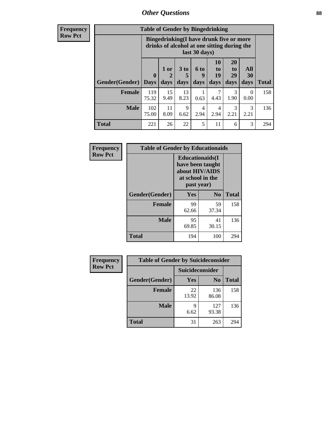# *Other Questions* **88**

**Frequency Row Pct**

| <b>Table of Gender by Bingedrinking</b> |                                                                                                         |              |                   |                   |                        |                        |                   |              |
|-----------------------------------------|---------------------------------------------------------------------------------------------------------|--------------|-------------------|-------------------|------------------------|------------------------|-------------------|--------------|
|                                         | Bingedrinking(I have drunk five or more<br>drinks of alcohol at one sitting during the<br>last 30 days) |              |                   |                   |                        |                        |                   |              |
| <b>Gender</b> (Gender)                  | $\mathbf 0$<br><b>Days</b>                                                                              | 1 or<br>days | 3 to<br>5<br>days | 6 to<br>q<br>days | 10<br>to<br>19<br>days | 20<br>to<br>29<br>days | All<br>30<br>days | <b>Total</b> |
|                                         |                                                                                                         |              |                   |                   |                        |                        |                   |              |
| <b>Female</b>                           | 119<br>75.32                                                                                            | 15<br>9.49   | 13<br>8.23        | 0.63              | 7<br>4.43              | 3<br>1.90              | 0<br>0.00         | 158          |
| <b>Male</b>                             | 102<br>75.00                                                                                            | 11<br>8.09   | 9<br>6.62         | 4<br>2.94         | $\overline{4}$<br>2.94 | 3<br>2.21              | 3<br>2.21         | 136          |

| Frequency      | <b>Table of Gender by Educationaids</b> |                                                                                                 |                |              |
|----------------|-----------------------------------------|-------------------------------------------------------------------------------------------------|----------------|--------------|
| <b>Row Pct</b> |                                         | <b>Educationaids</b> (I<br>have been taught<br>about HIV/AIDS<br>at school in the<br>past year) |                |              |
|                | Gender(Gender)                          | Yes                                                                                             | N <sub>0</sub> | <b>Total</b> |
|                | <b>Female</b>                           | 99<br>62.66                                                                                     | 59<br>37.34    | 158          |
|                | <b>Male</b>                             | 95<br>69.85                                                                                     | 41<br>30.15    | 136          |
|                | <b>Total</b>                            | 194                                                                                             | 100            | 294          |

| <b>Frequency</b> | <b>Table of Gender by Suicideconsider</b> |                 |                |              |  |
|------------------|-------------------------------------------|-----------------|----------------|--------------|--|
| <b>Row Pct</b>   |                                           | Suicideconsider |                |              |  |
|                  | Gender(Gender)                            | Yes             | N <sub>0</sub> | <b>Total</b> |  |
|                  | <b>Female</b>                             | 22<br>13.92     | 136<br>86.08   | 158          |  |
|                  | <b>Male</b>                               | q<br>6.62       | 127<br>93.38   | 136          |  |
|                  | Total                                     | 31              | 263            | 294          |  |